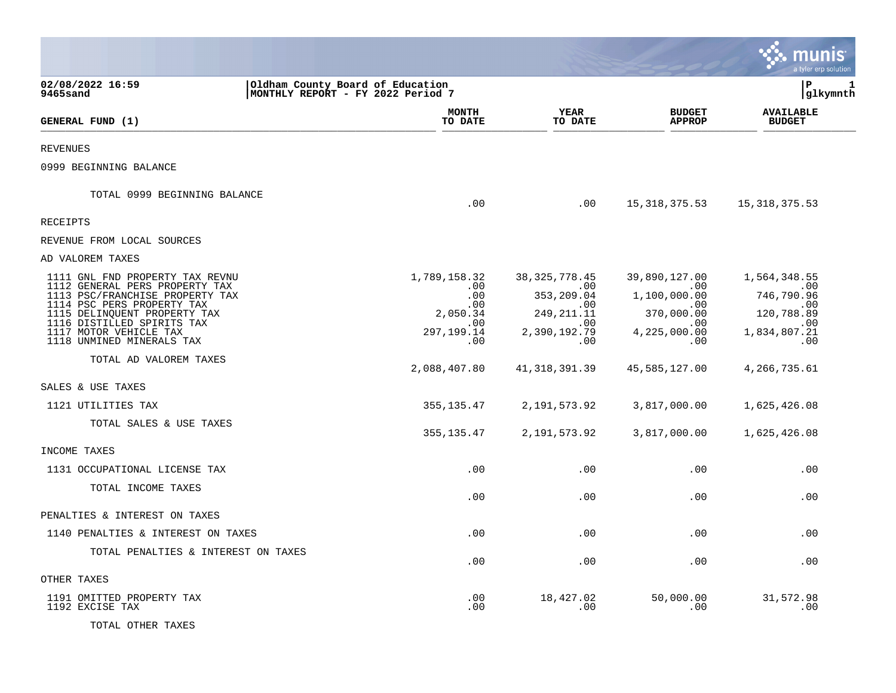|                                                                                                                                                                                                                                                                                                        |                                                                                             |                                                                                                                |                                                                                                          | nıs<br>a tyler erp solution                                                                                                   |
|--------------------------------------------------------------------------------------------------------------------------------------------------------------------------------------------------------------------------------------------------------------------------------------------------------|---------------------------------------------------------------------------------------------|----------------------------------------------------------------------------------------------------------------|----------------------------------------------------------------------------------------------------------|-------------------------------------------------------------------------------------------------------------------------------|
| 02/08/2022 16:59<br>9465sand                                                                                                                                                                                                                                                                           | Oldham County Board of Education<br>MONTHLY REPORT - FY 2022 Period 7                       |                                                                                                                |                                                                                                          | P<br>1<br> glkymnth                                                                                                           |
| GENERAL FUND (1)                                                                                                                                                                                                                                                                                       | <b>MONTH</b><br>TO DATE                                                                     | <b>YEAR</b><br>TO DATE                                                                                         | <b>BUDGET</b><br><b>APPROP</b>                                                                           | <b>AVAILABLE</b><br><b>BUDGET</b>                                                                                             |
| REVENUES                                                                                                                                                                                                                                                                                               |                                                                                             |                                                                                                                |                                                                                                          |                                                                                                                               |
| 0999 BEGINNING BALANCE                                                                                                                                                                                                                                                                                 |                                                                                             |                                                                                                                |                                                                                                          |                                                                                                                               |
| TOTAL 0999 BEGINNING BALANCE                                                                                                                                                                                                                                                                           | .00                                                                                         | .00                                                                                                            | 15,318,375.53                                                                                            | 15,318,375.53                                                                                                                 |
| RECEIPTS                                                                                                                                                                                                                                                                                               |                                                                                             |                                                                                                                |                                                                                                          |                                                                                                                               |
| REVENUE FROM LOCAL SOURCES                                                                                                                                                                                                                                                                             |                                                                                             |                                                                                                                |                                                                                                          |                                                                                                                               |
| AD VALOREM TAXES                                                                                                                                                                                                                                                                                       |                                                                                             |                                                                                                                |                                                                                                          |                                                                                                                               |
| 1111 GNL FND PROPERTY TAX REVNU<br>1112 GENERAL PERS PROPERTY TAX<br>1113 PSC/FRANCHISE PROPERTY TAX<br>1114 PSC PERS PROPERTY TAX<br>1115 DELINQUENT PROPERTY TAX<br>1116 DISTILLED SPIRITS TAX<br>1117 MOTOR VEHICLE TAX<br>1118 UNMINED MINERALS TAX<br>TOTAL AD VALOREM TAXES<br>SALES & USE TAXES | 1,789,158.32<br>.00<br>.00<br>.00<br>2,050.34<br>.00<br>297, 199. 14<br>.00<br>2,088,407.80 | 38, 325, 778. 45<br>.00<br>353, 209.04<br>.00<br>249, 211. 11<br>.00<br>2,390,192.79<br>.00<br>41, 318, 391.39 | 39,890,127.00<br>.00<br>1,100,000.00<br>.00<br>370,000.00<br>.00<br>4,225,000.00<br>.00<br>45,585,127.00 | 1,564,348.55<br>$\overline{\phantom{0}}$ .00<br>746,790.96<br>.00<br>120,788.89<br>.00<br>1,834,807.21<br>.00<br>4,266,735.61 |
| 1121 UTILITIES TAX                                                                                                                                                                                                                                                                                     | 355, 135.47                                                                                 | 2,191,573.92                                                                                                   | 3,817,000.00                                                                                             | 1,625,426.08                                                                                                                  |
| TOTAL SALES & USE TAXES                                                                                                                                                                                                                                                                                | 355, 135.47                                                                                 | 2,191,573.92                                                                                                   | 3,817,000.00                                                                                             | 1,625,426.08                                                                                                                  |
| INCOME TAXES                                                                                                                                                                                                                                                                                           |                                                                                             |                                                                                                                |                                                                                                          |                                                                                                                               |
| 1131 OCCUPATIONAL LICENSE TAX<br>TOTAL INCOME TAXES                                                                                                                                                                                                                                                    | .00<br>.00                                                                                  | .00<br>.00                                                                                                     | .00<br>.00                                                                                               | .00<br>.00                                                                                                                    |
| PENALTIES & INTEREST ON TAXES                                                                                                                                                                                                                                                                          |                                                                                             |                                                                                                                |                                                                                                          |                                                                                                                               |
| 1140 PENALTIES & INTEREST ON TAXES                                                                                                                                                                                                                                                                     | .00                                                                                         | .00                                                                                                            | .00                                                                                                      | .00                                                                                                                           |
| TOTAL PENALTIES & INTEREST ON TAXES                                                                                                                                                                                                                                                                    | .00                                                                                         | .00                                                                                                            | .00                                                                                                      | .00                                                                                                                           |
| OTHER TAXES                                                                                                                                                                                                                                                                                            |                                                                                             |                                                                                                                |                                                                                                          |                                                                                                                               |
| 1191 OMITTED PROPERTY TAX<br>1192 EXCISE TAX<br>TOTAL OTHER TAXES                                                                                                                                                                                                                                      | .00<br>.00                                                                                  | 18,427.02<br>.00                                                                                               | 50,000.00<br>.00                                                                                         | 31,572.98<br>.00                                                                                                              |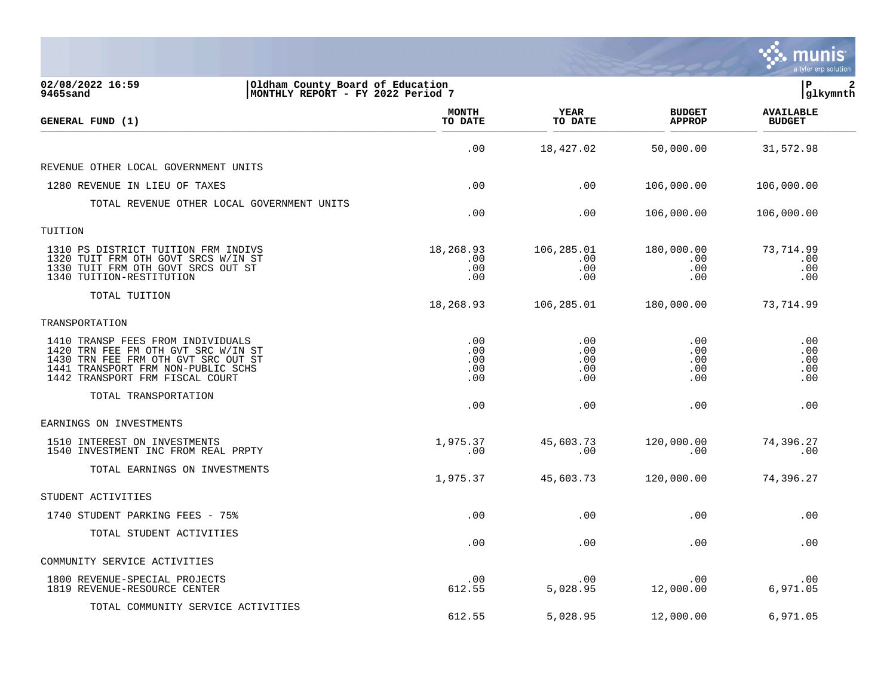|                                                                                                                                                                                          |                                 |                                 |                                      | a tyler erp solution              |
|------------------------------------------------------------------------------------------------------------------------------------------------------------------------------------------|---------------------------------|---------------------------------|--------------------------------------|-----------------------------------|
| 02/08/2022 16:59<br>Oldham County Board of Education<br>MONTHLY REPORT - FY 2022 Period 7<br>9465sand                                                                                    |                                 |                                 |                                      | l P<br> glkymnth                  |
| GENERAL FUND (1)                                                                                                                                                                         | <b>MONTH</b><br>TO DATE         | YEAR<br>TO DATE                 | <b>BUDGET</b><br><b>APPROP</b>       | <b>AVAILABLE</b><br><b>BUDGET</b> |
|                                                                                                                                                                                          | .00                             | 18,427.02                       | 50,000.00                            | 31,572.98                         |
| REVENUE OTHER LOCAL GOVERNMENT UNITS                                                                                                                                                     |                                 |                                 |                                      |                                   |
| 1280 REVENUE IN LIEU OF TAXES                                                                                                                                                            | .00                             | .00                             | 106,000.00                           | 106,000.00                        |
| TOTAL REVENUE OTHER LOCAL GOVERNMENT UNITS                                                                                                                                               | .00                             | .00                             | 106,000.00                           | 106,000.00                        |
| TUITION                                                                                                                                                                                  |                                 |                                 |                                      |                                   |
| 1310 PS DISTRICT TUITION FRM INDIVS<br>1320 TUIT FRM OTH GOVT SRCS W/IN ST<br>1330 TUIT FRM OTH GOVT SRCS OUT ST<br>1340 TUITION-RESTITUTION                                             | 18,268.93<br>.00<br>.00<br>.00  | 106,285.01<br>.00<br>.00<br>.00 | 180,000.00<br>.00<br>.00<br>.00      | 73,714.99<br>.00<br>.00<br>.00    |
| TOTAL TUITION                                                                                                                                                                            | 18,268.93                       | 106,285.01                      | 180,000.00                           | 73,714.99                         |
| TRANSPORTATION                                                                                                                                                                           |                                 |                                 |                                      |                                   |
| 1410 TRANSP FEES FROM INDIVIDUALS<br>1420 TRN FEE FM OTH GVT SRC W/IN ST<br>1430 TRN FEE FRM OTH GVT SRC OUT ST<br>1441 TRANSPORT FRM NON-PUBLIC SCHS<br>1442 TRANSPORT FRM FISCAL COURT | .00<br>.00<br>.00<br>.00<br>.00 | .00<br>.00<br>.00<br>.00<br>.00 | .00<br>$.00 \,$<br>.00<br>.00<br>.00 | .00<br>.00<br>.00<br>.00<br>.00   |
| TOTAL TRANSPORTATION                                                                                                                                                                     | .00                             | .00                             | .00                                  | .00                               |
| EARNINGS ON INVESTMENTS                                                                                                                                                                  |                                 |                                 |                                      |                                   |
| 1510 INTEREST ON INVESTMENTS<br>1540 INVESTMENT INC FROM REAL PRPTY                                                                                                                      | 1,975.37<br>.00                 | 45,603.73<br>.00                | 120,000.00<br>.00                    | 74,396.27<br>.00                  |
| TOTAL EARNINGS ON INVESTMENTS                                                                                                                                                            | 1,975.37                        | 45,603.73                       | 120,000.00                           | 74,396.27                         |
| STUDENT ACTIVITIES                                                                                                                                                                       |                                 |                                 |                                      |                                   |
| 1740 STUDENT PARKING FEES - 75%                                                                                                                                                          | .00                             | .00                             | .00                                  | .00                               |
| TOTAL STUDENT ACTIVITIES                                                                                                                                                                 | .00                             | .00                             | .00                                  | .00                               |
| COMMUNITY SERVICE ACTIVITIES                                                                                                                                                             |                                 |                                 |                                      |                                   |
| 1800 REVENUE-SPECIAL PROJECTS<br>1819 REVENUE-RESOURCE CENTER                                                                                                                            | .00<br>612.55                   | .00<br>5,028.95                 | .00<br>12,000.00                     | .00<br>6,971.05                   |
| TOTAL COMMUNITY SERVICE ACTIVITIES                                                                                                                                                       | 612.55                          | 5,028.95                        | 12,000.00                            | 6,971.05                          |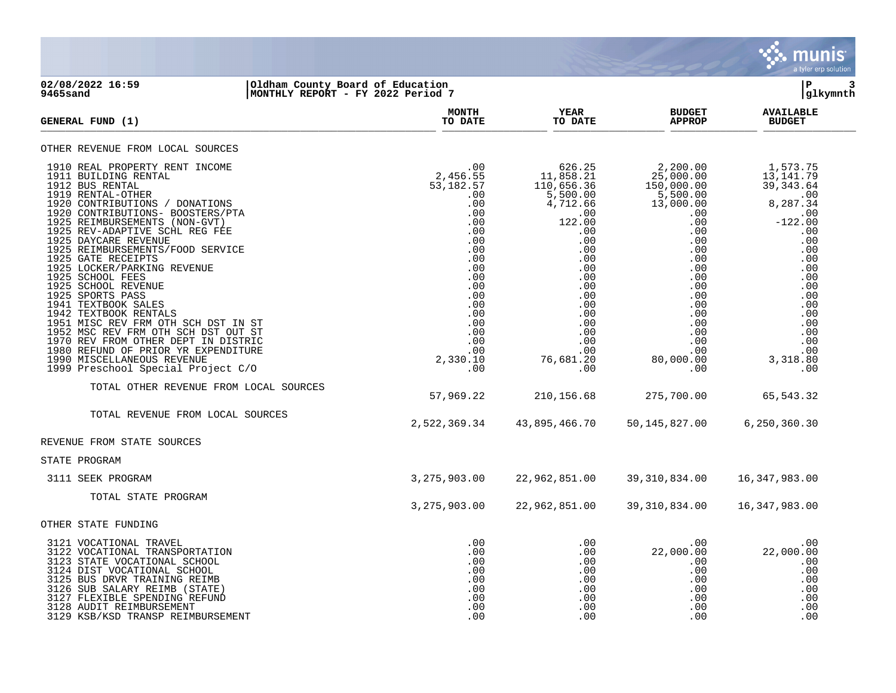

### **02/08/2022 16:59 |Oldham County Board of Education |P 3 9465sand |MONTHLY REPORT - FY 2022 Period 7 |glkymnth**

| GENERAL FUND (1)                                                                                                                                                                                                                                                                                                                                                                                                                                                                                                                                                                                                                                                                                        | <b>MONTH</b><br>TO DATE                                                                                                                                                                                                          | <b>YEAR</b><br>TO DATE                                                                                                                                                                                                    | <b>BUDGET</b><br><b>APPROP</b>                                                                                                                                                                                                                          | <b>AVAILABLE</b><br><b>BUDGET</b>                                                                                                                                                                                                                 |
|---------------------------------------------------------------------------------------------------------------------------------------------------------------------------------------------------------------------------------------------------------------------------------------------------------------------------------------------------------------------------------------------------------------------------------------------------------------------------------------------------------------------------------------------------------------------------------------------------------------------------------------------------------------------------------------------------------|----------------------------------------------------------------------------------------------------------------------------------------------------------------------------------------------------------------------------------|---------------------------------------------------------------------------------------------------------------------------------------------------------------------------------------------------------------------------|---------------------------------------------------------------------------------------------------------------------------------------------------------------------------------------------------------------------------------------------------------|---------------------------------------------------------------------------------------------------------------------------------------------------------------------------------------------------------------------------------------------------|
| OTHER REVENUE FROM LOCAL SOURCES                                                                                                                                                                                                                                                                                                                                                                                                                                                                                                                                                                                                                                                                        |                                                                                                                                                                                                                                  |                                                                                                                                                                                                                           |                                                                                                                                                                                                                                                         |                                                                                                                                                                                                                                                   |
| 1910 REAL PROPERTY RENT INCOME<br>1911 BUILDING RENTAL<br>1912 BUS RENTAL<br>1919 RENTAL-OTHER<br>1920 CONTRIBUTIONS / DONATIONS<br>1920 CONTRIBUTIONS- BOOSTERS/PTA<br>1925 REIMBURSEMENTS (NON-GVT)<br>1925 REV-ADAPTIVE SCHL REG FEE<br>1925 DAYCARE REVENUE<br>1925 REIMBURSEMENTS/FOOD SERVICE<br>1925 GATE RECEIPTS<br>1925 LOCKER/PARKING REVENUE<br>1925 SCHOOL FEES<br>1925 SCHOOL REVENUE<br>1925 SPORTS PASS<br>1941 TEXTBOOK SALES<br>1942 TEXTBOOK RENTALS<br>1951 MISC REV FRM OTH SCH DST IN ST<br>1952 MSC REV FRM OTH SCH DST OUT ST<br>1970 REV FROM OTHER DEPT IN DISTRIC<br>1980 REFUND OF PRIOR YR EXPENDITURE<br>1990 MISCELLANEOUS REVENUE<br>1999 Preschool Special Project C/O | .00<br>2,456.55<br>53, 182.57<br>.00<br>.00<br>.00<br>.00<br>.00<br>.00<br>.00<br>.00<br>.00<br>.00<br>.00<br>.00<br>.00<br>.00<br>$\begin{array}{c} .50 \\ .00 \\ .00 \end{array}$<br>00<br>00 .<br>00 .<br>2 , 330 . 10<br>.00 | 626.25<br>11,858.21<br>110,656.36<br>$\frac{5}{6}$ , 500.00<br>4, 712.66<br>.00<br>$122.00$<br>.00<br>.00<br>.00<br>$.00$<br>.00<br>.00<br>$\frac{0}{00}$<br>.00<br>.00<br>.00<br>$.00$<br>.00<br>.00<br>76,681.20<br>.00 | $\begin{array}{c} 2,200.00 \\ 25,000.00 \\ 150.000.00 \end{array}$<br>$150,000.00$<br>$5,500.00$<br>$13,000.00$<br>.00<br>.00<br>.00<br>.00<br>.00<br>$0.00$ . 00<br>.00<br>$0.00$<br>.00<br>.00<br>.00<br>.00<br>.00<br>.00<br>.00<br>80,000.00<br>.00 | 1,573.75<br>13,141.79<br>39, 343.64<br>$\begin{smallmatrix} &0&0\\8&287&34\end{smallmatrix}$<br>8,287.34<br>.00<br>$-122.00$<br>.00<br>.00<br>.00<br>.00<br>.00<br>.00<br>.00<br>.00<br>.00<br>.00<br>.00<br>.00<br>.00<br>.00<br>3,318.80<br>.00 |
| TOTAL OTHER REVENUE FROM LOCAL SOURCES                                                                                                                                                                                                                                                                                                                                                                                                                                                                                                                                                                                                                                                                  | 57,969.22                                                                                                                                                                                                                        | 210,156.68                                                                                                                                                                                                                | 275,700.00                                                                                                                                                                                                                                              | 65,543.32                                                                                                                                                                                                                                         |
| TOTAL REVENUE FROM LOCAL SOURCES                                                                                                                                                                                                                                                                                                                                                                                                                                                                                                                                                                                                                                                                        | 2,522,369.34                                                                                                                                                                                                                     | 43,895,466.70                                                                                                                                                                                                             | 50,145,827.00                                                                                                                                                                                                                                           | 6,250,360.30                                                                                                                                                                                                                                      |
| REVENUE FROM STATE SOURCES                                                                                                                                                                                                                                                                                                                                                                                                                                                                                                                                                                                                                                                                              |                                                                                                                                                                                                                                  |                                                                                                                                                                                                                           |                                                                                                                                                                                                                                                         |                                                                                                                                                                                                                                                   |
| STATE PROGRAM                                                                                                                                                                                                                                                                                                                                                                                                                                                                                                                                                                                                                                                                                           |                                                                                                                                                                                                                                  |                                                                                                                                                                                                                           |                                                                                                                                                                                                                                                         |                                                                                                                                                                                                                                                   |
| 3111 SEEK PROGRAM                                                                                                                                                                                                                                                                                                                                                                                                                                                                                                                                                                                                                                                                                       | 3, 275, 903.00                                                                                                                                                                                                                   | 22,962,851.00                                                                                                                                                                                                             | 39,310,834.00                                                                                                                                                                                                                                           | 16,347,983.00                                                                                                                                                                                                                                     |
| TOTAL STATE PROGRAM                                                                                                                                                                                                                                                                                                                                                                                                                                                                                                                                                                                                                                                                                     | 3, 275, 903.00                                                                                                                                                                                                                   | 22,962,851.00                                                                                                                                                                                                             | 39,310,834.00                                                                                                                                                                                                                                           | 16,347,983.00                                                                                                                                                                                                                                     |
| OTHER STATE FUNDING                                                                                                                                                                                                                                                                                                                                                                                                                                                                                                                                                                                                                                                                                     |                                                                                                                                                                                                                                  |                                                                                                                                                                                                                           |                                                                                                                                                                                                                                                         |                                                                                                                                                                                                                                                   |
| 3121 VOCATIONAL TRAVEL<br>3122 VOCATIONAL TRANSPORTATION<br>3123 STATE VOCATIONAL SCHOOL<br>3124 DIST VOCATIONAL SCHOOL<br>3125 BUS DRVR TRAINING REIMB<br>3126 SUB SALARY REIMB (STATE)<br>3127 FLEXIBLE SPENDING REFUND<br>3128 AUDIT REIMBURSEMENT<br>3129 KSB/KSD TRANSP REIMBURSEMENT                                                                                                                                                                                                                                                                                                                                                                                                              | .00<br>.00<br>.00<br>.00<br>.00<br>.00<br>.00<br>.00<br>.00                                                                                                                                                                      | .00<br>.00<br>.00<br>.00<br>.00<br>.00<br>.00<br>.00<br>.00                                                                                                                                                               | .00<br>22,000.00<br>.00<br>.00<br>.00<br>$.00 \,$<br>.00<br>.00<br>$.00 \,$                                                                                                                                                                             | .00<br>22,000.00<br>.00<br>.00<br>.00<br>.00<br>.00<br>.00<br>.00                                                                                                                                                                                 |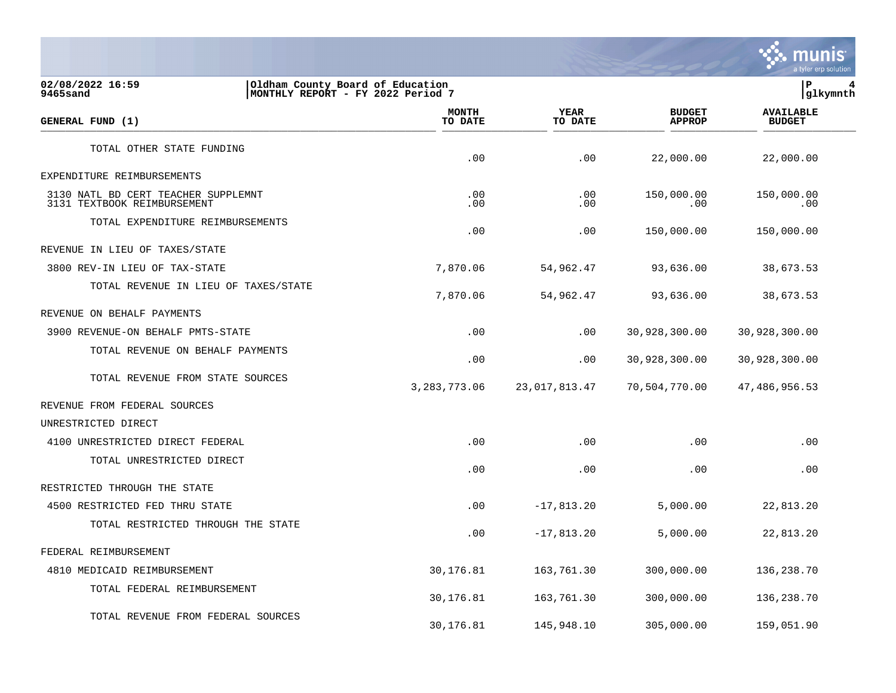

### **02/08/2022 16:59 |Oldham County Board of Education |P 4 9465sand |MONTHLY REPORT - FY 2022 Period 7 |glkymnth**

| GENERAL FUND (1)                                                   | <b>MONTH</b><br>TO DATE | <b>YEAR</b><br>TO DATE | <b>BUDGET</b><br><b>APPROP</b> | <b>AVAILABLE</b><br><b>BUDGET</b> |  |
|--------------------------------------------------------------------|-------------------------|------------------------|--------------------------------|-----------------------------------|--|
| TOTAL OTHER STATE FUNDING                                          | .00                     | .00                    | 22,000.00                      | 22,000.00                         |  |
| EXPENDITURE REIMBURSEMENTS                                         |                         |                        |                                |                                   |  |
| 3130 NATL BD CERT TEACHER SUPPLEMNT<br>3131 TEXTBOOK REIMBURSEMENT | .00<br>.00              | .00<br>.00             | 150,000.00<br>.00              | 150,000.00<br>.00                 |  |
| TOTAL EXPENDITURE REIMBURSEMENTS                                   | .00                     | .00                    | 150,000.00                     | 150,000.00                        |  |
| REVENUE IN LIEU OF TAXES/STATE                                     |                         |                        |                                |                                   |  |
| 3800 REV-IN LIEU OF TAX-STATE                                      | 7,870.06                | 54,962.47              | 93,636.00                      | 38,673.53                         |  |
| TOTAL REVENUE IN LIEU OF TAXES/STATE                               | 7,870.06                | 54,962.47              | 93,636.00                      | 38,673.53                         |  |
| REVENUE ON BEHALF PAYMENTS                                         |                         |                        |                                |                                   |  |
| 3900 REVENUE-ON BEHALF PMTS-STATE                                  | .00                     | $.00 \,$               | 30,928,300.00                  | 30,928,300.00                     |  |
| TOTAL REVENUE ON BEHALF PAYMENTS                                   | .00                     | .00                    | 30,928,300.00                  | 30,928,300.00                     |  |
| TOTAL REVENUE FROM STATE SOURCES                                   | 3, 283, 773.06          | 23,017,813.47          | 70,504,770.00                  | 47,486,956.53                     |  |
| REVENUE FROM FEDERAL SOURCES                                       |                         |                        |                                |                                   |  |
| UNRESTRICTED DIRECT                                                |                         |                        |                                |                                   |  |
| 4100 UNRESTRICTED DIRECT FEDERAL                                   | .00                     | .00                    | .00                            | .00                               |  |
| TOTAL UNRESTRICTED DIRECT                                          | .00                     | .00                    | .00                            | .00                               |  |
| RESTRICTED THROUGH THE STATE                                       |                         |                        |                                |                                   |  |
| 4500 RESTRICTED FED THRU STATE                                     | .00                     | $-17,813.20$           | 5,000.00                       | 22,813.20                         |  |
| TOTAL RESTRICTED THROUGH THE STATE                                 | .00                     | $-17,813.20$           | 5,000.00                       | 22,813.20                         |  |
| FEDERAL REIMBURSEMENT                                              |                         |                        |                                |                                   |  |
| 4810 MEDICAID REIMBURSEMENT                                        | 30,176.81               | 163,761.30             | 300,000.00                     | 136,238.70                        |  |
| TOTAL FEDERAL REIMBURSEMENT                                        | 30,176.81               | 163,761.30             | 300,000.00                     | 136,238.70                        |  |
| TOTAL REVENUE FROM FEDERAL SOURCES                                 | 30,176.81               | 145,948.10             | 305,000.00                     | 159,051.90                        |  |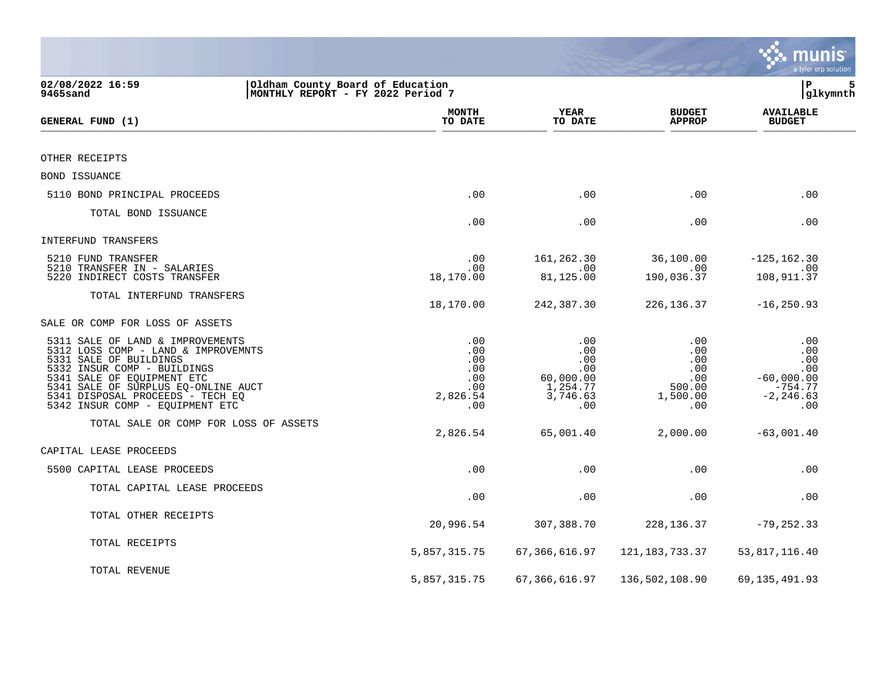|                                                                                                                                                                                                                                                                              |                                                           |                                                                           |                                                                   | <b>हरू munis</b><br>a tyler erp solution                                     |
|------------------------------------------------------------------------------------------------------------------------------------------------------------------------------------------------------------------------------------------------------------------------------|-----------------------------------------------------------|---------------------------------------------------------------------------|-------------------------------------------------------------------|------------------------------------------------------------------------------|
| 02/08/2022 16:59<br>Oldham County Board of Education<br>MONTHLY REPORT - FY 2022 Period 7<br>9465sand                                                                                                                                                                        |                                                           |                                                                           |                                                                   | l P<br>5<br> glkymnth                                                        |
| GENERAL FUND (1)                                                                                                                                                                                                                                                             | <b>MONTH</b><br>TO DATE                                   | YEAR<br>TO DATE                                                           | <b>BUDGET</b><br><b>APPROP</b>                                    | <b>AVAILABLE</b><br><b>BUDGET</b>                                            |
| OTHER RECEIPTS                                                                                                                                                                                                                                                               |                                                           |                                                                           |                                                                   |                                                                              |
| BOND ISSUANCE                                                                                                                                                                                                                                                                |                                                           |                                                                           |                                                                   |                                                                              |
| 5110 BOND PRINCIPAL PROCEEDS                                                                                                                                                                                                                                                 | .00                                                       | .00                                                                       | .00                                                               | .00                                                                          |
| TOTAL BOND ISSUANCE                                                                                                                                                                                                                                                          | .00                                                       | .00                                                                       | .00                                                               | .00                                                                          |
| INTERFUND TRANSFERS                                                                                                                                                                                                                                                          |                                                           |                                                                           |                                                                   |                                                                              |
| 5210 FUND TRANSFER<br>5210 TRANSFER IN - SALARIES<br>5220 INDIRECT COSTS TRANSFER                                                                                                                                                                                            | .00<br>.00<br>18,170.00                                   | 161,262.30<br>.00<br>81,125.00                                            | 36,100.00<br>.00<br>190,036.37                                    | $-125, 162.30$<br>.00<br>108,911.37                                          |
| TOTAL INTERFUND TRANSFERS                                                                                                                                                                                                                                                    | 18,170.00                                                 | 242,387.30                                                                | 226, 136.37                                                       | $-16, 250.93$                                                                |
| SALE OR COMP FOR LOSS OF ASSETS                                                                                                                                                                                                                                              |                                                           |                                                                           |                                                                   |                                                                              |
| 5311 SALE OF LAND & IMPROVEMENTS<br>5312 LOSS COMP - LAND & IMPROVEMNTS<br>5331 SALE OF BUILDINGS<br>5332 INSUR COMP - BUILDINGS<br>5341 SALE OF EQUIPMENT ETC<br>5341 SALE OF SURPLUS EQ-ONLINE AUCT<br>5341 DISPOSAL PROCEEDS - TECH EQ<br>5342 INSUR COMP - EQUIPMENT ETC | .00<br>.00<br>.00<br>.00<br>.00<br>.00<br>2,826.54<br>.00 | .00<br>.00<br>.00<br>$.00 \,$<br>60,000.00<br>1,254.77<br>3,746.63<br>.00 | .00<br>.00<br>$.00 \,$<br>.00<br>.00<br>500.00<br>1,500.00<br>.00 | .00<br>.00<br>.00<br>.00<br>$-60,000.00$<br>$-754.77$<br>$-2, 246.63$<br>.00 |
| TOTAL SALE OR COMP FOR LOSS OF ASSETS                                                                                                                                                                                                                                        | 2,826.54                                                  | 65,001.40                                                                 | 2,000.00                                                          | $-63,001.40$                                                                 |
| CAPITAL LEASE PROCEEDS                                                                                                                                                                                                                                                       |                                                           |                                                                           |                                                                   |                                                                              |
| 5500 CAPITAL LEASE PROCEEDS                                                                                                                                                                                                                                                  | .00                                                       | .00                                                                       | .00                                                               | .00                                                                          |
| TOTAL CAPITAL LEASE PROCEEDS                                                                                                                                                                                                                                                 | .00                                                       | .00                                                                       | .00                                                               | .00                                                                          |
| TOTAL OTHER RECEIPTS                                                                                                                                                                                                                                                         | 20,996.54                                                 | 307,388.70                                                                | 228, 136.37                                                       | $-79, 252.33$                                                                |
| TOTAL RECEIPTS                                                                                                                                                                                                                                                               | 5,857,315.75                                              | 67,366,616.97                                                             | 121, 183, 733.37                                                  | 53,817,116.40                                                                |
| TOTAL REVENUE                                                                                                                                                                                                                                                                | 5,857,315.75                                              | 67,366,616.97                                                             | 136,502,108.90                                                    | 69, 135, 491.93                                                              |

and the contract of the contract of the contract of the contract of the contract of the contract of the contract of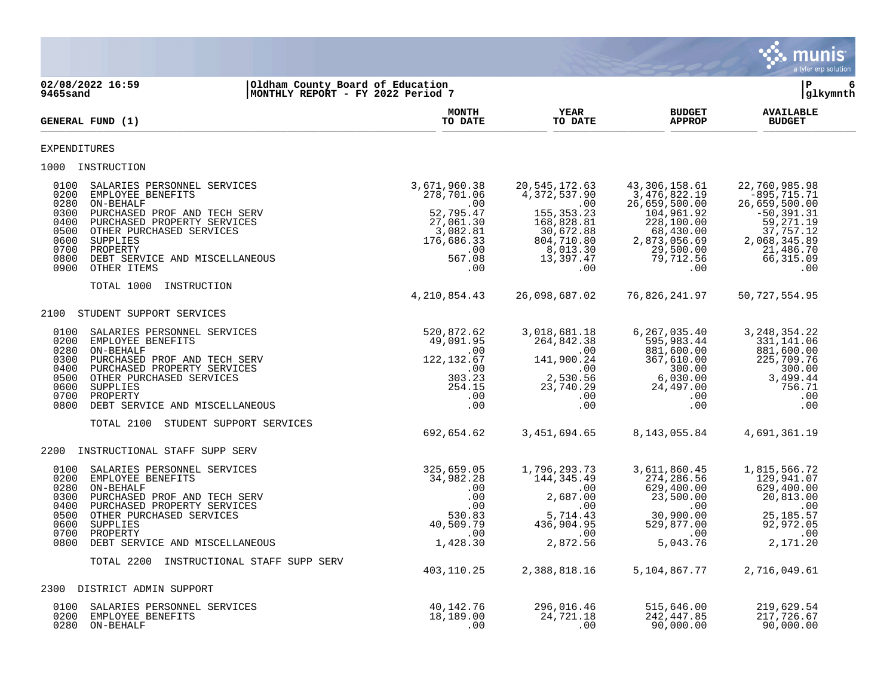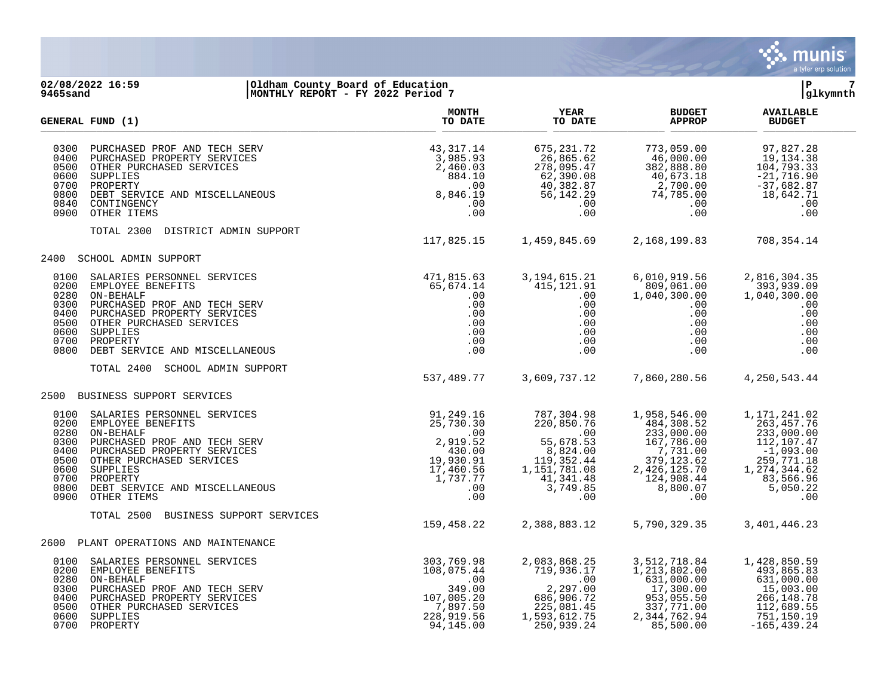

#### **02/08/2022 16:59 |Oldham County Board of Education |P 7 9465sand |MONTHLY REPORT - FY 2022 Period 7 |glkymnth**

|                                                                              | GENERAL FUND (1)                                                                                                                                                                                                        | <b>MONTH</b><br>TO DATE                         | <b>YEAR</b><br>TO DATE                                                                                                                                           | <b>BUDGET</b><br><b>APPROP</b>                                                                                                                                                                                                                                     | <b>AVAILABLE</b><br><b>BUDGET</b>                                                                                 |
|------------------------------------------------------------------------------|-------------------------------------------------------------------------------------------------------------------------------------------------------------------------------------------------------------------------|-------------------------------------------------|------------------------------------------------------------------------------------------------------------------------------------------------------------------|--------------------------------------------------------------------------------------------------------------------------------------------------------------------------------------------------------------------------------------------------------------------|-------------------------------------------------------------------------------------------------------------------|
| 0300<br>0400<br>0500<br>0600<br>0700<br>0800<br>0900                         | SUPPLIES<br>0840 CONTINGENCY                                                                                                                                                                                            |                                                 |                                                                                                                                                                  | $\begin{array}{cccc} 675, 231.72 & 773, 059.00 & 97, 827.28 \\ 26, 865.62 & 46, 000.00 & 19, 134.38 \\ 278, 095.47 & 382, 888.80 & 104, 793.33 \\ 62, 390.08 & 40, 673.18 & -21, 716.90 \\ 40, 382.87 & 2, 700.00 & -37, 682.87 \\ 56, 142.29 & 74, 785.00 & 18, $ |                                                                                                                   |
|                                                                              | TOTAL 2300 DISTRICT ADMIN SUPPORT                                                                                                                                                                                       | 117,825.15 1,459,845.69 2,168,199.83 708,354.14 |                                                                                                                                                                  |                                                                                                                                                                                                                                                                    |                                                                                                                   |
| 2400                                                                         | SCHOOL ADMIN SUPPORT                                                                                                                                                                                                    |                                                 |                                                                                                                                                                  |                                                                                                                                                                                                                                                                    |                                                                                                                   |
| 0100<br>0200<br>0280<br>0300<br>0400<br>0500<br>0600<br>0800                 | SALARIES PERSONNEL SERVICES<br>EMPLOYEE BENEFITS<br>ON-BEHALF<br>PURCHASED PROF AND TECH SERV<br>PURCHASED PROPERTY SERVICES<br>OTHER PURCHASED SERVICES<br>SUPPLIES<br>0700 PROPERTY<br>DEBT SERVICE AND MISCELLANEOUS | $0.00$<br>$0.00$<br>$0.00$<br>$0.00$            | 3, 194, 615. 21<br>415,121.91<br>$415, 121.91$<br>.00<br>.00<br>$\begin{array}{c} .00\ 0.00\ 0.00\ 0.00\ 0.00\ 0.00\ \end{array}$                                | 6,010,919.56<br>809,061.00<br>1,040,300.00<br>.00<br>.00<br>$\begin{array}{c} .00\ .00\ .00\ .00\ .00 \end{array}$                                                                                                                                                 | 2,816,304.35<br>393,939.09<br>1,040,300.00<br>.00<br>.00<br>.00<br>.00<br>.00<br>.00                              |
|                                                                              | TOTAL 2400 SCHOOL ADMIN SUPPORT                                                                                                                                                                                         | 537,489.77 3,609,737.12                         |                                                                                                                                                                  | 7,860,280.56                                                                                                                                                                                                                                                       | 4,250,543.44                                                                                                      |
| 2500                                                                         | BUSINESS SUPPORT SERVICES                                                                                                                                                                                               |                                                 |                                                                                                                                                                  |                                                                                                                                                                                                                                                                    |                                                                                                                   |
| 0100<br>0200<br>0280<br>0300<br>0400<br>0500<br>0600<br>0700<br>0800<br>0900 |                                                                                                                                                                                                                         |                                                 |                                                                                                                                                                  | $\begin{array}{cccc} 787, 304.98 & 1, 958, 546.00 & 1, 171, 241.02 \\ 220, 850.76 & 484, 308.52 & 263, 457.76 \\ .00 & 233, 000.00 & 233, 000.00 \\ 55, 678.53 & 167, 786.00 & 112, 107.47 \\ 8, 824.00 & 7, 731.00 & -1, 093.00 \\ 119, 352.44 & 379, 123.62 & 2$ |                                                                                                                   |
|                                                                              | BUSINESS SUPPORT SERVICES<br>TOTAL 2500                                                                                                                                                                                 | 159,458.22                                      | 2,388,883.12                                                                                                                                                     | 5,790,329.35                                                                                                                                                                                                                                                       | 3,401,446.23                                                                                                      |
| 2600                                                                         | PLANT OPERATIONS AND MAINTENANCE                                                                                                                                                                                        |                                                 |                                                                                                                                                                  |                                                                                                                                                                                                                                                                    |                                                                                                                   |
| 0100<br>0200<br>0280<br>0300<br>0400<br>0500<br>0600                         | 0700 PROPERTY                                                                                                                                                                                                           |                                                 | 2,083,868.25<br>719,936.17<br>.00 631,000.00<br>2,297.00 17,300.00<br>686,906.72 953,055.50<br>225,081.45 337,771.00<br>1 593.61.45<br>2,334,762.94<br>85.500.00 |                                                                                                                                                                                                                                                                    | 1,428,850.59<br>493,865.83<br>631,000.00<br>15,003.00<br>266,148.78<br>112,689.55<br>751,150.19<br>$-165, 439.24$ |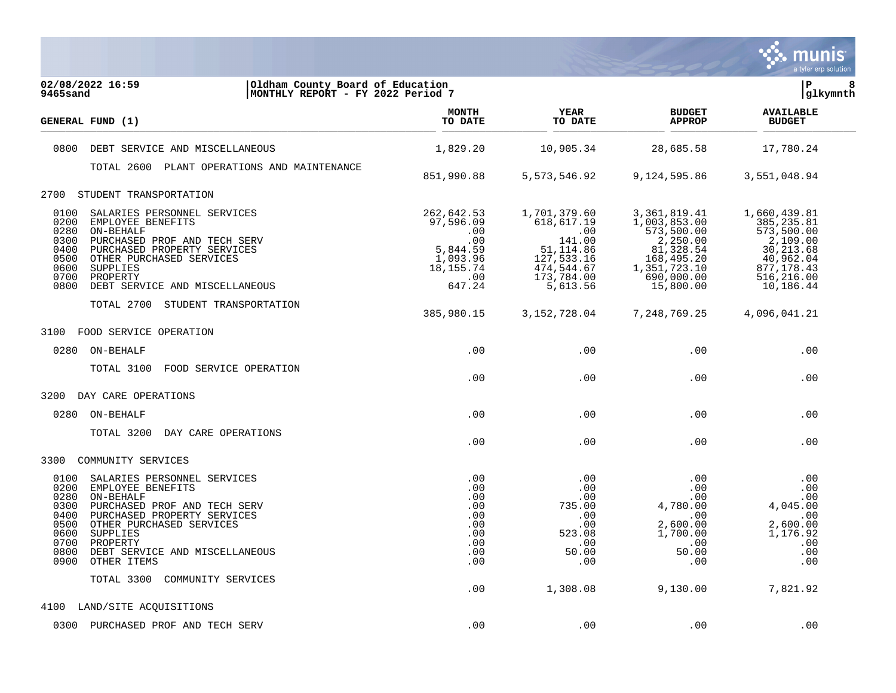

| 02/08/2022 16:59<br>Oldham County Board of Education<br>MONTHLY REPORT - FY 2022 Period 7<br>9465sand                                                                                                                                                                                                             |                                                                                               |                                                                                                                 |                                                                                                                                |                                                                                                                            | lР<br>8<br> glkymnth |  |
|-------------------------------------------------------------------------------------------------------------------------------------------------------------------------------------------------------------------------------------------------------------------------------------------------------------------|-----------------------------------------------------------------------------------------------|-----------------------------------------------------------------------------------------------------------------|--------------------------------------------------------------------------------------------------------------------------------|----------------------------------------------------------------------------------------------------------------------------|----------------------|--|
| GENERAL FUND (1)                                                                                                                                                                                                                                                                                                  | <b>MONTH</b><br>TO DATE                                                                       | YEAR<br>TO DATE                                                                                                 | <b>BUDGET</b><br><b>APPROP</b>                                                                                                 | <b>AVAILABLE</b><br><b>BUDGET</b>                                                                                          |                      |  |
| 0800<br>DEBT SERVICE AND MISCELLANEOUS                                                                                                                                                                                                                                                                            | 1,829.20                                                                                      | 10,905.34                                                                                                       | 28,685.58                                                                                                                      | 17,780.24                                                                                                                  |                      |  |
| TOTAL 2600 PLANT OPERATIONS AND MAINTENANCE                                                                                                                                                                                                                                                                       |                                                                                               |                                                                                                                 |                                                                                                                                |                                                                                                                            |                      |  |
|                                                                                                                                                                                                                                                                                                                   | 851,990.88                                                                                    | 5, 573, 546.92                                                                                                  | 9,124,595.86                                                                                                                   | 3,551,048.94                                                                                                               |                      |  |
| STUDENT TRANSPORTATION<br>2700                                                                                                                                                                                                                                                                                    |                                                                                               |                                                                                                                 |                                                                                                                                |                                                                                                                            |                      |  |
| 0100<br>SALARIES PERSONNEL SERVICES<br>0200<br>EMPLOYEE BENEFITS<br>0280<br>ON-BEHALF<br>0300<br>PURCHASED PROF AND TECH SERV<br>0400<br>PURCHASED PROPERTY SERVICES<br>0500<br>OTHER PURCHASED SERVICES<br>0600<br>SUPPLIES<br>0700<br>PROPERTY<br>0800                                                          | 262,642.53<br>97,596.09<br>.00<br>.00<br>5,844.59<br>1,093.96<br>18, 155. 74<br>.00<br>647.24 | 1,701,379.60<br>618,617.19<br>.00<br>141.00<br>51, 114.86<br>127,533.16<br>474,544.67<br>173,784.00<br>5,613.56 | 3, 361, 819.41<br>1,003,853.00<br>573,500.00<br>2,250.00<br>81,328.54<br>168,495.20<br>1,351,723.10<br>690,000.00<br>15,800.00 | 1,660,439.81<br>385, 235.81<br>573,500.00<br>2,109.00<br>30, 213.68<br>40,962.04<br>877, 178.43<br>516,216.00<br>10,186.44 |                      |  |
| DEBT SERVICE AND MISCELLANEOUS                                                                                                                                                                                                                                                                                    |                                                                                               |                                                                                                                 |                                                                                                                                |                                                                                                                            |                      |  |
| TOTAL 2700 STUDENT TRANSPORTATION                                                                                                                                                                                                                                                                                 | 385,980.15                                                                                    | 3, 152, 728.04                                                                                                  | 7,248,769.25                                                                                                                   | 4,096,041.21                                                                                                               |                      |  |
| 3100<br>FOOD SERVICE OPERATION                                                                                                                                                                                                                                                                                    |                                                                                               |                                                                                                                 |                                                                                                                                |                                                                                                                            |                      |  |
| 0280<br>ON-BEHALF                                                                                                                                                                                                                                                                                                 | .00                                                                                           | .00                                                                                                             | .00                                                                                                                            | .00                                                                                                                        |                      |  |
| TOTAL 3100<br>FOOD SERVICE OPERATION                                                                                                                                                                                                                                                                              | .00                                                                                           | .00                                                                                                             | .00                                                                                                                            | .00                                                                                                                        |                      |  |
| 3200 DAY CARE OPERATIONS                                                                                                                                                                                                                                                                                          |                                                                                               |                                                                                                                 |                                                                                                                                |                                                                                                                            |                      |  |
| 0280 ON-BEHALF                                                                                                                                                                                                                                                                                                    | .00                                                                                           | .00                                                                                                             | .00                                                                                                                            | .00                                                                                                                        |                      |  |
| TOTAL 3200 DAY CARE OPERATIONS                                                                                                                                                                                                                                                                                    | .00                                                                                           | .00                                                                                                             | .00                                                                                                                            | .00                                                                                                                        |                      |  |
| COMMUNITY SERVICES<br>3300                                                                                                                                                                                                                                                                                        |                                                                                               |                                                                                                                 |                                                                                                                                |                                                                                                                            |                      |  |
| 0100<br>SALARIES PERSONNEL SERVICES<br>0200<br>EMPLOYEE BENEFITS<br>0280<br>ON-BEHALF<br>0300<br>PURCHASED PROF AND TECH SERV<br>0400<br>PURCHASED PROPERTY SERVICES<br>0500<br>OTHER PURCHASED SERVICES<br>0600<br>SUPPLIES<br>0700<br>PROPERTY<br>0800<br>DEBT SERVICE AND MISCELLANEOUS<br>0900<br>OTHER ITEMS | .00<br>.00<br>.00<br>.00<br>.00<br>.00<br>.00<br>.00<br>.00<br>.00                            | .00<br>.00<br>.00<br>735.00<br>.00<br>.00<br>523.08<br>.00<br>50.00<br>.00                                      | .00<br>.00<br>.00<br>4,780.00<br>.00<br>2,600.00<br>1,700.00<br>.00<br>50.00<br>.00                                            | .00<br>.00<br>.00<br>4,045.00<br>.00<br>2,600.00<br>1,176.92<br>.00<br>.00<br>.00                                          |                      |  |
| TOTAL 3300<br>COMMUNITY SERVICES                                                                                                                                                                                                                                                                                  | .00                                                                                           | 1,308.08                                                                                                        | 9,130.00                                                                                                                       | 7,821.92                                                                                                                   |                      |  |
| LAND/SITE ACQUISITIONS<br>4100                                                                                                                                                                                                                                                                                    |                                                                                               |                                                                                                                 |                                                                                                                                |                                                                                                                            |                      |  |
| 0300 PURCHASED PROF AND TECH SERV                                                                                                                                                                                                                                                                                 | .00                                                                                           | .00                                                                                                             | .00                                                                                                                            | .00                                                                                                                        |                      |  |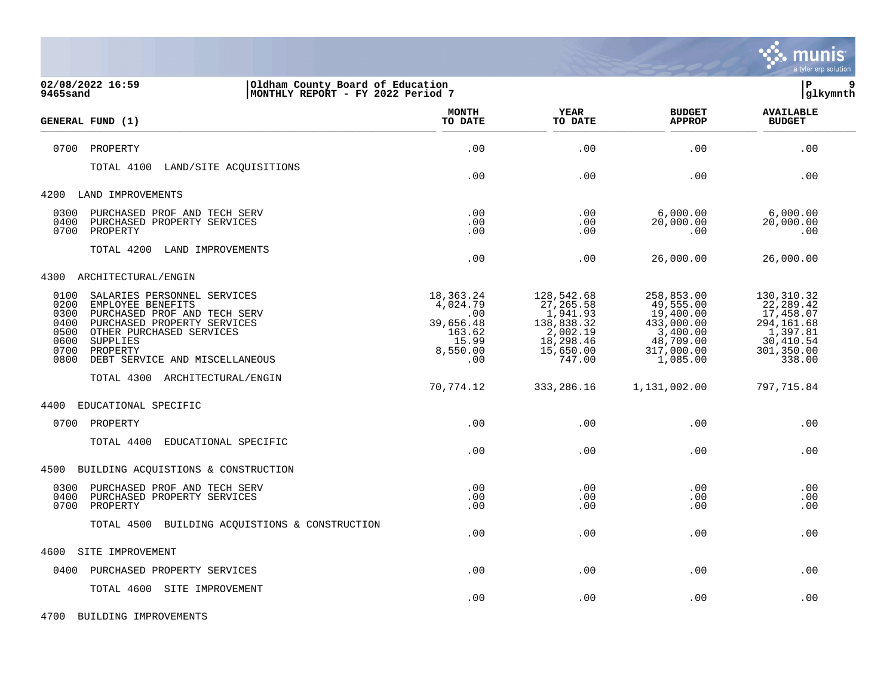

| 02/08/2022 16:59<br>Oldham County Board of Education<br>MONTHLY REPORT - FY 2022 Period 7<br>9465sand                                                                                                                                                                        |                                                                                 |                                                                                                   |                                                                                                       | lР<br>9<br> glkymnth                                                                                   |
|------------------------------------------------------------------------------------------------------------------------------------------------------------------------------------------------------------------------------------------------------------------------------|---------------------------------------------------------------------------------|---------------------------------------------------------------------------------------------------|-------------------------------------------------------------------------------------------------------|--------------------------------------------------------------------------------------------------------|
| GENERAL FUND (1)                                                                                                                                                                                                                                                             | <b>MONTH</b><br>TO DATE                                                         | YEAR<br>TO DATE                                                                                   | <b>BUDGET</b><br><b>APPROP</b>                                                                        | <b>AVAILABLE</b><br><b>BUDGET</b>                                                                      |
| 0700<br>PROPERTY                                                                                                                                                                                                                                                             | .00                                                                             | .00                                                                                               | .00                                                                                                   | .00                                                                                                    |
| TOTAL 4100<br>LAND/SITE ACQUISITIONS                                                                                                                                                                                                                                         | .00                                                                             | .00                                                                                               | .00                                                                                                   | .00                                                                                                    |
| 4200<br>LAND IMPROVEMENTS                                                                                                                                                                                                                                                    |                                                                                 |                                                                                                   |                                                                                                       |                                                                                                        |
| 0300<br>PURCHASED PROF AND TECH SERV<br>0400<br>PURCHASED PROPERTY SERVICES<br>0700<br>PROPERTY                                                                                                                                                                              | .00<br>.00<br>.00                                                               | .00<br>.00<br>.00                                                                                 | 6,000.00<br>20,000.00<br>.00                                                                          | 6,000.00<br>20,000.00<br>.00                                                                           |
| TOTAL 4200<br>LAND IMPROVEMENTS                                                                                                                                                                                                                                              | .00                                                                             | .00                                                                                               | 26,000.00                                                                                             | 26,000.00                                                                                              |
| 4300<br>ARCHITECTURAL/ENGIN                                                                                                                                                                                                                                                  |                                                                                 |                                                                                                   |                                                                                                       |                                                                                                        |
| 0100<br>SALARIES PERSONNEL SERVICES<br>0200<br>EMPLOYEE BENEFITS<br>0300<br>PURCHASED PROF AND TECH SERV<br>0400<br>PURCHASED PROPERTY SERVICES<br>0500<br>OTHER PURCHASED SERVICES<br>0600<br><b>SUPPLIES</b><br>0700<br>PROPERTY<br>0800<br>DEBT SERVICE AND MISCELLANEOUS | 18,363.24<br>4,024.79<br>.00<br>39,656.48<br>163.62<br>15.99<br>8,550.00<br>.00 | 128,542.68<br>27,265.58<br>1,941.93<br>138,838.32<br>2,002.19<br>18,298.46<br>15,650.00<br>747.00 | 258,853.00<br>49,555.00<br>19,400.00<br>433,000.00<br>3,400.00<br>48,709.00<br>317,000.00<br>1,085.00 | 130, 310. 32<br>22, 289.42<br>17,458.07<br>294,161.68<br>1,397.81<br>30,410.54<br>301,350.00<br>338.00 |
| TOTAL 4300 ARCHITECTURAL/ENGIN                                                                                                                                                                                                                                               | 70,774.12                                                                       | 333,286.16                                                                                        | 1,131,002.00                                                                                          | 797,715.84                                                                                             |
| 4400<br>EDUCATIONAL SPECIFIC                                                                                                                                                                                                                                                 |                                                                                 |                                                                                                   |                                                                                                       |                                                                                                        |
| 0700<br>PROPERTY                                                                                                                                                                                                                                                             | .00                                                                             | .00                                                                                               | .00                                                                                                   | .00                                                                                                    |
| TOTAL 4400<br>EDUCATIONAL SPECIFIC                                                                                                                                                                                                                                           | .00                                                                             | .00                                                                                               | .00                                                                                                   | .00                                                                                                    |
| BUILDING ACQUISTIONS & CONSTRUCTION<br>4500                                                                                                                                                                                                                                  |                                                                                 |                                                                                                   |                                                                                                       |                                                                                                        |
| 0300<br>PURCHASED PROF AND TECH SERV<br>0400<br>PURCHASED PROPERTY SERVICES<br>0700<br>PROPERTY                                                                                                                                                                              | .00<br>.00<br>.00                                                               | .00<br>.00<br>.00                                                                                 | .00<br>.00<br>.00                                                                                     | .00<br>.00<br>.00                                                                                      |
| TOTAL 4500<br>BUILDING ACQUISTIONS & CONSTRUCTION                                                                                                                                                                                                                            | .00                                                                             | .00                                                                                               | .00                                                                                                   | .00                                                                                                    |
| 4600<br>SITE IMPROVEMENT                                                                                                                                                                                                                                                     |                                                                                 |                                                                                                   |                                                                                                       |                                                                                                        |
| 0400<br>PURCHASED PROPERTY SERVICES                                                                                                                                                                                                                                          | .00                                                                             | .00                                                                                               | .00                                                                                                   | .00                                                                                                    |
| SITE IMPROVEMENT<br>TOTAL 4600                                                                                                                                                                                                                                               | .00                                                                             | .00                                                                                               | .00                                                                                                   | .00                                                                                                    |

4700 BUILDING IMPROVEMENTS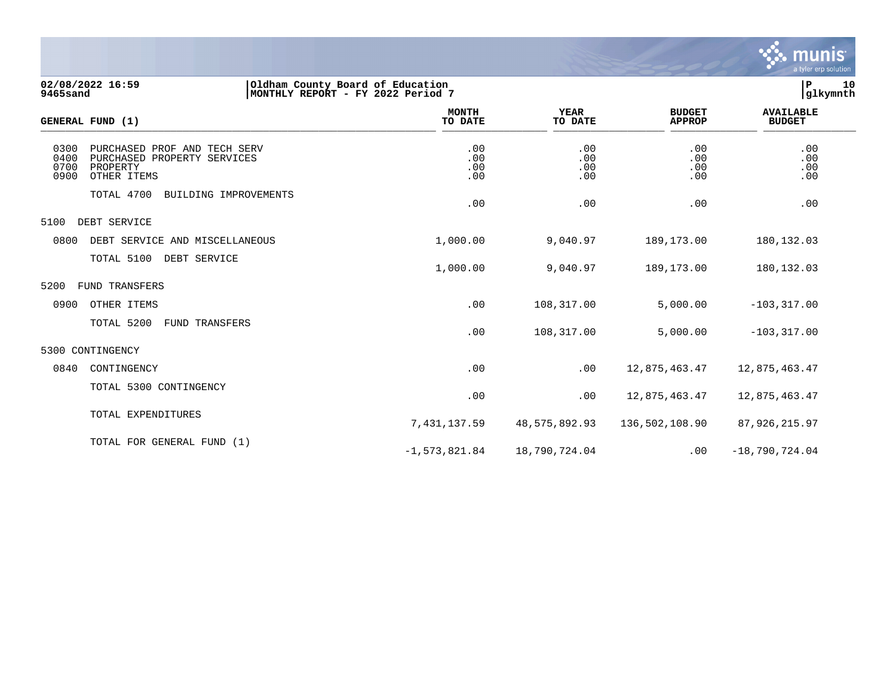

**02/08/2022 16:59 |Oldham County Board of Education |P 10 9465sand |MONTHLY REPORT - FY 2022 Period 7 |glkymnth**

| GENERAL FUND (1)                                                                                                       | <b>MONTH</b><br>TO DATE  | <b>YEAR</b><br>TO DATE   | <b>BUDGET</b><br><b>APPROP</b> | <b>AVAILABLE</b><br><b>BUDGET</b> |  |
|------------------------------------------------------------------------------------------------------------------------|--------------------------|--------------------------|--------------------------------|-----------------------------------|--|
| 0300<br>PURCHASED PROF AND TECH SERV<br>0400<br>PURCHASED PROPERTY SERVICES<br>0700<br>PROPERTY<br>0900<br>OTHER ITEMS | .00<br>.00<br>.00<br>.00 | .00<br>.00<br>.00<br>.00 | .00<br>.00<br>.00<br>.00       | .00<br>.00<br>.00<br>.00          |  |
| TOTAL 4700<br>BUILDING IMPROVEMENTS                                                                                    | .00                      | .00                      | .00                            | .00                               |  |
| 5100<br>DEBT SERVICE                                                                                                   |                          |                          |                                |                                   |  |
| 0800<br>DEBT SERVICE AND MISCELLANEOUS                                                                                 | 1,000.00                 | 9,040.97                 | 189,173.00                     | 180, 132.03                       |  |
| TOTAL 5100<br>DEBT SERVICE                                                                                             | 1,000.00                 | 9,040.97                 | 189,173.00                     | 180, 132.03                       |  |
| 5200<br>FUND TRANSFERS                                                                                                 |                          |                          |                                |                                   |  |
| 0900<br>OTHER ITEMS                                                                                                    | .00                      | 108,317.00               | 5,000.00                       | $-103, 317.00$                    |  |
| TOTAL 5200<br>FUND TRANSFERS                                                                                           | .00                      | 108,317.00               | 5,000.00                       | $-103, 317.00$                    |  |
| 5300 CONTINGENCY                                                                                                       |                          |                          |                                |                                   |  |
| 0840<br>CONTINGENCY                                                                                                    | .00                      | .00                      | 12,875,463.47                  | 12,875,463.47                     |  |
| TOTAL 5300 CONTINGENCY                                                                                                 | .00                      | .00                      | 12,875,463.47                  | 12,875,463.47                     |  |
| TOTAL EXPENDITURES                                                                                                     | 7,431,137.59             | 48,575,892.93            | 136,502,108.90                 | 87,926,215.97                     |  |
| TOTAL FOR GENERAL FUND (1)                                                                                             | $-1,573,821.84$          | 18,790,724.04            | .00                            | $-18,790,724.04$                  |  |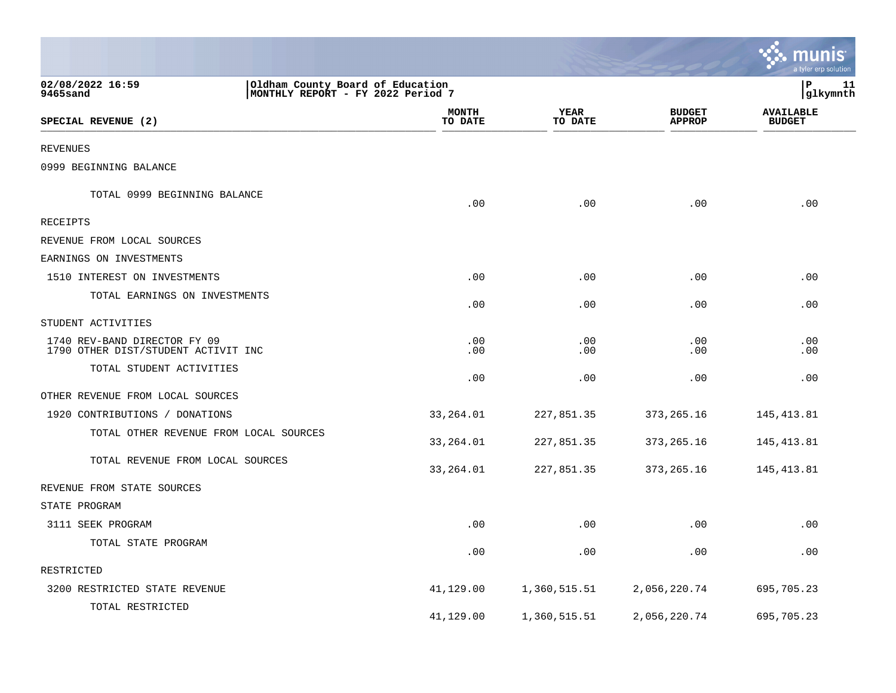|                                                                     |                                                                        |                         |                 |                                | <u>: : munis</u><br>a tyler erp solution |
|---------------------------------------------------------------------|------------------------------------------------------------------------|-------------------------|-----------------|--------------------------------|------------------------------------------|
| 02/08/2022 16:59<br>9465sand                                        | Oldham County Board of Education<br> MONTHLY REPORT - FY 2022 Period 7 |                         |                 |                                | lР<br>11<br> glkymnth                    |
| SPECIAL REVENUE (2)                                                 |                                                                        | <b>MONTH</b><br>TO DATE | YEAR<br>TO DATE | <b>BUDGET</b><br><b>APPROP</b> | <b>AVAILABLE</b><br><b>BUDGET</b>        |
| <b>REVENUES</b>                                                     |                                                                        |                         |                 |                                |                                          |
| 0999 BEGINNING BALANCE                                              |                                                                        |                         |                 |                                |                                          |
| TOTAL 0999 BEGINNING BALANCE                                        |                                                                        | .00                     | .00             | .00                            | .00                                      |
| <b>RECEIPTS</b>                                                     |                                                                        |                         |                 |                                |                                          |
| REVENUE FROM LOCAL SOURCES                                          |                                                                        |                         |                 |                                |                                          |
| EARNINGS ON INVESTMENTS                                             |                                                                        |                         |                 |                                |                                          |
| 1510 INTEREST ON INVESTMENTS                                        |                                                                        | .00                     | .00             | .00                            | .00                                      |
| TOTAL EARNINGS ON INVESTMENTS                                       |                                                                        | .00                     | .00             | .00                            | .00                                      |
| STUDENT ACTIVITIES                                                  |                                                                        |                         |                 |                                |                                          |
| 1740 REV-BAND DIRECTOR FY 09<br>1790 OTHER DIST/STUDENT ACTIVIT INC |                                                                        | .00<br>.00              | .00<br>.00      | .00<br>.00                     | .00<br>.00                               |
| TOTAL STUDENT ACTIVITIES                                            |                                                                        | .00                     | .00             | .00                            | .00                                      |
| OTHER REVENUE FROM LOCAL SOURCES                                    |                                                                        |                         |                 |                                |                                          |
| 1920 CONTRIBUTIONS / DONATIONS                                      |                                                                        | 33,264.01               | 227,851.35      | 373, 265. 16                   | 145,413.81                               |
| TOTAL OTHER REVENUE FROM LOCAL SOURCES                              |                                                                        | 33,264.01               | 227,851.35      | 373, 265. 16                   | 145,413.81                               |
| TOTAL REVENUE FROM LOCAL SOURCES                                    |                                                                        | 33,264.01               | 227,851.35      | 373, 265. 16                   | 145, 413.81                              |
| REVENUE FROM STATE SOURCES                                          |                                                                        |                         |                 |                                |                                          |
| STATE PROGRAM                                                       |                                                                        |                         |                 |                                |                                          |
| 3111 SEEK PROGRAM                                                   |                                                                        | .00                     | .00             | .00                            | .00                                      |
| TOTAL STATE PROGRAM                                                 |                                                                        | .00                     | .00             | .00                            | .00                                      |
| RESTRICTED                                                          |                                                                        |                         |                 |                                |                                          |
| 3200 RESTRICTED STATE REVENUE                                       |                                                                        | 41,129.00               | 1,360,515.51    | 2,056,220.74                   | 695,705.23                               |
| TOTAL RESTRICTED                                                    |                                                                        | 41,129.00               | 1,360,515.51    | 2,056,220.74                   | 695,705.23                               |

and the contract of the contract of the contract of the contract of the contract of the contract of the contract of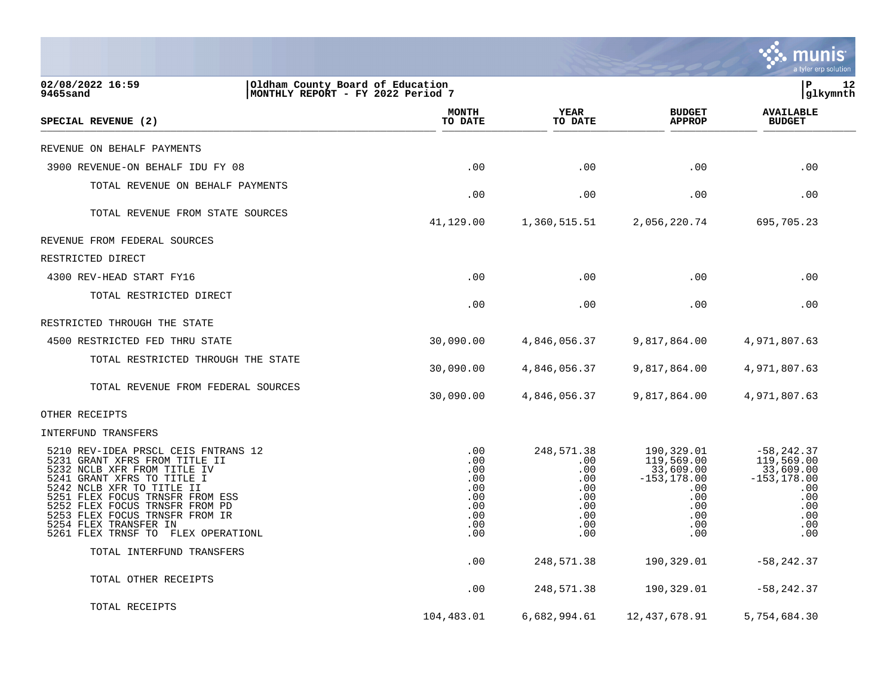|                                                                                                                                                                                                                                                                                                                                      |                                                                    |                                                                           |                                                                                                | munis<br>a tyler erp solution                                                                        |
|--------------------------------------------------------------------------------------------------------------------------------------------------------------------------------------------------------------------------------------------------------------------------------------------------------------------------------------|--------------------------------------------------------------------|---------------------------------------------------------------------------|------------------------------------------------------------------------------------------------|------------------------------------------------------------------------------------------------------|
| 02/08/2022 16:59<br>Oldham County Board of Education<br><b>9465sand</b><br>MONTHLY REPORT - FY 2022 Period 7                                                                                                                                                                                                                         |                                                                    |                                                                           |                                                                                                | P<br>12<br> glkymnth                                                                                 |
| SPECIAL REVENUE (2)                                                                                                                                                                                                                                                                                                                  | <b>MONTH</b><br>TO DATE                                            | <b>YEAR</b><br>TO DATE                                                    | <b>BUDGET</b><br><b>APPROP</b>                                                                 | <b>AVAILABLE</b><br><b>BUDGET</b>                                                                    |
| REVENUE ON BEHALF PAYMENTS                                                                                                                                                                                                                                                                                                           |                                                                    |                                                                           |                                                                                                |                                                                                                      |
| 3900 REVENUE-ON BEHALF IDU FY 08                                                                                                                                                                                                                                                                                                     | .00                                                                | .00                                                                       | .00                                                                                            | .00                                                                                                  |
| TOTAL REVENUE ON BEHALF PAYMENTS                                                                                                                                                                                                                                                                                                     | .00                                                                | .00                                                                       | .00                                                                                            | .00                                                                                                  |
| TOTAL REVENUE FROM STATE SOURCES                                                                                                                                                                                                                                                                                                     | 41,129.00                                                          | 1,360,515.51                                                              | 2,056,220.74                                                                                   | 695,705.23                                                                                           |
| REVENUE FROM FEDERAL SOURCES                                                                                                                                                                                                                                                                                                         |                                                                    |                                                                           |                                                                                                |                                                                                                      |
| RESTRICTED DIRECT                                                                                                                                                                                                                                                                                                                    |                                                                    |                                                                           |                                                                                                |                                                                                                      |
| 4300 REV-HEAD START FY16                                                                                                                                                                                                                                                                                                             | .00                                                                | .00                                                                       | .00                                                                                            | .00                                                                                                  |
| TOTAL RESTRICTED DIRECT                                                                                                                                                                                                                                                                                                              | .00                                                                | .00                                                                       | .00                                                                                            | .00                                                                                                  |
| RESTRICTED THROUGH THE STATE                                                                                                                                                                                                                                                                                                         |                                                                    |                                                                           |                                                                                                |                                                                                                      |
| 4500 RESTRICTED FED THRU STATE                                                                                                                                                                                                                                                                                                       | 30,090.00                                                          | 4,846,056.37                                                              | 9,817,864.00                                                                                   | 4,971,807.63                                                                                         |
| TOTAL RESTRICTED THROUGH THE STATE                                                                                                                                                                                                                                                                                                   | 30,090.00                                                          | 4,846,056.37                                                              | 9,817,864.00                                                                                   | 4,971,807.63                                                                                         |
| TOTAL REVENUE FROM FEDERAL SOURCES                                                                                                                                                                                                                                                                                                   | 30,090.00                                                          | 4,846,056.37                                                              | 9,817,864.00                                                                                   | 4,971,807.63                                                                                         |
| OTHER RECEIPTS                                                                                                                                                                                                                                                                                                                       |                                                                    |                                                                           |                                                                                                |                                                                                                      |
| INTERFUND TRANSFERS                                                                                                                                                                                                                                                                                                                  |                                                                    |                                                                           |                                                                                                |                                                                                                      |
| 5210 REV-IDEA PRSCL CEIS FNTRANS 12<br>5231 GRANT XFRS FROM TITLE II<br>5232 NCLB XFR FROM TITLE IV<br>5241 GRANT XFRS TO TITLE I<br>5242 NCLB XFR TO TITLE II<br>5251 FLEX FOCUS TRNSFR FROM ESS<br>5252 FLEX FOCUS TRNSFR FROM PD<br>5253 FLEX FOCUS TRNSFR FROM IR<br>5254 FLEX TRANSFER IN<br>5261 FLEX TRNSF TO FLEX OPERATIONL | .00<br>.00<br>.00<br>.00<br>.00<br>.00<br>.00<br>.00<br>.00<br>.00 | 248,571.38<br>.00<br>.00<br>.00<br>.00<br>.00<br>.00<br>.00<br>.00<br>.00 | 190,329.01<br>119,569.00<br>33,609.00<br>-153,178.00<br>.00<br>.00<br>.00<br>.00<br>.00<br>.00 | $-58, 242.37$<br>119,569.00<br>33,609.00<br>$-153, 178.00$<br>.00<br>.00<br>.00<br>.00<br>.00<br>.00 |
| TOTAL INTERFUND TRANSFERS                                                                                                                                                                                                                                                                                                            | .00                                                                | 248,571.38                                                                | 190,329.01                                                                                     | $-58, 242.37$                                                                                        |
| TOTAL OTHER RECEIPTS                                                                                                                                                                                                                                                                                                                 | .00                                                                | 248,571.38                                                                | 190,329.01                                                                                     | $-58, 242.37$                                                                                        |
| TOTAL RECEIPTS                                                                                                                                                                                                                                                                                                                       | 104,483.01                                                         | 6,682,994.61                                                              | 12, 437, 678.91                                                                                | 5,754,684.30                                                                                         |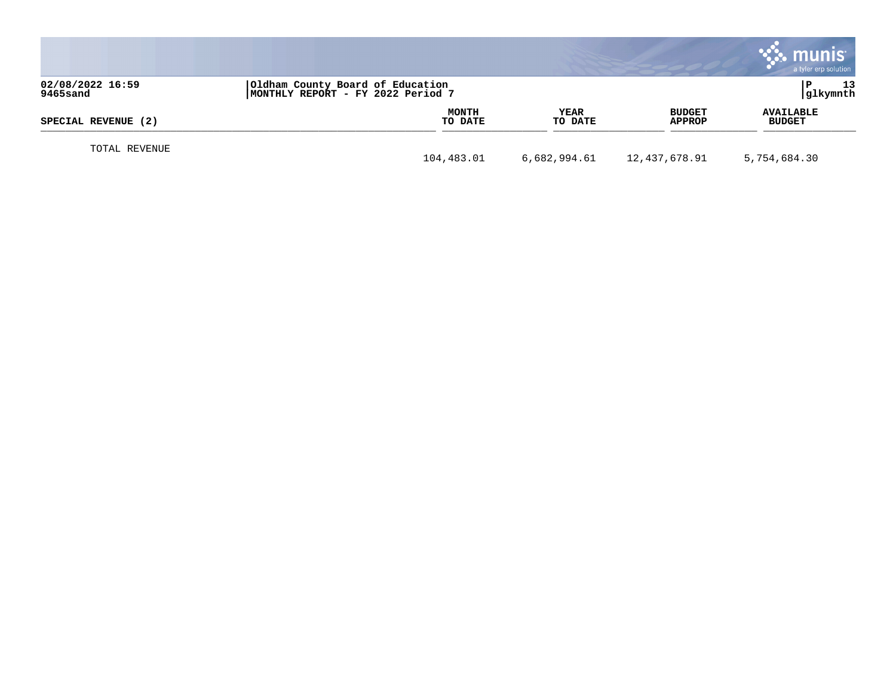|                              |                                                                       |                        |                                | munis<br>a tyler erp solution     |
|------------------------------|-----------------------------------------------------------------------|------------------------|--------------------------------|-----------------------------------|
| 02/08/2022 16:59<br>9465sand | Oldham County Board of Education<br>MONTHLY REPORT - FY 2022 Period 7 |                        |                                | 13<br>glkymnth                    |
| SPECIAL REVENUE (2)          | MONTH<br>TO DATE                                                      | <b>YEAR</b><br>TO DATE | <b>BUDGET</b><br><b>APPROP</b> | <b>AVAILABLE</b><br><b>BUDGET</b> |
| TOTAL REVENUE                | 104,483.01                                                            | 6,682,994.61           | 12,437,678.91                  | 5,754,684.30                      |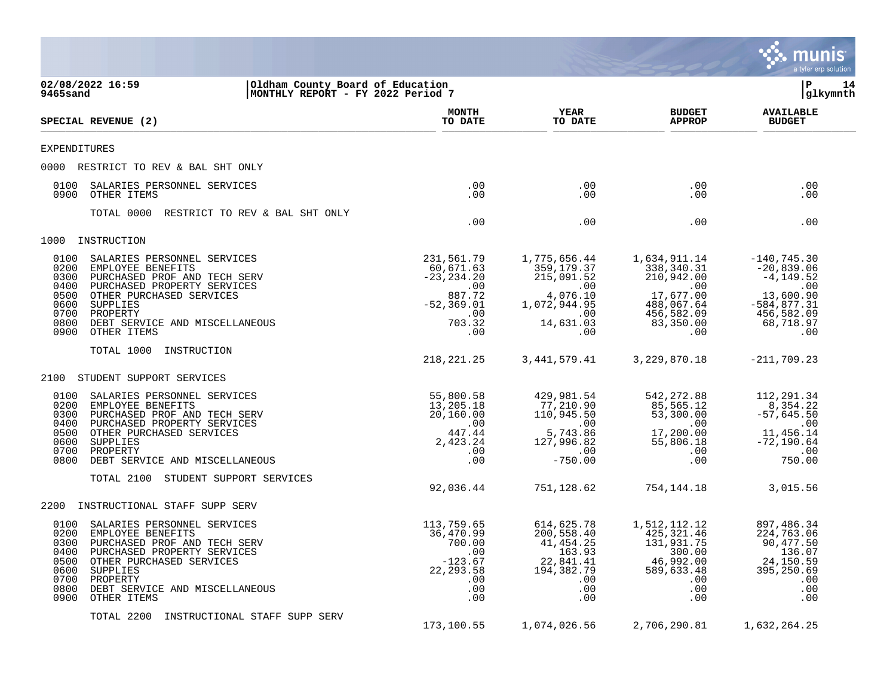|                                                                                                                                                                                                                                                                                              |                                                                                                    |                                                                                                          |                                                                                                                         | munis<br>a tyler erp solution                                                                                                                  |
|----------------------------------------------------------------------------------------------------------------------------------------------------------------------------------------------------------------------------------------------------------------------------------------------|----------------------------------------------------------------------------------------------------|----------------------------------------------------------------------------------------------------------|-------------------------------------------------------------------------------------------------------------------------|------------------------------------------------------------------------------------------------------------------------------------------------|
| 02/08/2022 16:59<br>Oldham County Board of Education<br>MONTHLY REPORT - FY 2022 Period 7<br>9465sand                                                                                                                                                                                        |                                                                                                    |                                                                                                          |                                                                                                                         | ΙP<br>14<br> glkymnth                                                                                                                          |
| SPECIAL REVENUE (2)                                                                                                                                                                                                                                                                          | <b>MONTH</b><br>TO DATE                                                                            | <b>YEAR</b><br>TO DATE                                                                                   | <b>BUDGET</b><br><b>APPROP</b>                                                                                          | <b>AVAILABLE</b><br><b>BUDGET</b>                                                                                                              |
| EXPENDITURES                                                                                                                                                                                                                                                                                 |                                                                                                    |                                                                                                          |                                                                                                                         |                                                                                                                                                |
| 0000 RESTRICT TO REV & BAL SHT ONLY                                                                                                                                                                                                                                                          |                                                                                                    |                                                                                                          |                                                                                                                         |                                                                                                                                                |
| SALARIES PERSONNEL SERVICES<br>0100<br>0900<br>OTHER ITEMS                                                                                                                                                                                                                                   | $.00 \,$<br>.00                                                                                    | .00<br>.00                                                                                               | $.00 \,$<br>$.00 \,$                                                                                                    | .00<br>.00                                                                                                                                     |
| TOTAL 0000<br>RESTRICT TO REV & BAL SHT ONLY                                                                                                                                                                                                                                                 | .00                                                                                                | .00                                                                                                      | $.00 \,$                                                                                                                | .00                                                                                                                                            |
| 1000<br>INSTRUCTION                                                                                                                                                                                                                                                                          |                                                                                                    |                                                                                                          |                                                                                                                         |                                                                                                                                                |
| 0100<br>SALARIES PERSONNEL SERVICES<br>0200<br>EMPLOYEE BENEFITS<br>PURCHASED PROF AND TECH SERV<br>0300<br>0400<br>PURCHASED PROPERTY SERVICES<br>0500<br>OTHER PURCHASED SERVICES<br>0600<br>SUPPLIES<br>0700<br>PROPERTY<br>0800<br>DEBT SERVICE AND MISCELLANEOUS<br>0900<br>OTHER ITEMS | 231,561.79<br>60,671.63<br>$-23, 234.20$<br>.00<br>887.72<br>$-52, 369.01$<br>.00<br>703.32<br>.00 | 1,775,656.44<br>359, 179. 37<br>215,091.52<br>.00<br>4,076.10<br>1,072,944.95<br>.00<br>14,631.03<br>.00 | 1,634,911.14<br>338,340.31<br>210,942.00<br>$\sim 00$<br>17,677.00<br>488,067.64<br>456,582.09<br>83,350.00<br>$.00 \,$ | $-140,745.30$<br>$-20,839.06$<br>$-4, 149.52$<br>$\overline{\phantom{0}}$ .00<br>13,600.90<br>$-584, 877.31$<br>456,582.09<br>68,718.97<br>.00 |
| TOTAL 1000<br>INSTRUCTION                                                                                                                                                                                                                                                                    | 218, 221. 25                                                                                       | 3,441,579.41                                                                                             | 3,229,870.18                                                                                                            | $-211,709.23$                                                                                                                                  |
| STUDENT SUPPORT SERVICES<br>2100                                                                                                                                                                                                                                                             |                                                                                                    |                                                                                                          |                                                                                                                         |                                                                                                                                                |
| 0100<br>SALARIES PERSONNEL SERVICES<br>0200<br>EMPLOYEE BENEFITS<br>0300<br>PURCHASED PROF AND TECH SERV<br>0400<br>PURCHASED PROPERTY SERVICES<br>0500<br>OTHER PURCHASED SERVICES<br>0600<br>SUPPLIES<br>0700<br>PROPERTY<br>0800<br>DEBT SERVICE AND MISCELLANEOUS                        | 55,800.58<br>13,205.18<br>20,160.00<br>.00<br>447.44<br>2,423.24<br>$.00 \,$<br>.00                | 429,981.54<br>77,210.90<br>110,945.50<br>.00<br>5,743.86<br>127,996.82<br>.00<br>$-750.00$               | 542, 272.88<br>85,565.12<br>53,300.00<br>.00<br>17,200.00<br>55,806.18<br>$.00 \,$<br>$.00 \,$                          | 112,291.34<br>8,354.22<br>$-57,645.50$<br>.00<br>11,456.14<br>$-72, 190.64$<br>$\ldots$<br>750.00                                              |
| STUDENT SUPPORT SERVICES<br>TOTAL 2100                                                                                                                                                                                                                                                       | 92,036.44                                                                                          | 751,128.62                                                                                               | 754,144.18                                                                                                              | 3,015.56                                                                                                                                       |
| INSTRUCTIONAL STAFF SUPP SERV<br>2200                                                                                                                                                                                                                                                        |                                                                                                    |                                                                                                          |                                                                                                                         |                                                                                                                                                |
| 0100<br>SALARIES PERSONNEL SERVICES<br>EMPLOYEE BENEFITS<br>0200<br>0300 PURCHASED PROF AND TECH SERV<br>0400 PURCHASED PROPERTY SERVICES<br>0500<br>OTHER PURCHASED SERVICES<br>0600<br>SUPPLIES<br>0700<br>PROPERTY<br>0800<br>DEBT SERVICE AND MISCELLANEOUS<br>0900<br>OTHER ITEMS       | 113,759.65<br>36,470.99<br>700.00<br>.00<br>$-123.67$<br>22, 293.58<br>.00<br>.00<br>.00           | 614,625.78<br>200,558.40<br>41,454.25<br>163.93<br>22,841.41<br>194,382.79<br>.00<br>.00<br>.00          | 1,512,112.12<br>425, 321.46<br>131,931.75<br>300.00<br>46,992.00<br>589,633.48<br>.00<br>$.00 \,$<br>$.00 \,$           | 897,486.34<br>224,763.06<br>90,477.50<br>136.07<br>24,150.59<br>395,250.69<br>.00<br>.00<br>.00                                                |
| TOTAL 2200<br>INSTRUCTIONAL STAFF SUPP SERV                                                                                                                                                                                                                                                  | 173,100.55                                                                                         | 1,074,026.56                                                                                             | 2,706,290.81                                                                                                            | 1,632,264.25                                                                                                                                   |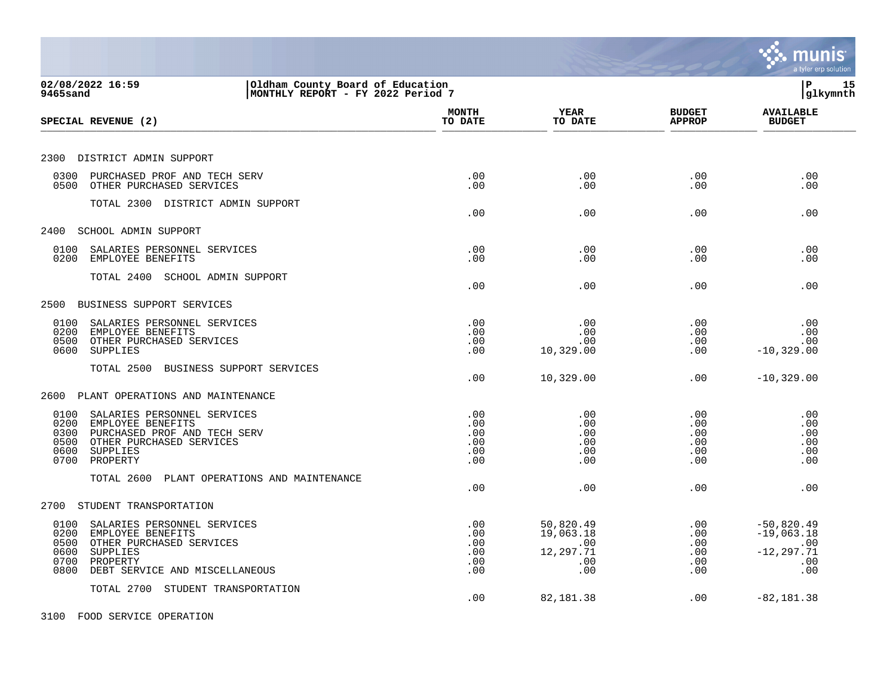|                                                                                                                                                                                        |                                        |                                                          |                                             | a tyler erp solution                                               |
|----------------------------------------------------------------------------------------------------------------------------------------------------------------------------------------|----------------------------------------|----------------------------------------------------------|---------------------------------------------|--------------------------------------------------------------------|
| 02/08/2022 16:59<br>Oldham County Board of Education<br>MONTHLY REPORT - FY 2022 Period 7<br>9465sand                                                                                  |                                        |                                                          |                                             | l P<br>15<br> glkymnth                                             |
| SPECIAL REVENUE (2)                                                                                                                                                                    | <b>MONTH</b><br>TO DATE                | <b>YEAR</b><br>TO DATE                                   | <b>BUDGET</b><br><b>APPROP</b>              | <b>AVAILABLE</b><br><b>BUDGET</b>                                  |
| 2300 DISTRICT ADMIN SUPPORT                                                                                                                                                            |                                        |                                                          |                                             |                                                                    |
| 0300<br>PURCHASED PROF AND TECH SERV<br>0500<br>OTHER PURCHASED SERVICES                                                                                                               | .00<br>.00                             | .00<br>.00                                               | .00<br>.00                                  | .00<br>.00                                                         |
| TOTAL 2300 DISTRICT ADMIN SUPPORT                                                                                                                                                      | .00                                    | .00                                                      | .00                                         | .00                                                                |
| 2400<br>SCHOOL ADMIN SUPPORT                                                                                                                                                           |                                        |                                                          |                                             |                                                                    |
| 0100<br>SALARIES PERSONNEL SERVICES<br>0200<br>EMPLOYEE BENEFITS                                                                                                                       | .00<br>.00                             | .00<br>.00                                               | .00<br>.00                                  | .00<br>.00                                                         |
| TOTAL 2400 SCHOOL ADMIN SUPPORT                                                                                                                                                        | .00                                    | .00                                                      | .00                                         | .00                                                                |
| BUSINESS SUPPORT SERVICES<br>2500                                                                                                                                                      |                                        |                                                          |                                             |                                                                    |
| 0100<br>SALARIES PERSONNEL SERVICES<br>0200<br>EMPLOYEE BENEFITS<br>OTHER PURCHASED SERVICES<br>0500<br><b>SUPPLIES</b><br>0600                                                        | .00<br>.00<br>.00<br>.00               | .00<br>.00<br>.00<br>10,329.00                           | .00<br>.00<br>$.00 \,$<br>.00               | .00<br>.00<br>.00<br>$-10, 329.00$                                 |
| TOTAL 2500<br>BUSINESS SUPPORT SERVICES                                                                                                                                                | .00                                    | 10,329.00                                                | .00                                         | $-10, 329.00$                                                      |
| 2600<br>PLANT OPERATIONS AND MAINTENANCE                                                                                                                                               |                                        |                                                          |                                             |                                                                    |
| 0100<br>SALARIES PERSONNEL SERVICES<br>0200<br>EMPLOYEE BENEFITS<br>PURCHASED PROF AND TECH SERV<br>0300<br>0500<br>OTHER PURCHASED SERVICES<br>0600<br>SUPPLIES<br>0700<br>PROPERTY   | .00<br>.00<br>.00<br>.00<br>.00<br>.00 | .00<br>.00<br>.00<br>.00<br>.00<br>.00                   | .00<br>.00<br>$.00 \,$<br>.00<br>.00<br>.00 | .00<br>.00<br>.00<br>.00<br>.00<br>.00                             |
| TOTAL 2600 PLANT OPERATIONS AND MAINTENANCE                                                                                                                                            | .00                                    | .00                                                      | .00                                         | .00                                                                |
| STUDENT TRANSPORTATION<br>2700                                                                                                                                                         |                                        |                                                          |                                             |                                                                    |
| 0100<br>SALARIES PERSONNEL SERVICES<br>0200<br>EMPLOYEE BENEFITS<br>0500<br>OTHER PURCHASED SERVICES<br>0600<br>SUPPLIES<br>0700<br>PROPERTY<br>DEBT SERVICE AND MISCELLANEOUS<br>0800 | .00<br>.00<br>.00<br>.00<br>.00<br>.00 | 50,820.49<br>19,063.18<br>.00<br>12,297.71<br>.00<br>.00 | .00<br>.00<br>.00<br>.00<br>.00<br>$.00 \,$ | $-50,820.49$<br>$-19,063.18$<br>.00<br>$-12, 297.71$<br>.00<br>.00 |
| TOTAL 2700 STUDENT TRANSPORTATION                                                                                                                                                      | .00                                    | 82,181.38                                                | .00                                         | $-82, 181.38$                                                      |
| 3100 FOOD SERVICE OPERATION                                                                                                                                                            |                                        |                                                          |                                             |                                                                    |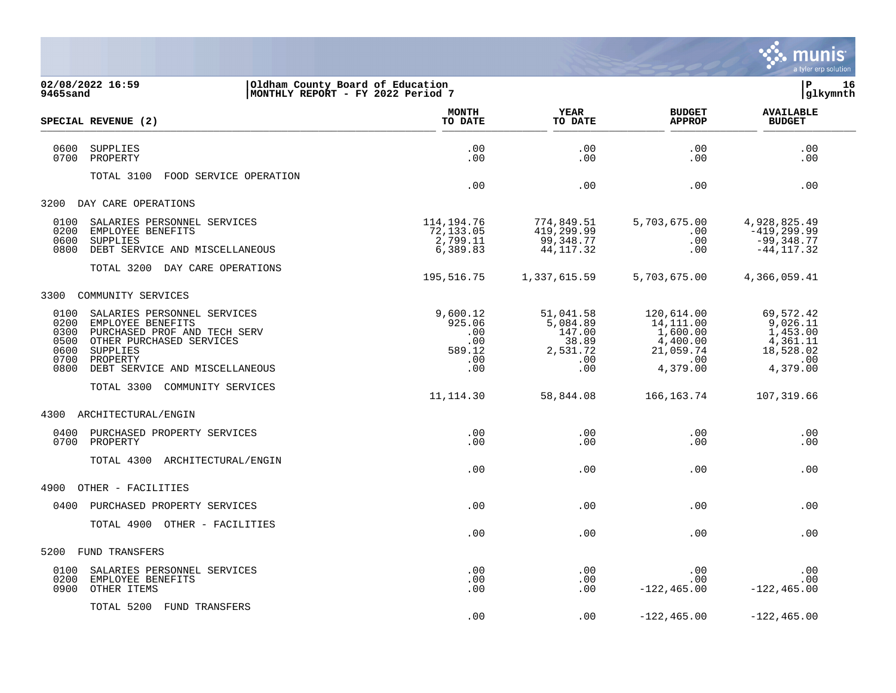

| 02/08/2022 16:59<br>9465sand                                                                                                                                                                                                   | Oldham County Board of Education<br>MONTHLY REPORT - FY 2022 Period 7 |                                                          |                                                                    |                                                                                 | lР<br>16<br> glkymnth                                                                 |
|--------------------------------------------------------------------------------------------------------------------------------------------------------------------------------------------------------------------------------|-----------------------------------------------------------------------|----------------------------------------------------------|--------------------------------------------------------------------|---------------------------------------------------------------------------------|---------------------------------------------------------------------------------------|
| SPECIAL REVENUE (2)                                                                                                                                                                                                            |                                                                       | <b>MONTH</b><br>TO DATE                                  | YEAR<br>TO DATE                                                    | <b>BUDGET</b><br><b>APPROP</b>                                                  | <b>AVAILABLE</b><br><b>BUDGET</b>                                                     |
| 0600<br>SUPPLIES<br>0700<br>PROPERTY                                                                                                                                                                                           |                                                                       | .00<br>.00                                               | .00<br>.00                                                         | .00<br>.00                                                                      | .00<br>.00                                                                            |
| TOTAL 3100<br>FOOD SERVICE OPERATION                                                                                                                                                                                           |                                                                       | .00                                                      | .00                                                                | .00                                                                             | .00                                                                                   |
| 3200 DAY CARE OPERATIONS                                                                                                                                                                                                       |                                                                       |                                                          |                                                                    |                                                                                 |                                                                                       |
| 0100<br>SALARIES PERSONNEL SERVICES<br>0200<br>EMPLOYEE BENEFITS<br>0600<br>SUPPLIES<br>DEBT SERVICE AND MISCELLANEOUS<br>0800                                                                                                 |                                                                       | 114,194.76<br>72,133.05<br>2,799.11<br>6,389.83          | 774,849.51<br>419,299.99<br>99,348.77<br>44, 117.32                | 5,703,675.00<br>.00<br>.00<br>.00                                               | 4,928,825.49<br>-419,299.99<br>$-99,348.77$<br>$-44, 117.32$                          |
| TOTAL 3200 DAY CARE OPERATIONS                                                                                                                                                                                                 |                                                                       | 195,516.75                                               | 1,337,615.59                                                       | 5,703,675.00                                                                    | 4,366,059.41                                                                          |
| COMMUNITY SERVICES<br>3300                                                                                                                                                                                                     |                                                                       |                                                          |                                                                    |                                                                                 |                                                                                       |
| 0100<br>SALARIES PERSONNEL SERVICES<br>0200<br>EMPLOYEE BENEFITS<br>0300<br>PURCHASED PROF AND TECH SERV<br>0500<br>OTHER PURCHASED SERVICES<br>0600<br>SUPPLIES<br>0700<br>PROPERTY<br>0800<br>DEBT SERVICE AND MISCELLANEOUS |                                                                       | 9,600.12<br>925.06<br>.00<br>.00<br>589.12<br>.00<br>.00 | 51,041.58<br>5,084.89<br>147.00<br>38.89<br>2,531.72<br>.00<br>.00 | 120,614.00<br>14,111.00<br>1,600.00<br>4,400.00<br>21,059.74<br>.00<br>4,379.00 | 69,572.42<br>9,026.11<br>1,453.00<br>4,361.11<br>18,528.02<br>$\ldots$ 00<br>4,379.00 |
| TOTAL 3300 COMMUNITY SERVICES                                                                                                                                                                                                  |                                                                       | 11,114.30                                                | 58,844.08                                                          | 166,163.74                                                                      | 107,319.66                                                                            |
| 4300 ARCHITECTURAL/ENGIN                                                                                                                                                                                                       |                                                                       |                                                          |                                                                    |                                                                                 |                                                                                       |
| PURCHASED PROPERTY SERVICES<br>0400<br>0700<br>PROPERTY                                                                                                                                                                        |                                                                       | .00<br>.00                                               | .00<br>.00.                                                        | .00<br>.00                                                                      | .00<br>.00                                                                            |
| TOTAL 4300 ARCHITECTURAL/ENGIN                                                                                                                                                                                                 |                                                                       | .00                                                      | .00                                                                | .00                                                                             | .00                                                                                   |
| 4900<br>OTHER - FACILITIES                                                                                                                                                                                                     |                                                                       |                                                          |                                                                    |                                                                                 |                                                                                       |
| 0400<br>PURCHASED PROPERTY SERVICES                                                                                                                                                                                            |                                                                       | .00.                                                     | .00                                                                | .00                                                                             | .00                                                                                   |
| TOTAL 4900 OTHER - FACILITIES                                                                                                                                                                                                  |                                                                       | .00                                                      | .00                                                                | .00                                                                             | .00                                                                                   |
| 5200<br><b>FUND TRANSFERS</b>                                                                                                                                                                                                  |                                                                       |                                                          |                                                                    |                                                                                 |                                                                                       |
| 0100<br>SALARIES PERSONNEL SERVICES<br>EMPLOYEE BENEFITS<br>0200<br>0900<br>OTHER ITEMS                                                                                                                                        |                                                                       | .00<br>.00<br>.00                                        | .00<br>.00<br>.00                                                  | .00<br>.00<br>$-122, 465.00$                                                    | .00<br>.00<br>$-122, 465.00$                                                          |
| TOTAL 5200 FUND TRANSFERS                                                                                                                                                                                                      |                                                                       |                                                          |                                                                    |                                                                                 |                                                                                       |

.00 .00 -122,465.00 -122,465.00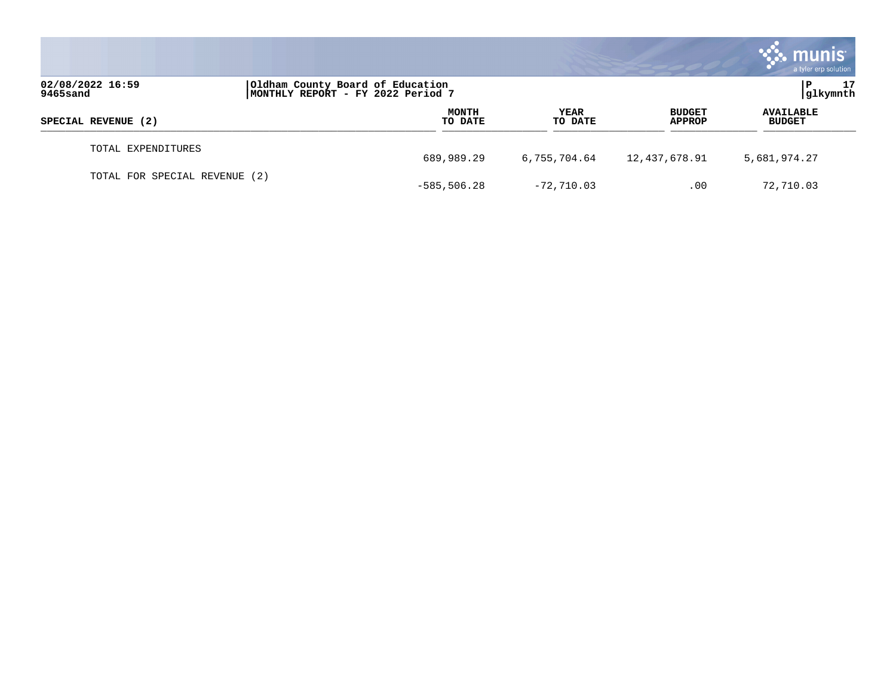|                                                                                                       |  |                         |                        |                                | a tyler erp solution              |
|-------------------------------------------------------------------------------------------------------|--|-------------------------|------------------------|--------------------------------|-----------------------------------|
| 02/08/2022 16:59<br>Oldham County Board of Education<br>MONTHLY REPORT - FY 2022 Period 7<br>9465sand |  |                         |                        |                                | 17<br>P<br> glkymnth              |
| SPECIAL REVENUE (2)                                                                                   |  | <b>MONTH</b><br>TO DATE | <b>YEAR</b><br>TO DATE | <b>BUDGET</b><br><b>APPROP</b> | <b>AVAILABLE</b><br><b>BUDGET</b> |
| TOTAL EXPENDITURES                                                                                    |  | 689,989.29              | 6,755,704.64           | 12,437,678.91                  | 5,681,974.27                      |
| TOTAL FOR SPECIAL REVENUE (2)                                                                         |  | $-585, 506.28$          | $-72,710.03$           | .00                            | 72,710.03                         |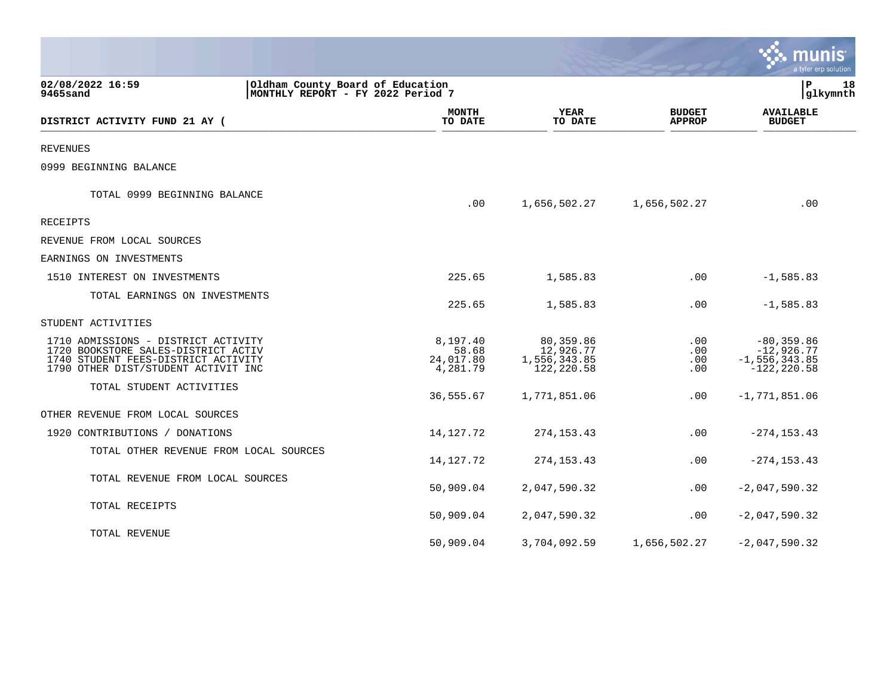|                                                                                                                                                          |                                                                       |                                                      |                                  | a tyler erp solution                                                 |
|----------------------------------------------------------------------------------------------------------------------------------------------------------|-----------------------------------------------------------------------|------------------------------------------------------|----------------------------------|----------------------------------------------------------------------|
| 02/08/2022 16:59<br>9465sand                                                                                                                             | Oldham County Board of Education<br>MONTHLY REPORT - FY 2022 Period 7 |                                                      |                                  | IΡ<br>18<br> glkymnth                                                |
| DISTRICT ACTIVITY FUND 21 AY (                                                                                                                           | <b>MONTH</b><br>TO DATE                                               | <b>YEAR</b><br>TO DATE                               | <b>BUDGET</b><br><b>APPROP</b>   | <b>AVAILABLE</b><br><b>BUDGET</b>                                    |
| <b>REVENUES</b>                                                                                                                                          |                                                                       |                                                      |                                  |                                                                      |
| 0999 BEGINNING BALANCE                                                                                                                                   |                                                                       |                                                      |                                  |                                                                      |
| TOTAL 0999 BEGINNING BALANCE                                                                                                                             | .00                                                                   | 1,656,502.27                                         | 1,656,502.27                     | .00                                                                  |
| RECEIPTS                                                                                                                                                 |                                                                       |                                                      |                                  |                                                                      |
| REVENUE FROM LOCAL SOURCES                                                                                                                               |                                                                       |                                                      |                                  |                                                                      |
| EARNINGS ON INVESTMENTS                                                                                                                                  |                                                                       |                                                      |                                  |                                                                      |
| 1510 INTEREST ON INVESTMENTS                                                                                                                             | 225.65                                                                | 1,585.83                                             | .00                              | $-1, 585.83$                                                         |
| TOTAL EARNINGS ON INVESTMENTS                                                                                                                            | 225.65                                                                | 1,585.83                                             | .00                              | $-1,585.83$                                                          |
| STUDENT ACTIVITIES                                                                                                                                       |                                                                       |                                                      |                                  |                                                                      |
| 1710 ADMISSIONS - DISTRICT ACTIVITY<br>1720 BOOKSTORE SALES-DISTRICT ACTIV<br>1740 STUDENT FEES-DISTRICT ACTIVITY<br>1790 OTHER DIST/STUDENT ACTIVIT INC | 8,197.40<br>58.68<br>24,017.80<br>4,281.79                            | 80,359.86<br>12,926.77<br>1,556,343.85<br>122,220.58 | $.00 \ \rm$<br>.00<br>.00<br>.00 | $-80, 359.86$<br>$-12,926.77$<br>$-1, 556, 343.85$<br>$-122, 220.58$ |
| TOTAL STUDENT ACTIVITIES                                                                                                                                 | 36,555.67                                                             | 1,771,851.06                                         | .00                              | $-1,771,851.06$                                                      |
| OTHER REVENUE FROM LOCAL SOURCES                                                                                                                         |                                                                       |                                                      |                                  |                                                                      |
| 1920 CONTRIBUTIONS / DONATIONS                                                                                                                           | 14,127.72                                                             | 274, 153. 43                                         | .00                              | $-274, 153.43$                                                       |
| TOTAL OTHER REVENUE FROM LOCAL SOURCES                                                                                                                   | 14, 127. 72                                                           | 274, 153. 43                                         | $.00 \,$                         | $-274, 153.43$                                                       |
| TOTAL REVENUE FROM LOCAL SOURCES                                                                                                                         | 50,909.04                                                             | 2,047,590.32                                         | .00                              | $-2,047,590.32$                                                      |
| TOTAL RECEIPTS                                                                                                                                           | 50,909.04                                                             | 2,047,590.32                                         | $.00 \,$                         | $-2,047,590.32$                                                      |
| TOTAL REVENUE                                                                                                                                            | 50,909.04                                                             | 3,704,092.59                                         | 1,656,502.27                     | $-2,047,590.32$                                                      |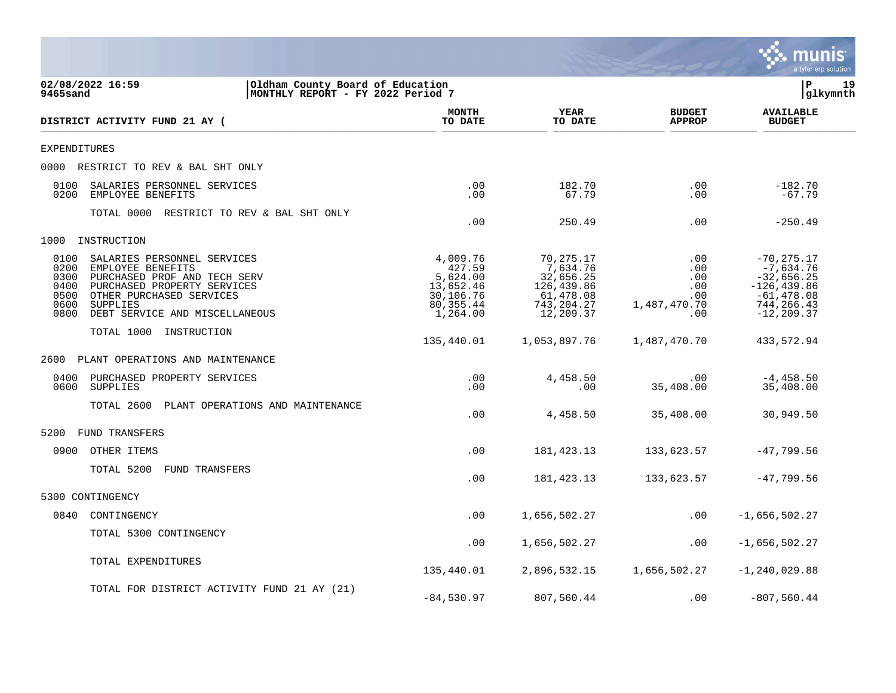|                                                                                                                                                                                                                                                   |                                                                                    |                                                                                           |                                                                  | a tyler erp solution                                                                                          |
|---------------------------------------------------------------------------------------------------------------------------------------------------------------------------------------------------------------------------------------------------|------------------------------------------------------------------------------------|-------------------------------------------------------------------------------------------|------------------------------------------------------------------|---------------------------------------------------------------------------------------------------------------|
| 02/08/2022 16:59<br>Oldham County Board of Education<br>MONTHLY REPORT - FY 2022 Period 7<br>9465sand                                                                                                                                             |                                                                                    |                                                                                           |                                                                  | lР<br>19<br> glkymnth                                                                                         |
| DISTRICT ACTIVITY FUND 21 AY (                                                                                                                                                                                                                    | <b>MONTH</b><br>TO DATE                                                            | <b>YEAR</b><br>TO DATE                                                                    | <b>BUDGET</b><br><b>APPROP</b>                                   | <b>AVAILABLE</b><br><b>BUDGET</b>                                                                             |
| EXPENDITURES                                                                                                                                                                                                                                      |                                                                                    |                                                                                           |                                                                  |                                                                                                               |
| 0000 RESTRICT TO REV & BAL SHT ONLY                                                                                                                                                                                                               |                                                                                    |                                                                                           |                                                                  |                                                                                                               |
| SALARIES PERSONNEL SERVICES<br>0100<br>0200<br>EMPLOYEE BENEFITS                                                                                                                                                                                  | .00<br>.00                                                                         | 182.70<br>67.79                                                                           | .00<br>.00.                                                      | $-182.70$<br>$-67.79$                                                                                         |
| TOTAL 0000<br>RESTRICT TO REV & BAL SHT ONLY                                                                                                                                                                                                      | .00                                                                                | 250.49                                                                                    | .00                                                              | $-250.49$                                                                                                     |
| 1000<br>INSTRUCTION                                                                                                                                                                                                                               |                                                                                    |                                                                                           |                                                                  |                                                                                                               |
| 0100<br>SALARIES PERSONNEL SERVICES<br>0200<br>EMPLOYEE BENEFITS<br>0300<br>PURCHASED PROF AND TECH SERV<br>0400<br>PURCHASED PROPERTY SERVICES<br>0500<br>OTHER PURCHASED SERVICES<br>0600<br>SUPPLIES<br>0800<br>DEBT SERVICE AND MISCELLANEOUS | 4,009.76<br>427.59<br>5,624.00<br>13,652.46<br>30,106.76<br>80, 355.44<br>1,264.00 | 70,275.17<br>7,634.76<br>32,656.25<br>126,439.86<br>61,478.08<br>743, 204.27<br>12,209.37 | .00<br>$.00 \,$<br>.00<br>.00<br>$.00 \,$<br>1,487,470.70<br>.00 | $-70, 275.17$<br>$-7,634.76$<br>$-32,656.25$<br>$-126, 439.86$<br>$-61,478.08$<br>744,266.43<br>$-12, 209.37$ |
| TOTAL 1000 INSTRUCTION                                                                                                                                                                                                                            | 135,440.01                                                                         | 1,053,897.76                                                                              | 1,487,470.70                                                     | 433,572.94                                                                                                    |
| PLANT OPERATIONS AND MAINTENANCE<br>2600                                                                                                                                                                                                          |                                                                                    |                                                                                           |                                                                  |                                                                                                               |
| 0400<br>PURCHASED PROPERTY SERVICES<br>0600<br>SUPPLIES                                                                                                                                                                                           | .00<br>.00                                                                         | 4,458.50<br>.00                                                                           | .00<br>35,408.00                                                 | $-4, 458.50$<br>35,408.00                                                                                     |
| TOTAL 2600<br>PLANT OPERATIONS AND MAINTENANCE                                                                                                                                                                                                    | .00                                                                                | 4,458.50                                                                                  | 35,408.00                                                        | 30,949.50                                                                                                     |
| 5200<br><b>FUND TRANSFERS</b>                                                                                                                                                                                                                     |                                                                                    |                                                                                           |                                                                  |                                                                                                               |
| 0900<br>OTHER ITEMS                                                                                                                                                                                                                               | .00                                                                                | 181, 423. 13                                                                              | 133,623.57                                                       | $-47,799.56$                                                                                                  |
| TOTAL 5200<br>FUND TRANSFERS                                                                                                                                                                                                                      | .00                                                                                | 181,423.13                                                                                | 133,623.57                                                       | $-47,799.56$                                                                                                  |
| 5300 CONTINGENCY                                                                                                                                                                                                                                  |                                                                                    |                                                                                           |                                                                  |                                                                                                               |
| 0840<br>CONTINGENCY                                                                                                                                                                                                                               | .00                                                                                | 1,656,502.27                                                                              | .00                                                              | $-1,656,502.27$                                                                                               |
| TOTAL 5300 CONTINGENCY                                                                                                                                                                                                                            | .00                                                                                | 1,656,502.27                                                                              | $.00 \,$                                                         | $-1,656,502.27$                                                                                               |
| TOTAL EXPENDITURES                                                                                                                                                                                                                                | 135,440.01                                                                         | 2,896,532.15                                                                              | 1,656,502.27                                                     | $-1, 240, 029.88$                                                                                             |
| TOTAL FOR DISTRICT ACTIVITY FUND 21 AY (21)                                                                                                                                                                                                       | $-84,530.97$                                                                       | 807,560.44                                                                                | .00                                                              | $-807,560.44$                                                                                                 |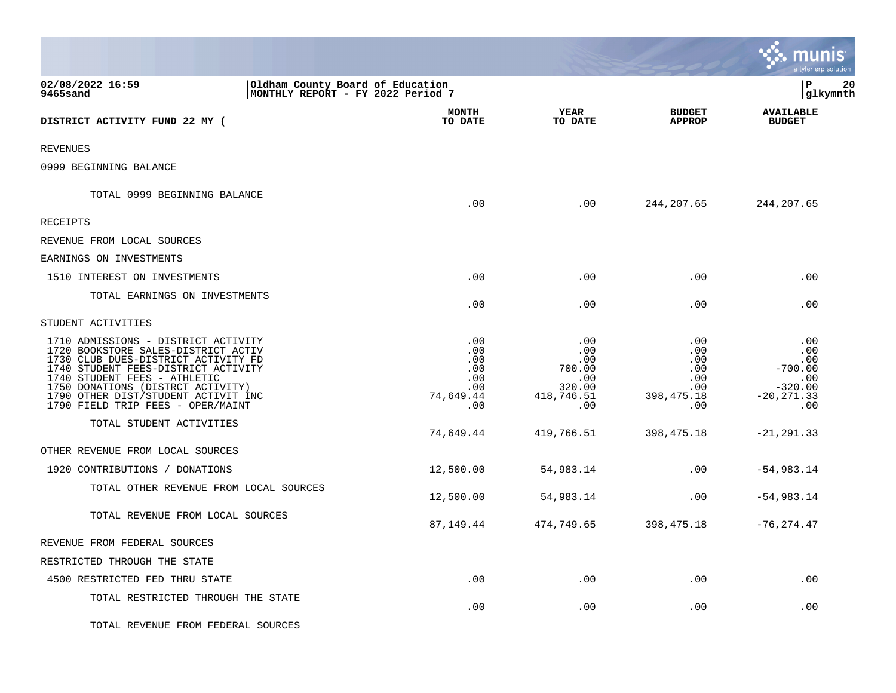|                                                                                                                                                                                                                                                                                                           |                                                            |                                                                   |                                                                              | <u>munis</u><br>a tyler erp solution                                       |
|-----------------------------------------------------------------------------------------------------------------------------------------------------------------------------------------------------------------------------------------------------------------------------------------------------------|------------------------------------------------------------|-------------------------------------------------------------------|------------------------------------------------------------------------------|----------------------------------------------------------------------------|
| 02/08/2022 16:59<br>Oldham County Board of Education<br>MONTHLY REPORT - FY 2022 Period 7<br>9465sand                                                                                                                                                                                                     |                                                            |                                                                   |                                                                              | l P<br>20<br> glkymnth                                                     |
| DISTRICT ACTIVITY FUND 22 MY (                                                                                                                                                                                                                                                                            | <b>MONTH</b><br>TO DATE                                    | <b>YEAR</b><br>TO DATE                                            | <b>BUDGET</b><br><b>APPROP</b>                                               | <b>AVAILABLE</b><br><b>BUDGET</b>                                          |
| <b>REVENUES</b>                                                                                                                                                                                                                                                                                           |                                                            |                                                                   |                                                                              |                                                                            |
| 0999 BEGINNING BALANCE                                                                                                                                                                                                                                                                                    |                                                            |                                                                   |                                                                              |                                                                            |
| TOTAL 0999 BEGINNING BALANCE                                                                                                                                                                                                                                                                              | .00                                                        | .00                                                               | 244,207.65                                                                   | 244,207.65                                                                 |
| RECEIPTS                                                                                                                                                                                                                                                                                                  |                                                            |                                                                   |                                                                              |                                                                            |
| REVENUE FROM LOCAL SOURCES                                                                                                                                                                                                                                                                                |                                                            |                                                                   |                                                                              |                                                                            |
| EARNINGS ON INVESTMENTS                                                                                                                                                                                                                                                                                   |                                                            |                                                                   |                                                                              |                                                                            |
| 1510 INTEREST ON INVESTMENTS                                                                                                                                                                                                                                                                              | .00                                                        | .00                                                               | $.00 \,$                                                                     | .00                                                                        |
| TOTAL EARNINGS ON INVESTMENTS                                                                                                                                                                                                                                                                             | .00                                                        | .00                                                               | .00                                                                          | .00                                                                        |
| STUDENT ACTIVITIES                                                                                                                                                                                                                                                                                        |                                                            |                                                                   |                                                                              |                                                                            |
| 1710 ADMISSIONS - DISTRICT ACTIVITY<br>1720 BOOKSTORE SALES-DISTRICT ACTIV<br>1730 CLUB DUES-DISTRICT ACTIVITY FD<br>1740 STUDENT FEES-DISTRICT ACTIVITY<br>1740 STUDENT FEES - ATHLETIC<br>1750 DONATIONS (DISTRCT ACTIVITY)<br>1790 OTHER DIST/STUDENT ACTIVIT INC<br>1790 FIELD TRIP FEES - OPER/MAINT | .00<br>.00<br>.00<br>.00<br>.00<br>.00<br>74,649.44<br>.00 | .00<br>.00<br>.00<br>700.00<br>.00<br>320.00<br>418,746.51<br>.00 | .00<br>.00<br>$.00 \,$<br>.00<br>.00<br>$.00 \,$<br>398, 475. 18<br>$.00 \,$ | .00<br>.00<br>.00<br>$-700.00$<br>.00<br>$-320.00$<br>$-20, 271.33$<br>.00 |
| TOTAL STUDENT ACTIVITIES                                                                                                                                                                                                                                                                                  | 74,649.44                                                  | 419,766.51                                                        | 398, 475. 18                                                                 | $-21, 291.33$                                                              |
| OTHER REVENUE FROM LOCAL SOURCES                                                                                                                                                                                                                                                                          |                                                            |                                                                   |                                                                              |                                                                            |
| 1920 CONTRIBUTIONS / DONATIONS                                                                                                                                                                                                                                                                            | 12,500.00                                                  | 54,983.14                                                         | .00                                                                          | $-54,983.14$                                                               |
| TOTAL OTHER REVENUE FROM LOCAL SOURCES                                                                                                                                                                                                                                                                    | 12,500.00                                                  | 54,983.14                                                         | .00                                                                          | $-54,983.14$                                                               |
| TOTAL REVENUE FROM LOCAL SOURCES                                                                                                                                                                                                                                                                          | 87,149.44                                                  | 474,749.65                                                        | 398,475.18                                                                   | $-76, 274.47$                                                              |
| REVENUE FROM FEDERAL SOURCES                                                                                                                                                                                                                                                                              |                                                            |                                                                   |                                                                              |                                                                            |
| RESTRICTED THROUGH THE STATE                                                                                                                                                                                                                                                                              |                                                            |                                                                   |                                                                              |                                                                            |
| 4500 RESTRICTED FED THRU STATE                                                                                                                                                                                                                                                                            | .00                                                        | .00                                                               | .00                                                                          | .00                                                                        |
| TOTAL RESTRICTED THROUGH THE STATE                                                                                                                                                                                                                                                                        | .00                                                        | .00                                                               | $.00 \,$                                                                     | .00                                                                        |
| TOTAL REVENUE FROM FEDERAL SOURCES                                                                                                                                                                                                                                                                        |                                                            |                                                                   |                                                                              |                                                                            |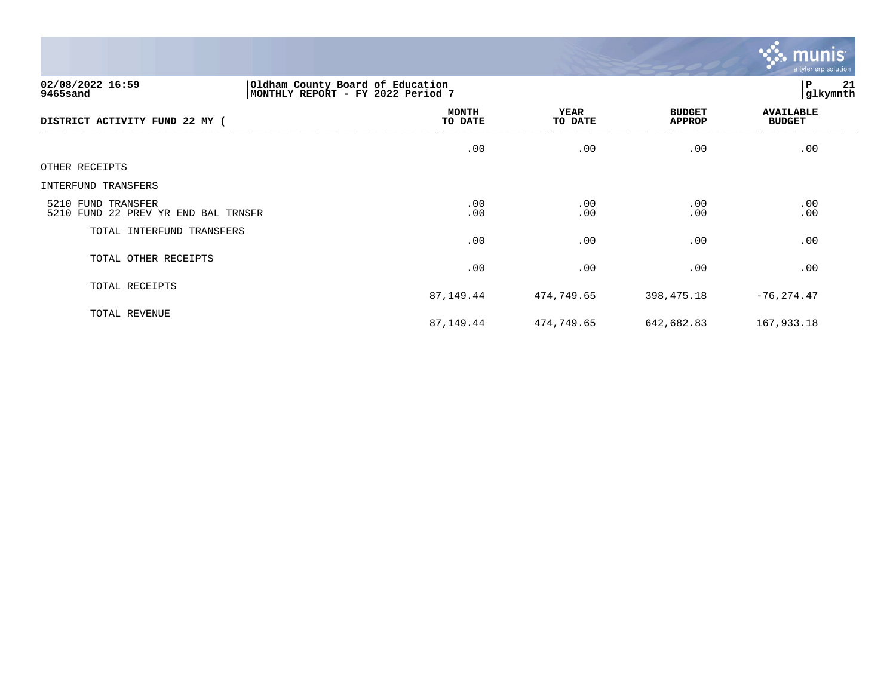

# **02/08/2022 16:59 |Oldham County Board of Education |P 21 9465sand |MONTHLY REPORT - FY 2022 Period 7 |glkymnth**

| DISTRICT ACTIVITY FUND 22 MY (                            | <b>MONTH</b><br>TO DATE | YEAR<br>TO DATE | <b>BUDGET</b><br><b>APPROP</b> | <b>AVAILABLE</b><br><b>BUDGET</b> |
|-----------------------------------------------------------|-------------------------|-----------------|--------------------------------|-----------------------------------|
|                                                           | .00                     | .00             | .00                            | .00                               |
| OTHER RECEIPTS                                            |                         |                 |                                |                                   |
| INTERFUND TRANSFERS                                       |                         |                 |                                |                                   |
| 5210 FUND TRANSFER<br>5210 FUND 22 PREV YR END BAL TRNSFR | .00<br>.00              | .00<br>.00      | .00<br>.00                     | .00<br>.00                        |
| TOTAL INTERFUND TRANSFERS                                 | .00                     | .00             | .00                            | .00                               |
| TOTAL OTHER RECEIPTS                                      | .00                     | .00             | .00                            | .00                               |
| TOTAL RECEIPTS                                            | 87,149.44               | 474,749.65      | 398,475.18                     | $-76, 274.47$                     |
| TOTAL REVENUE                                             | 87,149.44               | 474,749.65      | 642,682.83                     | 167,933.18                        |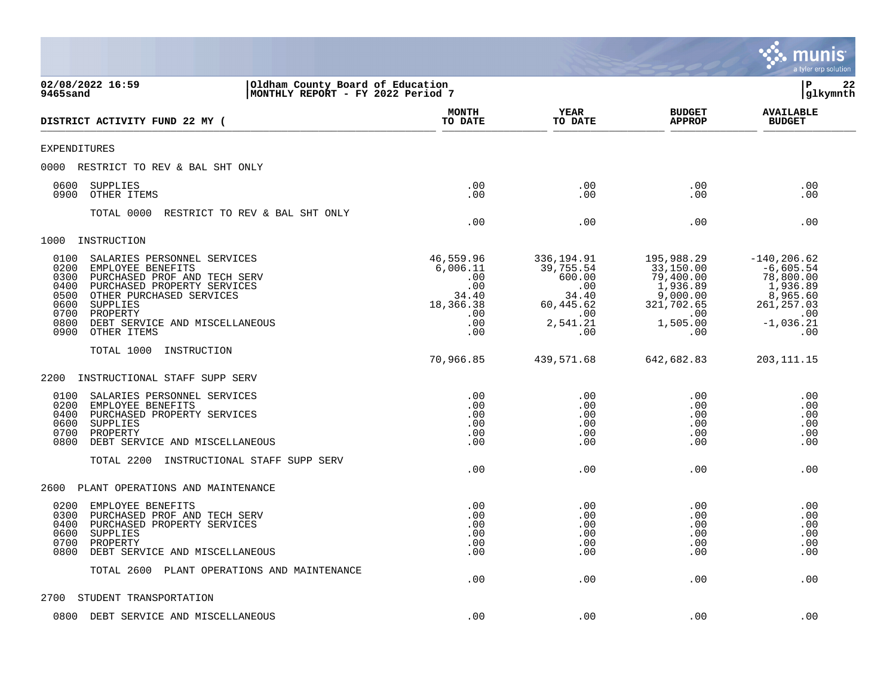|                                                                                                                                                                                                                                                                                              |                                                                                |                                                                                          |                                                                                                      | a tyler erp solution                                                                                          |
|----------------------------------------------------------------------------------------------------------------------------------------------------------------------------------------------------------------------------------------------------------------------------------------------|--------------------------------------------------------------------------------|------------------------------------------------------------------------------------------|------------------------------------------------------------------------------------------------------|---------------------------------------------------------------------------------------------------------------|
| 02/08/2022 16:59<br>9465sand                                                                                                                                                                                                                                                                 | Oldham County Board of Education<br>MONTHLY REPORT - FY 2022 Period 7          |                                                                                          |                                                                                                      | ΙP<br>22<br>glkymnth                                                                                          |
| DISTRICT ACTIVITY FUND 22 MY (                                                                                                                                                                                                                                                               | <b>MONTH</b><br>TO DATE                                                        | <b>YEAR</b><br>TO DATE                                                                   | <b>BUDGET</b><br><b>APPROP</b>                                                                       | <b>AVAILABLE</b><br><b>BUDGET</b>                                                                             |
| <b>EXPENDITURES</b>                                                                                                                                                                                                                                                                          |                                                                                |                                                                                          |                                                                                                      |                                                                                                               |
| 0000<br>RESTRICT TO REV & BAL SHT ONLY                                                                                                                                                                                                                                                       |                                                                                |                                                                                          |                                                                                                      |                                                                                                               |
| 0600<br>SUPPLIES<br>0900<br>OTHER ITEMS                                                                                                                                                                                                                                                      | .00<br>.00                                                                     | .00<br>.00                                                                               | .00<br>.00                                                                                           | .00<br>.00                                                                                                    |
| TOTAL 0000<br>RESTRICT TO REV & BAL SHT ONLY                                                                                                                                                                                                                                                 | .00                                                                            | .00                                                                                      | .00                                                                                                  | .00                                                                                                           |
| 1000<br>INSTRUCTION                                                                                                                                                                                                                                                                          |                                                                                |                                                                                          |                                                                                                      |                                                                                                               |
| 0100<br>SALARIES PERSONNEL SERVICES<br>0200<br>EMPLOYEE BENEFITS<br>0300<br>PURCHASED PROF AND TECH SERV<br>0400<br>PURCHASED PROPERTY SERVICES<br>0500<br>OTHER PURCHASED SERVICES<br>0600<br>SUPPLIES<br>0700<br>PROPERTY<br>0800<br>DEBT SERVICE AND MISCELLANEOUS<br>0900<br>OTHER ITEMS | 46,559.96<br>6,006.11<br>.00<br>.00<br>34.40<br>18,366.38<br>.00<br>.00<br>.00 | 336,194.91<br>39,755.54<br>600.00<br>.00<br>34.40<br>60,445.62<br>.00<br>2,541.21<br>.00 | 195,988.29<br>33,150.00<br>79,400.00<br>1,936.89<br>9,000.00<br>321,702.65<br>.00<br>1,505.00<br>.00 | $-140, 206.62$<br>$-6,605.54$<br>78,800.00<br>1,936.89<br>8,965.60<br>261,257.03<br>.00<br>$-1,036.21$<br>.00 |
| TOTAL 1000<br>INSTRUCTION                                                                                                                                                                                                                                                                    |                                                                                |                                                                                          |                                                                                                      |                                                                                                               |
|                                                                                                                                                                                                                                                                                              | 70,966.85                                                                      | 439,571.68                                                                               | 642,682.83                                                                                           | 203, 111. 15                                                                                                  |
| 2200<br>INSTRUCTIONAL STAFF SUPP SERV                                                                                                                                                                                                                                                        |                                                                                |                                                                                          |                                                                                                      |                                                                                                               |
| 0100<br>SALARIES PERSONNEL SERVICES<br>0200<br>EMPLOYEE BENEFITS<br>0400<br>PURCHASED PROPERTY SERVICES<br>0600<br>SUPPLIES<br>0700<br>PROPERTY<br>0800<br>DEBT SERVICE AND MISCELLANEOUS<br>TOTAL 2200<br>INSTRUCTIONAL STAFF SUPP SERV                                                     | .00<br>.00<br>.00<br>.00<br>.00<br>.00                                         | .00<br>.00<br>.00<br>.00<br>.00<br>.00                                                   | .00<br>.00<br>.00<br>.00<br>.00<br>.00                                                               | .00<br>.00<br>.00<br>.00<br>.00<br>.00                                                                        |
|                                                                                                                                                                                                                                                                                              | .00                                                                            | .00                                                                                      | .00                                                                                                  | .00                                                                                                           |
| 2600<br>PLANT OPERATIONS AND MAINTENANCE                                                                                                                                                                                                                                                     |                                                                                |                                                                                          |                                                                                                      |                                                                                                               |
| 0200<br>EMPLOYEE BENEFITS<br>0300<br>PURCHASED PROF AND TECH SERV<br>PURCHASED PROPERTY SERVICES<br>0400<br>0600<br>SUPPLIES<br>0700<br>PROPERTY<br>0800<br>DEBT SERVICE AND MISCELLANEOUS                                                                                                   | .00<br>.00<br>.00<br>.00<br>.00<br>.00                                         | .00<br>.00<br>.00<br>.00<br>.00<br>.00                                                   | .00<br>.00<br>.00<br>.00<br>.00<br>.00                                                               | .00<br>.00<br>.00<br>.00<br>.00<br>.00                                                                        |
| TOTAL 2600 PLANT OPERATIONS AND MAINTENANCE                                                                                                                                                                                                                                                  | .00                                                                            | .00                                                                                      | .00                                                                                                  | .00                                                                                                           |
| STUDENT TRANSPORTATION<br>2700                                                                                                                                                                                                                                                               |                                                                                |                                                                                          |                                                                                                      |                                                                                                               |
| DEBT SERVICE AND MISCELLANEOUS<br>0800                                                                                                                                                                                                                                                       | .00                                                                            | .00                                                                                      | .00                                                                                                  | .00                                                                                                           |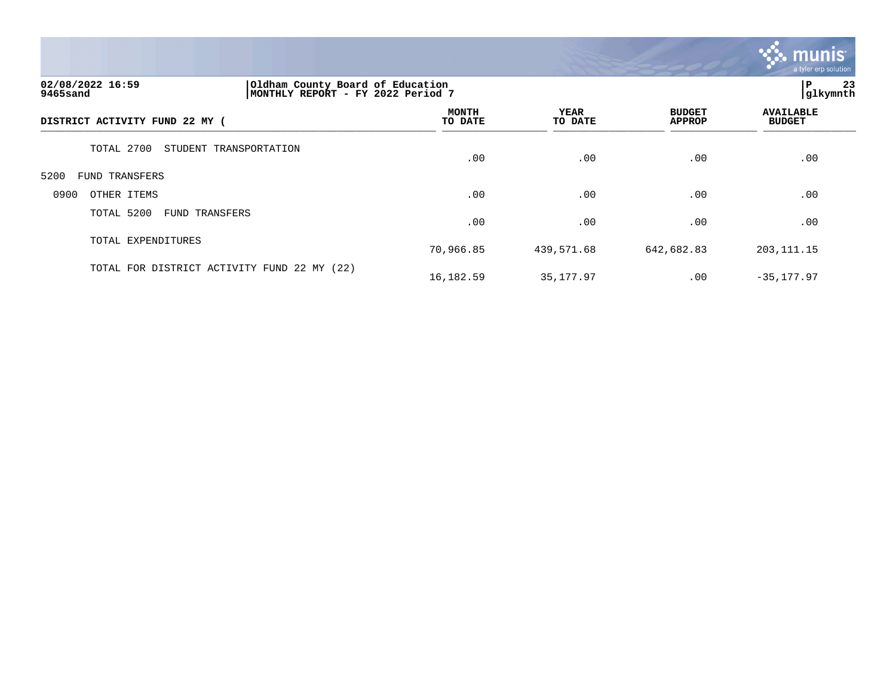

# **02/08/2022 16:59 |Oldham County Board of Education |P 23 9465sand |MONTHLY REPORT - FY 2022 Period 7 |glkymnth**

|                                             |                         |                 | $\overline{\phantom{a}}$       |                                   |  |
|---------------------------------------------|-------------------------|-----------------|--------------------------------|-----------------------------------|--|
| DISTRICT ACTIVITY FUND 22 MY (              | <b>MONTH</b><br>TO DATE | YEAR<br>TO DATE | <b>BUDGET</b><br><b>APPROP</b> | <b>AVAILABLE</b><br><b>BUDGET</b> |  |
| TOTAL 2700<br>STUDENT TRANSPORTATION        | .00                     | .00             | .00                            | .00                               |  |
| 5200<br>FUND TRANSFERS                      |                         |                 |                                |                                   |  |
| 0900<br>OTHER ITEMS                         | .00                     | .00             | .00                            | .00                               |  |
| TOTAL 5200<br><b>FUND TRANSFERS</b>         | .00                     | .00             | .00                            | .00                               |  |
| TOTAL EXPENDITURES                          | 70,966.85               | 439,571.68      | 642,682.83                     | 203, 111. 15                      |  |
| TOTAL FOR DISTRICT ACTIVITY FUND 22 MY (22) | 16,182.59               | 35,177.97       | .00                            | $-35, 177.97$                     |  |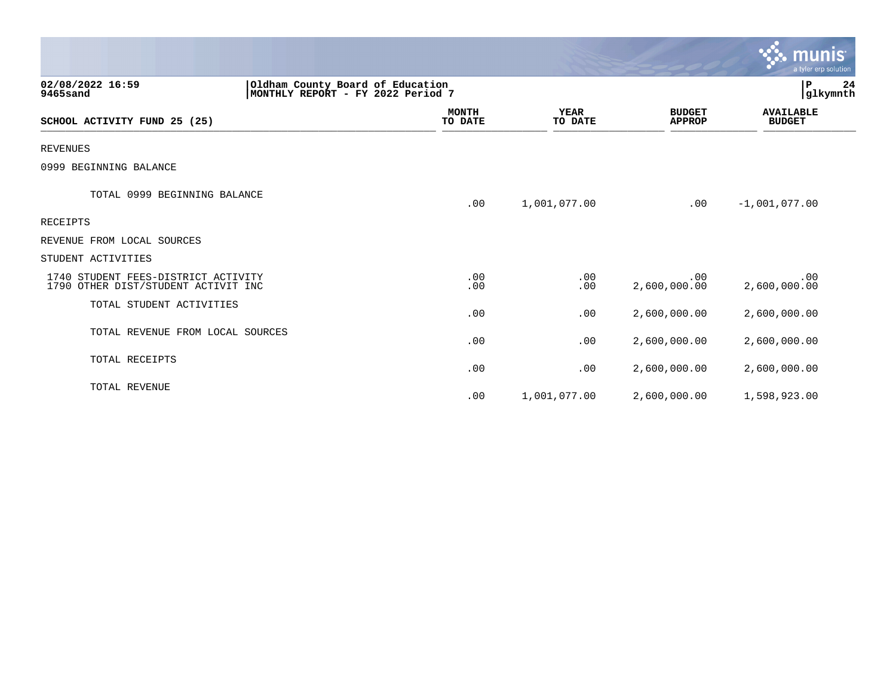|                                                                                                       |                         |                        |                                | munis<br>a tyler erp solution     |  |
|-------------------------------------------------------------------------------------------------------|-------------------------|------------------------|--------------------------------|-----------------------------------|--|
| Oldham County Board of Education<br>02/08/2022 16:59<br>MONTHLY REPORT - FY 2022 Period 7<br>9465sand |                         |                        |                                | $\mathbf P$<br>24<br>glkymnth     |  |
| SCHOOL ACTIVITY FUND 25 (25)                                                                          | <b>MONTH</b><br>TO DATE | <b>YEAR</b><br>TO DATE | <b>BUDGET</b><br><b>APPROP</b> | <b>AVAILABLE</b><br><b>BUDGET</b> |  |
| <b>REVENUES</b>                                                                                       |                         |                        |                                |                                   |  |
| 0999 BEGINNING BALANCE                                                                                |                         |                        |                                |                                   |  |
| TOTAL 0999 BEGINNING BALANCE                                                                          | .00                     | 1,001,077.00           | .00                            | $-1,001,077.00$                   |  |
| <b>RECEIPTS</b>                                                                                       |                         |                        |                                |                                   |  |
| REVENUE FROM LOCAL SOURCES                                                                            |                         |                        |                                |                                   |  |
| STUDENT ACTIVITIES                                                                                    |                         |                        |                                |                                   |  |
| 1740 STUDENT FEES-DISTRICT ACTIVITY<br>1790 OTHER DIST/STUDENT ACTIVIT INC                            | .00<br>.00              | .00<br>.00             | .00<br>2,600,000.00            | .00<br>2,600,000.00               |  |
| TOTAL STUDENT ACTIVITIES                                                                              | .00                     | .00                    | 2,600,000.00                   | 2,600,000.00                      |  |
| TOTAL REVENUE FROM LOCAL SOURCES                                                                      | .00                     | .00                    | 2,600,000.00                   | 2,600,000.00                      |  |
| TOTAL RECEIPTS                                                                                        | .00                     | .00                    | 2,600,000.00                   | 2,600,000.00                      |  |
| TOTAL REVENUE                                                                                         | .00                     | 1,001,077.00           | 2,600,000.00                   | 1,598,923.00                      |  |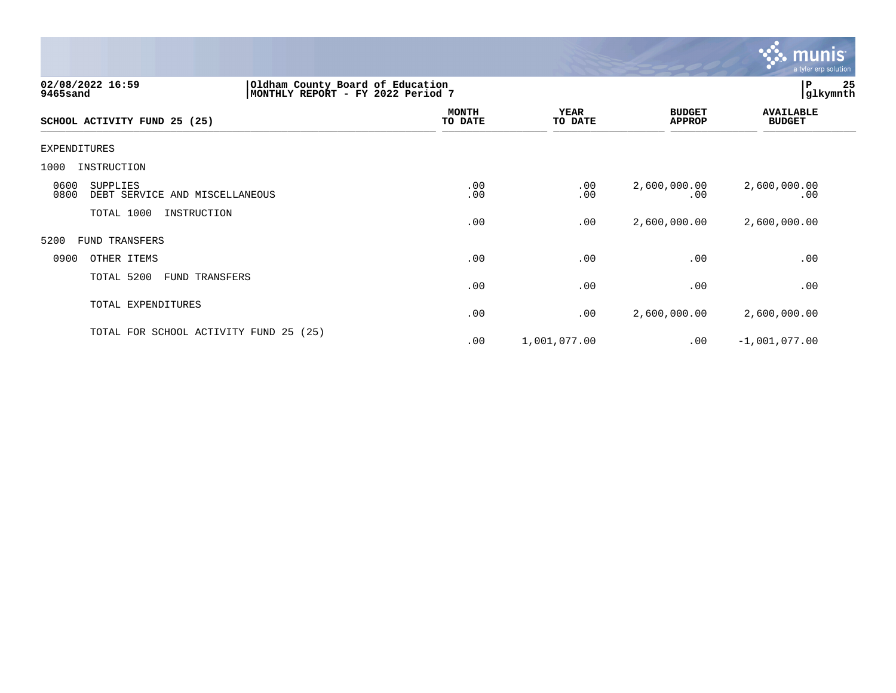

| 02/08/2022 16:59<br><b>9465sand</b>                        | Oldham County Board of Education<br>MONTHLY REPORT - FY 2022 Period 7 |                         |                        |                                | $\mathbf P$<br> glkymnth          |  |
|------------------------------------------------------------|-----------------------------------------------------------------------|-------------------------|------------------------|--------------------------------|-----------------------------------|--|
| SCHOOL ACTIVITY FUND 25 (25)                               |                                                                       | <b>MONTH</b><br>TO DATE | <b>YEAR</b><br>TO DATE | <b>BUDGET</b><br><b>APPROP</b> | <b>AVAILABLE</b><br><b>BUDGET</b> |  |
| EXPENDITURES                                               |                                                                       |                         |                        |                                |                                   |  |
| 1000<br>INSTRUCTION                                        |                                                                       |                         |                        |                                |                                   |  |
| 0600<br>SUPPLIES<br>0800<br>DEBT SERVICE AND MISCELLANEOUS |                                                                       | .00<br>.00              | .00<br>.00             | 2,600,000.00<br>.00            | 2,600,000.00<br>.00               |  |
| TOTAL 1000<br>INSTRUCTION                                  |                                                                       | .00                     | .00                    | 2,600,000.00                   | 2,600,000.00                      |  |
| 5200<br>FUND TRANSFERS                                     |                                                                       |                         |                        |                                |                                   |  |
| 0900<br>OTHER ITEMS                                        |                                                                       | .00                     | .00                    | .00                            | .00                               |  |
| TOTAL 5200<br>FUND TRANSFERS                               |                                                                       | .00                     | .00                    | .00                            | .00                               |  |
| TOTAL EXPENDITURES                                         |                                                                       | .00                     | .00                    | 2,600,000.00                   | 2,600,000.00                      |  |
| TOTAL FOR SCHOOL ACTIVITY FUND 25 (25)                     |                                                                       | .00                     | 1,001,077.00           | .00                            | $-1,001,077.00$                   |  |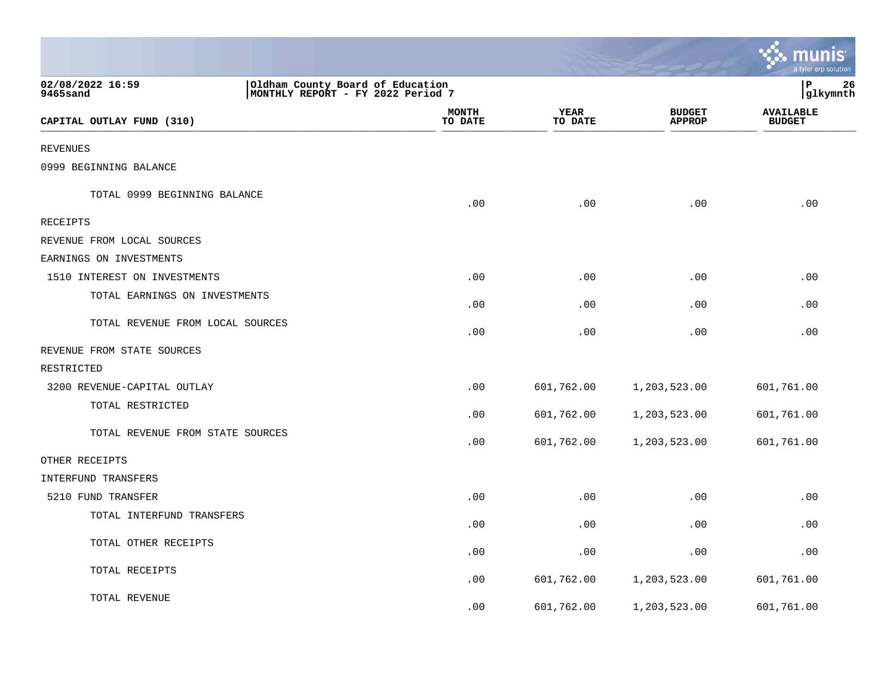|                                  |                                                                       |                        |                                | <u>ः munis</u><br>a tyler erp solution |
|----------------------------------|-----------------------------------------------------------------------|------------------------|--------------------------------|----------------------------------------|
| 02/08/2022 16:59<br>9465sand     | Oldham County Board of Education<br>MONTHLY REPORT - FY 2022 Period 7 |                        |                                | ∣P<br>26<br> glkymnth                  |
| CAPITAL OUTLAY FUND (310)        | <b>MONTH</b><br>TO DATE                                               | <b>YEAR</b><br>TO DATE | <b>BUDGET</b><br><b>APPROP</b> | <b>AVAILABLE</b><br><b>BUDGET</b>      |
| <b>REVENUES</b>                  |                                                                       |                        |                                |                                        |
| 0999 BEGINNING BALANCE           |                                                                       |                        |                                |                                        |
| TOTAL 0999 BEGINNING BALANCE     | .00                                                                   | .00                    | .00                            | .00                                    |
| RECEIPTS                         |                                                                       |                        |                                |                                        |
| REVENUE FROM LOCAL SOURCES       |                                                                       |                        |                                |                                        |
| EARNINGS ON INVESTMENTS          |                                                                       |                        |                                |                                        |
| 1510 INTEREST ON INVESTMENTS     | .00                                                                   | .00                    | .00                            | .00                                    |
| TOTAL EARNINGS ON INVESTMENTS    | .00                                                                   | .00                    | .00                            | .00                                    |
| TOTAL REVENUE FROM LOCAL SOURCES | .00                                                                   | .00                    | .00                            | .00                                    |
| REVENUE FROM STATE SOURCES       |                                                                       |                        |                                |                                        |
| RESTRICTED                       |                                                                       |                        |                                |                                        |
| 3200 REVENUE-CAPITAL OUTLAY      | .00                                                                   | 601,762.00             | 1,203,523.00                   | 601,761.00                             |
| TOTAL RESTRICTED                 | .00                                                                   | 601,762.00             | 1,203,523.00                   | 601,761.00                             |
| TOTAL REVENUE FROM STATE SOURCES | .00                                                                   | 601,762.00             | 1,203,523.00                   | 601,761.00                             |
| OTHER RECEIPTS                   |                                                                       |                        |                                |                                        |
| INTERFUND TRANSFERS              |                                                                       |                        |                                |                                        |
| 5210 FUND TRANSFER               | .00                                                                   | .00                    | .00                            | .00                                    |
| TOTAL INTERFUND TRANSFERS        | .00                                                                   | .00                    | .00                            | .00                                    |
| TOTAL OTHER RECEIPTS             | .00                                                                   | .00                    | .00                            | .00                                    |
| TOTAL RECEIPTS                   | .00                                                                   | 601,762.00             | 1,203,523.00                   | 601,761.00                             |
| TOTAL REVENUE                    | .00                                                                   | 601,762.00             | 1,203,523.00                   | 601,761.00                             |

the control of the state of the control of the control of the control of the control of the control of the control of the control of the control of the control of the control of the control of the control of the control of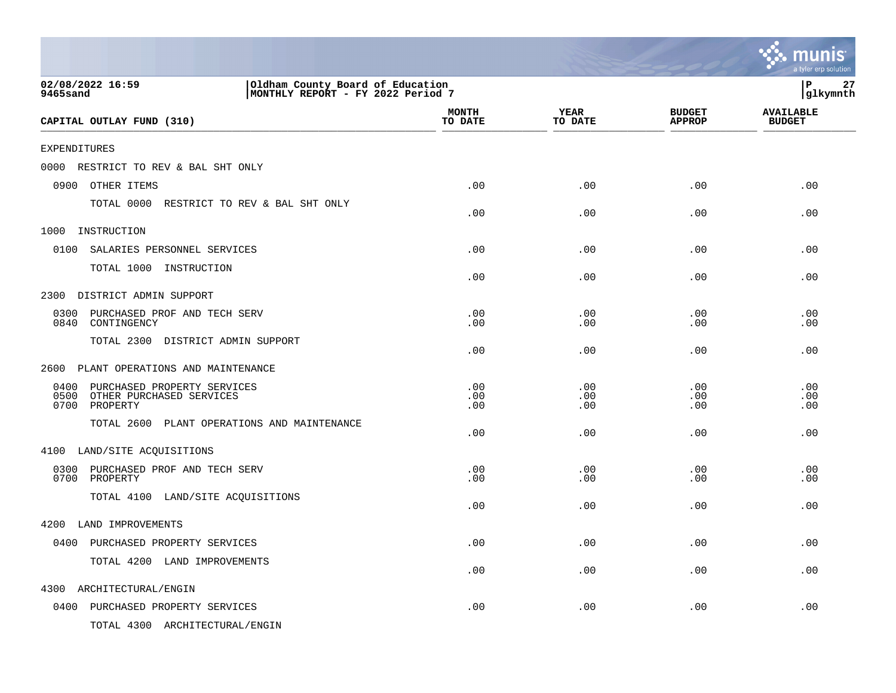|                                                                                                              |                         |                        |                                | munis<br>a tyler erp solution     |
|--------------------------------------------------------------------------------------------------------------|-------------------------|------------------------|--------------------------------|-----------------------------------|
| 02/08/2022 16:59<br>Oldham County Board of Education<br>MONTHLY REPORT - FY 2022 Period 7<br><b>9465sand</b> |                         |                        |                                | $\mathbf P$<br>27<br> glkymnth    |
| CAPITAL OUTLAY FUND (310)                                                                                    | <b>MONTH</b><br>TO DATE | <b>YEAR</b><br>TO DATE | <b>BUDGET</b><br><b>APPROP</b> | <b>AVAILABLE</b><br><b>BUDGET</b> |
| <b>EXPENDITURES</b>                                                                                          |                         |                        |                                |                                   |
| RESTRICT TO REV & BAL SHT ONLY<br>0000                                                                       |                         |                        |                                |                                   |
| 0900<br>OTHER ITEMS                                                                                          | .00                     | .00                    | .00                            | .00                               |
| TOTAL 0000 RESTRICT TO REV & BAL SHT ONLY                                                                    | .00                     | .00                    | .00                            | .00                               |
| 1000<br>INSTRUCTION                                                                                          |                         |                        |                                |                                   |
| 0100<br>SALARIES PERSONNEL SERVICES                                                                          | .00                     | .00                    | .00                            | .00                               |
| TOTAL 1000 INSTRUCTION                                                                                       | .00                     | .00                    | .00                            | .00                               |
| DISTRICT ADMIN SUPPORT<br>2300                                                                               |                         |                        |                                |                                   |
| 0300<br>PURCHASED PROF AND TECH SERV<br>0840<br>CONTINGENCY                                                  | .00<br>.00              | .00<br>.00             | .00<br>.00                     | .00<br>.00                        |
| TOTAL 2300 DISTRICT ADMIN SUPPORT                                                                            | .00                     | .00                    | .00                            | .00                               |
| PLANT OPERATIONS AND MAINTENANCE<br>2600                                                                     |                         |                        |                                |                                   |
| PURCHASED PROPERTY SERVICES<br>0400<br>0500 OTHER PURCHASED SERVICES<br>0700 PROPERTY                        | .00<br>.00<br>.00       | .00<br>.00<br>.00      | .00<br>.00<br>.00              | .00<br>.00<br>.00                 |
| TOTAL 2600 PLANT OPERATIONS AND MAINTENANCE                                                                  | .00                     | .00                    | .00                            | .00                               |
| 4100 LAND/SITE ACQUISITIONS                                                                                  |                         |                        |                                |                                   |
| 0300 PURCHASED PROF AND TECH SERV<br>0700 PROPERTY                                                           | .00<br>.00              | .00<br>.00             | .00<br>.00                     | .00<br>.00                        |
| TOTAL 4100 LAND/SITE ACQUISITIONS                                                                            | .00                     | .00                    | .00                            | .00                               |
| 4200 LAND IMPROVEMENTS                                                                                       |                         |                        |                                |                                   |
| 0400 PURCHASED PROPERTY SERVICES                                                                             | .00                     | .00                    | .00                            | .00                               |
| TOTAL 4200 LAND IMPROVEMENTS                                                                                 | .00                     | .00                    | .00                            | .00                               |
| 4300<br>ARCHITECTURAL/ENGIN                                                                                  |                         |                        |                                |                                   |
| 0400 PURCHASED PROPERTY SERVICES                                                                             | .00                     | .00                    | .00                            | .00                               |
| TOTAL 4300 ARCHITECTURAL/ENGIN                                                                               |                         |                        |                                |                                   |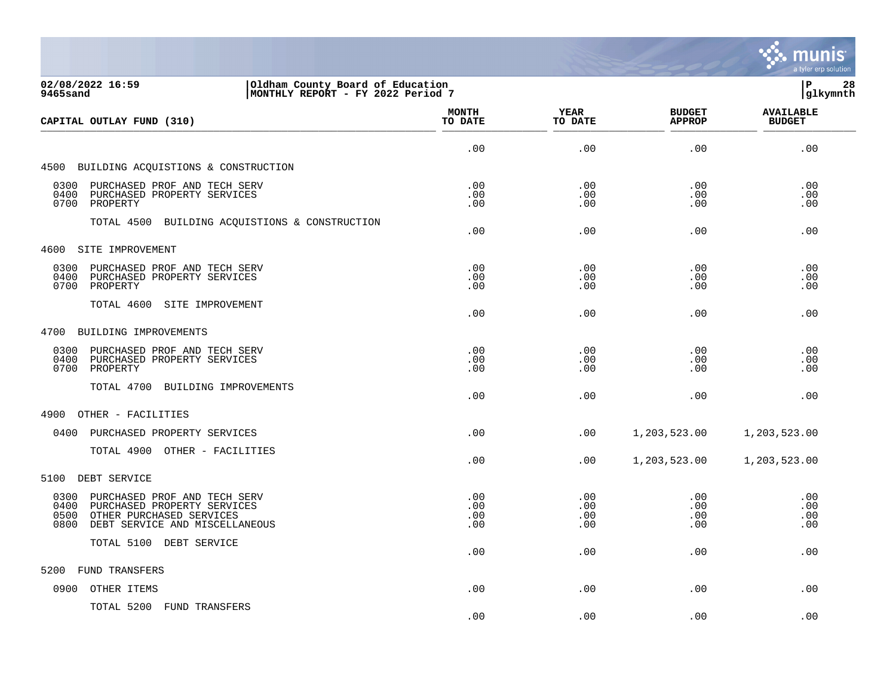

| 02/08/2022 16:59<br>Oldham County Board of Education<br>MONTHLY REPORT - FY 2022 Period 7<br>9465sand                                                     |                          |                          | lР<br>28<br> glkymnth            |                                   |
|-----------------------------------------------------------------------------------------------------------------------------------------------------------|--------------------------|--------------------------|----------------------------------|-----------------------------------|
| CAPITAL OUTLAY FUND (310)                                                                                                                                 | <b>MONTH</b><br>TO DATE  | <b>YEAR</b><br>TO DATE   | <b>BUDGET</b><br><b>APPROP</b>   | <b>AVAILABLE</b><br><b>BUDGET</b> |
|                                                                                                                                                           | .00                      | .00                      | .00                              | .00                               |
| 4500 BUILDING ACQUISTIONS & CONSTRUCTION                                                                                                                  |                          |                          |                                  |                                   |
| PURCHASED PROF AND TECH SERV<br>0300<br>0400<br>PURCHASED PROPERTY SERVICES<br>0700<br>PROPERTY                                                           | .00<br>.00<br>.00        | .00<br>.00<br>.00        | .00<br>.00<br>.00                | .00<br>.00<br>.00                 |
| TOTAL 4500 BUILDING ACQUISTIONS & CONSTRUCTION                                                                                                            | .00                      | .00                      | .00                              | .00                               |
| 4600 SITE IMPROVEMENT                                                                                                                                     |                          |                          |                                  |                                   |
| 0300 PURCHASED PROF AND TECH SERV<br>0400<br>PURCHASED PROPERTY SERVICES<br>0700<br>PROPERTY                                                              | .00<br>.00<br>.00        | .00<br>.00<br>.00        | .00<br>.00<br>.00                | .00<br>.00<br>.00                 |
| TOTAL 4600 SITE IMPROVEMENT                                                                                                                               | .00                      | .00                      | .00                              | .00                               |
| 4700 BUILDING IMPROVEMENTS                                                                                                                                |                          |                          |                                  |                                   |
| PURCHASED PROF AND TECH SERV<br>0300<br>0400<br>PURCHASED PROPERTY SERVICES<br>0700<br>PROPERTY                                                           | .00<br>.00<br>.00        | .00<br>.00<br>.00        | .00<br>$.00 \,$<br>$.00 \,$      | .00<br>.00<br>.00                 |
| TOTAL 4700 BUILDING IMPROVEMENTS                                                                                                                          | .00                      | .00                      | .00                              | .00                               |
| 4900<br>OTHER - FACILITIES                                                                                                                                |                          |                          |                                  |                                   |
| 0400<br>PURCHASED PROPERTY SERVICES                                                                                                                       | .00                      | .00                      | 1,203,523.00                     | 1,203,523.00                      |
| TOTAL 4900 OTHER - FACILITIES                                                                                                                             | .00                      | .00                      | 1,203,523.00                     | 1,203,523.00                      |
| DEBT SERVICE<br>5100                                                                                                                                      |                          |                          |                                  |                                   |
| 0300<br>PURCHASED PROF AND TECH SERV<br>0400<br>PURCHASED PROPERTY SERVICES<br>OTHER PURCHASED SERVICES<br>0500<br>DEBT SERVICE AND MISCELLANEOUS<br>0800 | .00<br>.00<br>.00<br>.00 | .00<br>.00<br>.00<br>.00 | $.00 \ \rm$<br>.00<br>.00<br>.00 | .00<br>.00<br>.00<br>.00          |
| TOTAL 5100 DEBT SERVICE                                                                                                                                   | .00                      | .00                      | $.00 \ \rm$                      | .00                               |
| FUND TRANSFERS<br>5200                                                                                                                                    |                          |                          |                                  |                                   |
| 0900<br>OTHER ITEMS                                                                                                                                       | .00                      | .00                      | .00                              | .00                               |
| TOTAL 5200 FUND TRANSFERS                                                                                                                                 |                          |                          |                                  |                                   |

.00 .00 .00 .00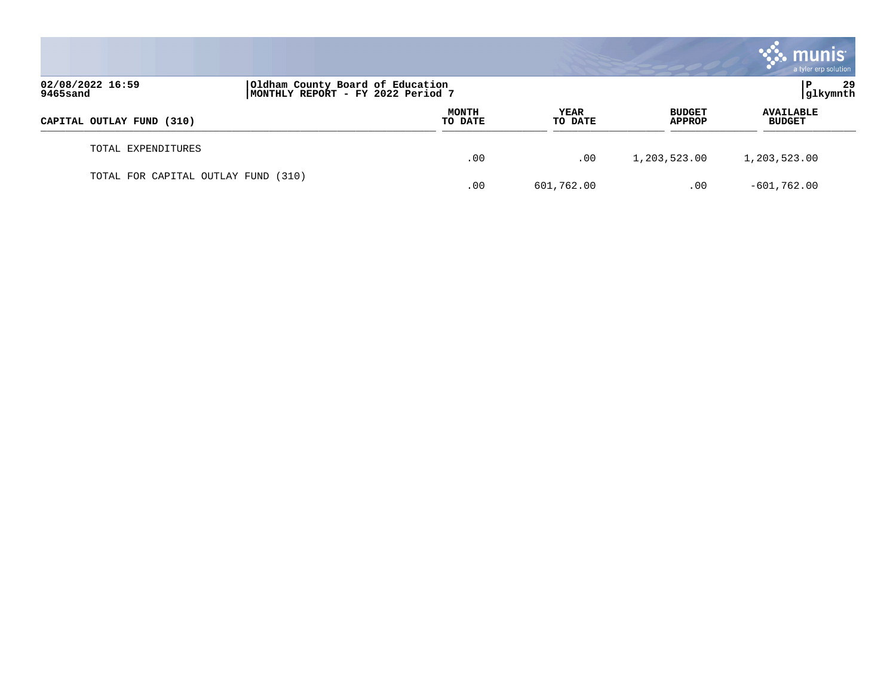|                                     |                                                                       |                  |                        |                                | <b>munis</b><br>a tyler erp solution |
|-------------------------------------|-----------------------------------------------------------------------|------------------|------------------------|--------------------------------|--------------------------------------|
| 02/08/2022 16:59<br>9465sand        | Oldham County Board of Education<br>MONTHLY REPORT - FY 2022 Period 7 |                  |                        |                                | 29<br>P<br> glkymnth                 |
| CAPITAL OUTLAY FUND (310)           |                                                                       | MONTH<br>TO DATE | <b>YEAR</b><br>TO DATE | <b>BUDGET</b><br><b>APPROP</b> | <b>AVAILABLE</b><br><b>BUDGET</b>    |
| TOTAL EXPENDITURES                  |                                                                       | .00              | .00                    | 1,203,523.00                   | 1,203,523.00                         |
| TOTAL FOR CAPITAL OUTLAY FUND (310) |                                                                       | .00              | 601,762.00             | .00                            | $-601,762.00$                        |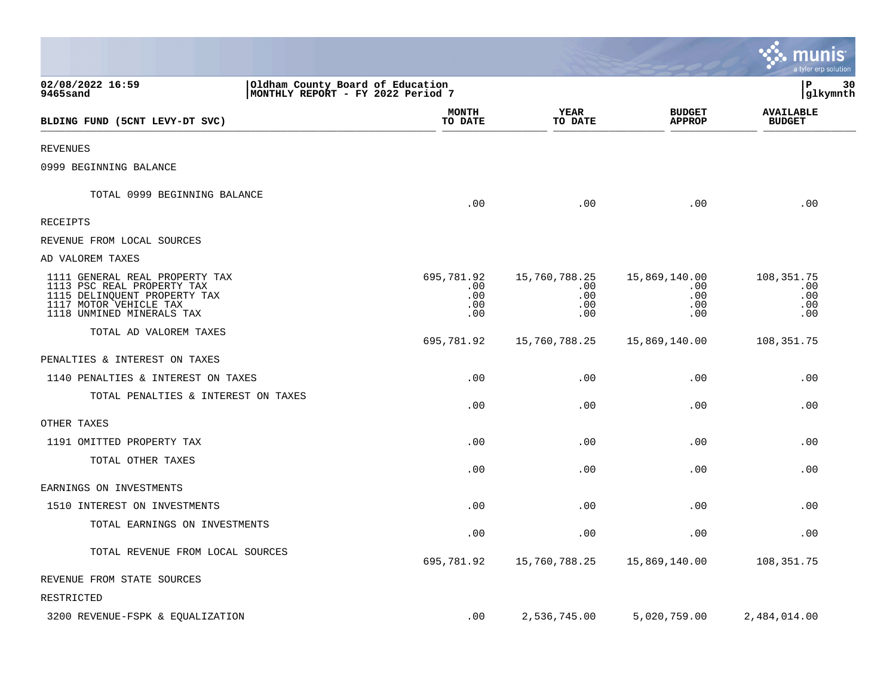|                                                                                                                                                     |                                                                       |                                           |                                                | nıs<br>mu<br>a tyler erp solution      |
|-----------------------------------------------------------------------------------------------------------------------------------------------------|-----------------------------------------------------------------------|-------------------------------------------|------------------------------------------------|----------------------------------------|
| 02/08/2022 16:59<br>9465sand                                                                                                                        | Oldham County Board of Education<br>MONTHLY REPORT - FY 2022 Period 7 |                                           |                                                | lР<br>30<br> glkymnth                  |
| BLDING FUND (5CNT LEVY-DT SVC)                                                                                                                      | <b>MONTH</b><br>TO DATE                                               | YEAR<br>TO DATE                           | <b>BUDGET</b><br><b>APPROP</b>                 | <b>AVAILABLE</b><br><b>BUDGET</b>      |
| REVENUES                                                                                                                                            |                                                                       |                                           |                                                |                                        |
| 0999 BEGINNING BALANCE                                                                                                                              |                                                                       |                                           |                                                |                                        |
| TOTAL 0999 BEGINNING BALANCE                                                                                                                        | .00                                                                   | .00                                       | .00                                            | .00                                    |
| RECEIPTS                                                                                                                                            |                                                                       |                                           |                                                |                                        |
| REVENUE FROM LOCAL SOURCES                                                                                                                          |                                                                       |                                           |                                                |                                        |
| AD VALOREM TAXES                                                                                                                                    |                                                                       |                                           |                                                |                                        |
| 1111 GENERAL REAL PROPERTY TAX<br>1113 PSC REAL PROPERTY TAX<br>1115 DELINQUENT PROPERTY TAX<br>1117 MOTOR VEHICLE TAX<br>1118 UNMINED MINERALS TAX | 695,781.92<br>.00<br>.00<br>.00<br>.00                                | 15,760,788.25<br>.00<br>.00<br>.00<br>.00 | 15,869,140.00<br>.00<br>$.00 \,$<br>.00<br>.00 | 108,351.75<br>.00<br>.00<br>.00<br>.00 |
| TOTAL AD VALOREM TAXES                                                                                                                              | 695,781.92                                                            | 15,760,788.25                             | 15,869,140.00                                  | 108, 351. 75                           |
| PENALTIES & INTEREST ON TAXES                                                                                                                       |                                                                       |                                           |                                                |                                        |
| 1140 PENALTIES & INTEREST ON TAXES                                                                                                                  | .00                                                                   | .00                                       | .00                                            | .00                                    |
| TOTAL PENALTIES & INTEREST ON TAXES                                                                                                                 | .00                                                                   | .00                                       | .00                                            | .00                                    |
| OTHER TAXES                                                                                                                                         |                                                                       |                                           |                                                |                                        |
| 1191 OMITTED PROPERTY TAX                                                                                                                           | .00                                                                   | .00                                       | .00                                            | .00                                    |
| TOTAL OTHER TAXES                                                                                                                                   | .00                                                                   | .00                                       | .00                                            | .00                                    |
| EARNINGS ON INVESTMENTS                                                                                                                             |                                                                       |                                           |                                                |                                        |
| 1510 INTEREST ON INVESTMENTS                                                                                                                        | .00                                                                   | .00                                       | .00                                            | .00                                    |
| TOTAL EARNINGS ON INVESTMENTS                                                                                                                       | .00                                                                   | .00                                       | .00                                            | .00                                    |
| TOTAL REVENUE FROM LOCAL SOURCES                                                                                                                    | 695,781.92                                                            | 15,760,788.25                             | 15,869,140.00                                  | 108, 351. 75                           |
| REVENUE FROM STATE SOURCES                                                                                                                          |                                                                       |                                           |                                                |                                        |
| RESTRICTED                                                                                                                                          |                                                                       |                                           |                                                |                                        |
| 3200 REVENUE-FSPK & EQUALIZATION                                                                                                                    | .00                                                                   | 2,536,745.00                              | 5,020,759.00                                   | 2,484,014.00                           |

**The State**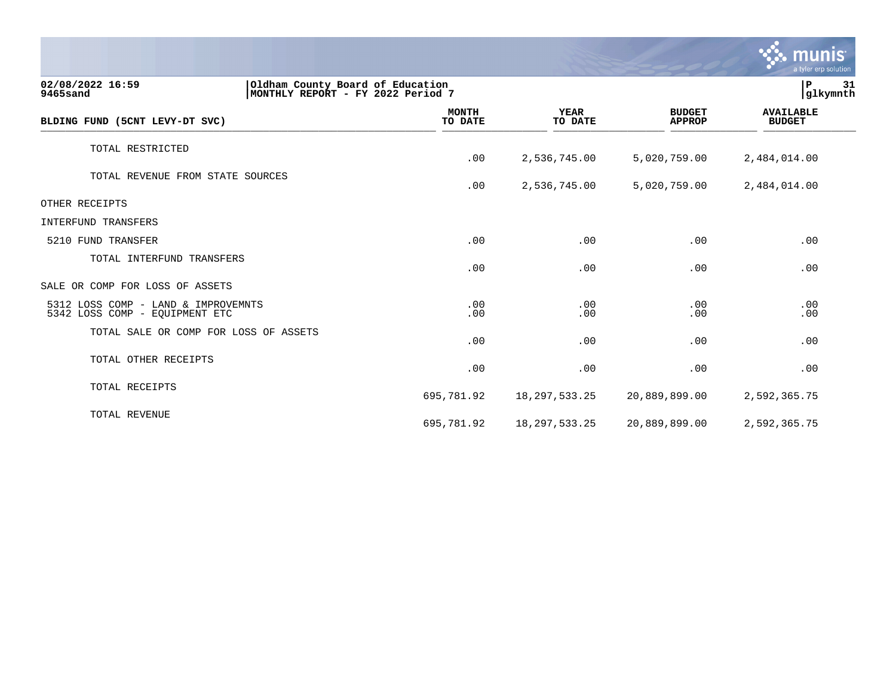|                                                                                                       |                         |                        |                                | munis<br>a tyler erp solution     |    |
|-------------------------------------------------------------------------------------------------------|-------------------------|------------------------|--------------------------------|-----------------------------------|----|
| 02/08/2022 16:59<br>Oldham County Board of Education<br>MONTHLY REPORT - FY 2022 Period 7<br>9465sand |                         |                        |                                | P<br>glkymnth                     | 31 |
| BLDING FUND (5CNT LEVY-DT SVC)                                                                        | <b>MONTH</b><br>TO DATE | <b>YEAR</b><br>TO DATE | <b>BUDGET</b><br><b>APPROP</b> | <b>AVAILABLE</b><br><b>BUDGET</b> |    |
| TOTAL RESTRICTED                                                                                      | .00                     | 2,536,745.00           | 5,020,759.00                   | 2,484,014.00                      |    |
| TOTAL REVENUE FROM STATE SOURCES                                                                      | .00                     | 2,536,745.00           | 5,020,759.00                   | 2,484,014.00                      |    |
| OTHER RECEIPTS                                                                                        |                         |                        |                                |                                   |    |
| INTERFUND TRANSFERS                                                                                   |                         |                        |                                |                                   |    |
| 5210 FUND TRANSFER                                                                                    | .00                     | .00                    | .00                            | .00                               |    |
| TOTAL INTERFUND TRANSFERS                                                                             | .00                     | .00                    | .00                            | .00                               |    |
| SALE OR COMP FOR LOSS OF ASSETS                                                                       |                         |                        |                                |                                   |    |
| 5312 LOSS COMP - LAND & IMPROVEMNTS<br>5342 LOSS COMP - EQUIPMENT ETC                                 | .00<br>.00              | .00<br>.00             | .00<br>.00                     | .00<br>.00                        |    |
| TOTAL SALE OR COMP FOR LOSS OF ASSETS                                                                 | .00                     | .00                    | .00                            | .00                               |    |
| TOTAL OTHER RECEIPTS                                                                                  | .00                     | .00                    | .00                            | .00                               |    |
| TOTAL RECEIPTS                                                                                        | 695,781.92              | 18, 297, 533. 25       | 20,889,899.00                  | 2,592,365.75                      |    |
| TOTAL REVENUE                                                                                         | 695,781.92              | 18, 297, 533. 25       | 20,889,899.00                  | 2,592,365.75                      |    |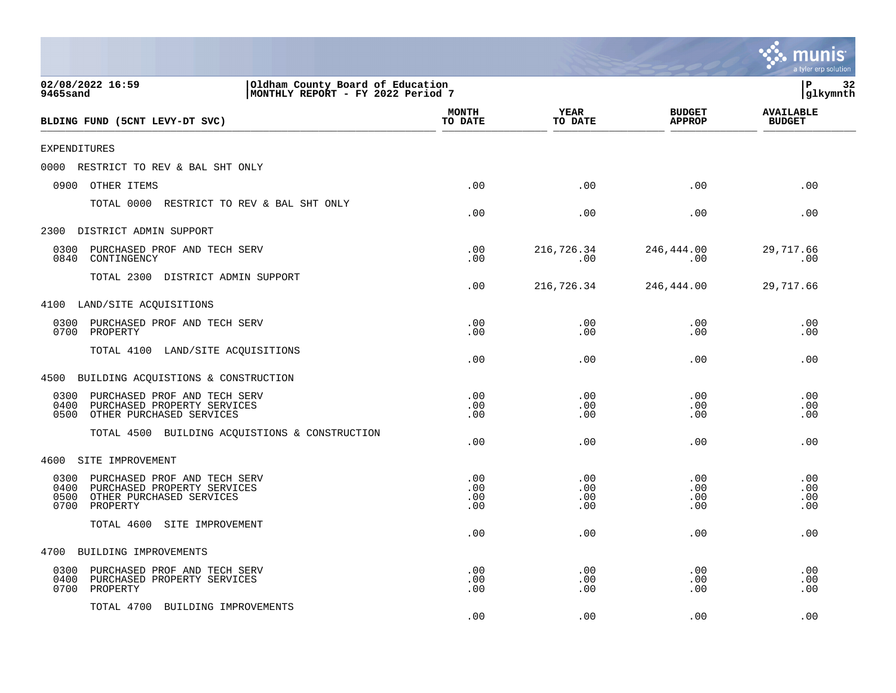|                                                                                                                                     |                                                                       |                          |                          |                                | a tyler erp solution              |
|-------------------------------------------------------------------------------------------------------------------------------------|-----------------------------------------------------------------------|--------------------------|--------------------------|--------------------------------|-----------------------------------|
| 02/08/2022 16:59<br>9465sand                                                                                                        | Oldham County Board of Education<br>MONTHLY REPORT - FY 2022 Period 7 |                          |                          |                                | P<br>32<br>glkymnth               |
| BLDING FUND (5CNT LEVY-DT SVC)                                                                                                      |                                                                       | MONTH<br>TO DATE         | YEAR<br>TO DATE          | <b>BUDGET</b><br><b>APPROP</b> | <b>AVAILABLE</b><br><b>BUDGET</b> |
| <b>EXPENDITURES</b>                                                                                                                 |                                                                       |                          |                          |                                |                                   |
| 0000<br>RESTRICT TO REV & BAL SHT ONLY                                                                                              |                                                                       |                          |                          |                                |                                   |
| 0900<br>OTHER ITEMS                                                                                                                 |                                                                       | .00                      | .00                      | .00                            | .00                               |
| TOTAL 0000                                                                                                                          | RESTRICT TO REV & BAL SHT ONLY                                        | .00                      | .00                      | .00                            | .00                               |
| 2300<br>DISTRICT ADMIN SUPPORT                                                                                                      |                                                                       |                          |                          |                                |                                   |
| PURCHASED PROF AND TECH SERV<br>0300<br>0840<br>CONTINGENCY                                                                         |                                                                       | .00<br>.00               | 216,726.34<br>.00        | 246,444.00<br>.00              | 29,717.66<br>.00                  |
| TOTAL 2300<br>DISTRICT ADMIN SUPPORT                                                                                                |                                                                       | .00                      | 216,726.34               | 246,444.00                     | 29,717.66                         |
| 4100 LAND/SITE ACQUISITIONS                                                                                                         |                                                                       |                          |                          |                                |                                   |
| PURCHASED PROF AND TECH SERV<br>0300<br>0700<br>PROPERTY                                                                            |                                                                       | .00<br>.00               | .00<br>.00               | .00<br>.00                     | .00<br>.00                        |
| TOTAL 4100 LAND/SITE ACQUISITIONS                                                                                                   |                                                                       | .00                      | .00                      | .00                            | .00                               |
| BUILDING ACQUISTIONS & CONSTRUCTION<br>4500                                                                                         |                                                                       |                          |                          |                                |                                   |
| 0300<br>PURCHASED PROF AND TECH SERV<br>PURCHASED PROPERTY SERVICES<br>0400<br>0500<br>OTHER PURCHASED SERVICES                     |                                                                       | .00<br>.00<br>.00        | .00<br>.00<br>.00        | .00<br>.00<br>.00              | .00<br>.00<br>.00                 |
| TOTAL 4500                                                                                                                          | BUILDING ACQUISTIONS & CONSTRUCTION                                   | .00                      | .00                      | .00                            | .00                               |
| 4600<br>SITE IMPROVEMENT                                                                                                            |                                                                       |                          |                          |                                |                                   |
| 0300<br>PURCHASED PROF AND TECH SERV<br>0400<br>PURCHASED PROPERTY SERVICES<br>0500<br>OTHER PURCHASED SERVICES<br>0700<br>PROPERTY |                                                                       | .00<br>.00<br>.00<br>.00 | .00<br>.00<br>.00<br>.00 | .00<br>.00<br>.00<br>.00       | .00<br>.00<br>.00<br>.00          |
| TOTAL 4600<br>SITE IMPROVEMENT                                                                                                      |                                                                       | .00                      | .00                      | .00                            | .00                               |
| 4700<br>BUILDING IMPROVEMENTS                                                                                                       |                                                                       |                          |                          |                                |                                   |
| PURCHASED PROF AND TECH SERV<br>0300<br>0400<br>PURCHASED PROPERTY SERVICES<br>0700<br>PROPERTY                                     |                                                                       | .00<br>.00<br>.00        | .00<br>.00<br>.00        | .00<br>.00<br>.00              | .00<br>.00<br>.00                 |
| TOTAL 4700<br>BUILDING IMPROVEMENTS                                                                                                 |                                                                       | .00                      | .00                      | .00                            | .00                               |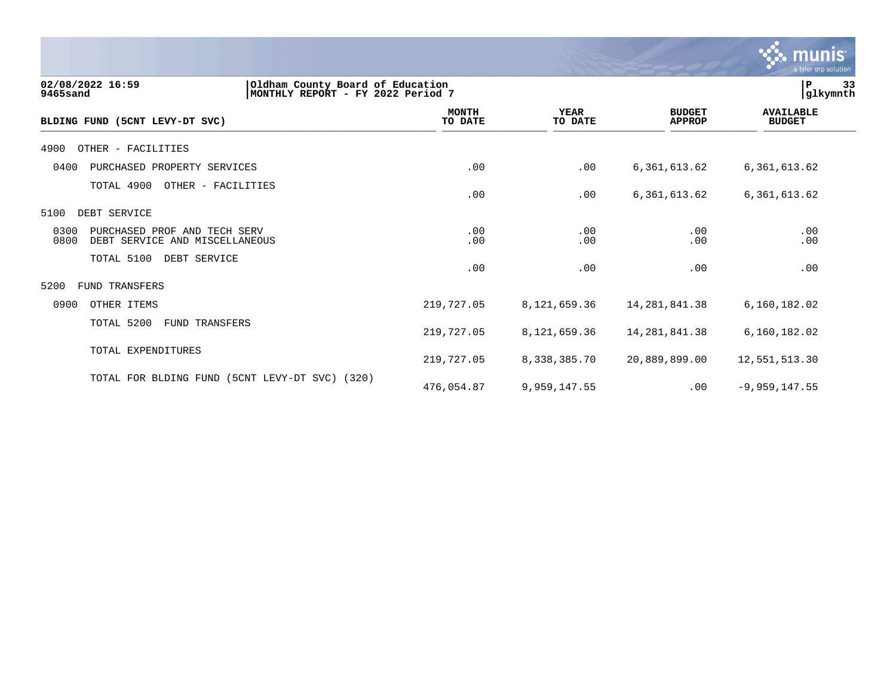|                                                                                                       |                         |                        |                                | munis<br>a tyler erp solution     |    |
|-------------------------------------------------------------------------------------------------------|-------------------------|------------------------|--------------------------------|-----------------------------------|----|
| Oldham County Board of Education<br>02/08/2022 16:59<br>MONTHLY REPORT - FY 2022 Period 7<br>9465sand |                         |                        |                                | P<br>glkymnth                     | 33 |
| BLDING FUND (5CNT LEVY-DT SVC)                                                                        | <b>MONTH</b><br>TO DATE | <b>YEAR</b><br>TO DATE | <b>BUDGET</b><br><b>APPROP</b> | <b>AVAILABLE</b><br><b>BUDGET</b> |    |
| OTHER - FACILITIES<br>4900                                                                            |                         |                        |                                |                                   |    |
| 0400<br>PURCHASED PROPERTY SERVICES                                                                   | .00                     | .00                    | 6, 361, 613.62                 | 6,361,613.62                      |    |
| TOTAL 4900<br>OTHER - FACILITIES                                                                      | .00                     | .00                    | 6, 361, 613.62                 | 6,361,613.62                      |    |
| 5100<br>DEBT SERVICE                                                                                  |                         |                        |                                |                                   |    |
| 0300<br>PURCHASED PROF AND TECH SERV<br>0800<br>DEBT SERVICE AND MISCELLANEOUS                        | .00<br>.00              | .00<br>.00             | .00<br>.00                     | .00<br>.00                        |    |
| TOTAL 5100<br>DEBT SERVICE                                                                            | .00                     | .00                    | .00                            | .00                               |    |
| 5200<br><b>FUND TRANSFERS</b>                                                                         |                         |                        |                                |                                   |    |
| 0900<br>OTHER ITEMS                                                                                   | 219,727.05              | 8,121,659.36           | 14, 281, 841.38                | 6,160,182.02                      |    |
| TOTAL 5200<br>FUND TRANSFERS                                                                          | 219,727.05              | 8,121,659.36           | 14, 281, 841. 38               | 6,160,182.02                      |    |
| TOTAL EXPENDITURES                                                                                    | 219,727.05              | 8,338,385.70           | 20,889,899.00                  | 12,551,513.30                     |    |
| TOTAL FOR BLDING FUND<br>(5CNT LEVY-DT SVC) (320)                                                     | 476,054.87              | 9,959,147.55           | .00                            | $-9,959,147.55$                   |    |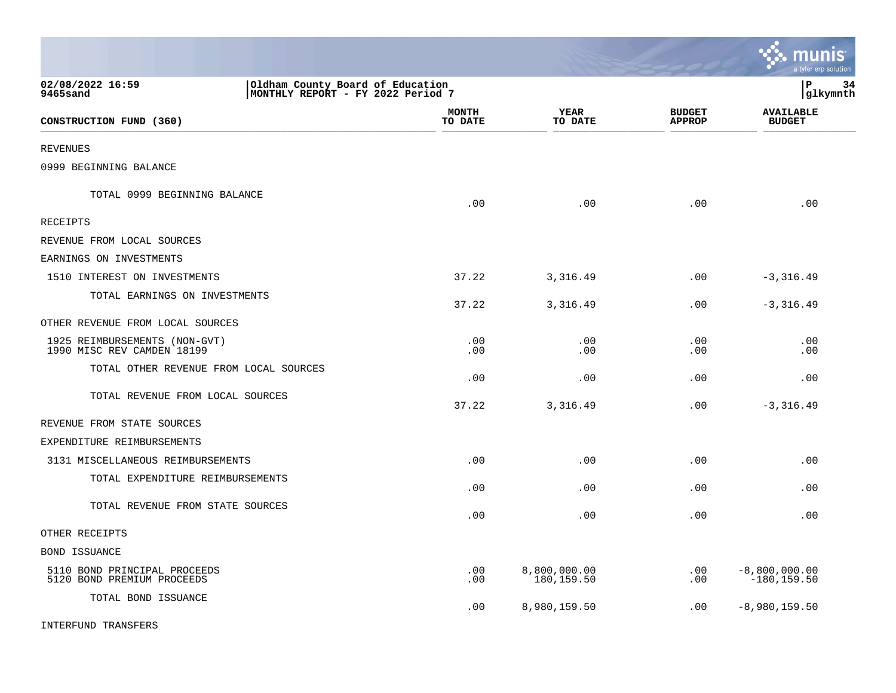|                                                                                                       |                         |                            |                                | munis<br>a tyler erp solution     |    |
|-------------------------------------------------------------------------------------------------------|-------------------------|----------------------------|--------------------------------|-----------------------------------|----|
| 02/08/2022 16:59<br>Oldham County Board of Education<br>9465sand<br>MONTHLY REPORT - FY 2022 Period 7 |                         |                            |                                | l P<br> glkymnth                  | 34 |
| CONSTRUCTION FUND (360)                                                                               | <b>MONTH</b><br>TO DATE | <b>YEAR</b><br>TO DATE     | <b>BUDGET</b><br><b>APPROP</b> | <b>AVAILABLE</b><br><b>BUDGET</b> |    |
| <b>REVENUES</b>                                                                                       |                         |                            |                                |                                   |    |
| 0999 BEGINNING BALANCE                                                                                |                         |                            |                                |                                   |    |
| TOTAL 0999 BEGINNING BALANCE                                                                          | .00                     | .00                        | .00                            | .00                               |    |
| RECEIPTS                                                                                              |                         |                            |                                |                                   |    |
| REVENUE FROM LOCAL SOURCES                                                                            |                         |                            |                                |                                   |    |
| EARNINGS ON INVESTMENTS                                                                               |                         |                            |                                |                                   |    |
| 1510 INTEREST ON INVESTMENTS                                                                          | 37.22                   | 3,316.49                   | .00                            | $-3,316.49$                       |    |
| TOTAL EARNINGS ON INVESTMENTS                                                                         | 37.22                   | 3,316.49                   | .00                            | $-3, 316.49$                      |    |
| OTHER REVENUE FROM LOCAL SOURCES                                                                      |                         |                            |                                |                                   |    |
| 1925 REIMBURSEMENTS (NON-GVT)<br>1990 MISC REV CAMDEN 18199                                           | .00<br>.00              | .00<br>.00                 | .00<br>.00                     | .00<br>.00                        |    |
| TOTAL OTHER REVENUE FROM LOCAL SOURCES                                                                | .00                     | .00                        | .00                            | .00                               |    |
| TOTAL REVENUE FROM LOCAL SOURCES                                                                      | 37.22                   | 3,316.49                   | .00                            | $-3, 316.49$                      |    |
| REVENUE FROM STATE SOURCES                                                                            |                         |                            |                                |                                   |    |
| EXPENDITURE REIMBURSEMENTS                                                                            |                         |                            |                                |                                   |    |
| 3131 MISCELLANEOUS REIMBURSEMENTS                                                                     | .00                     | .00                        | .00                            | .00                               |    |
| TOTAL EXPENDITURE REIMBURSEMENTS                                                                      | .00                     | .00                        | .00                            | .00                               |    |
| TOTAL REVENUE FROM STATE SOURCES                                                                      | .00                     | .00                        | .00                            | .00                               |    |
| OTHER RECEIPTS                                                                                        |                         |                            |                                |                                   |    |
| BOND ISSUANCE                                                                                         |                         |                            |                                |                                   |    |
| 5110 BOND PRINCIPAL PROCEEDS<br>5120 BOND PREMIUM PROCEEDS                                            | .00<br>.00              | 8,800,000.00<br>180,159.50 | .00<br>.00                     | $-8,800,000.00$<br>$-180, 159.50$ |    |
| TOTAL BOND ISSUANCE                                                                                   | .00                     | 8,980,159.50               | .00                            | $-8,980,159.50$                   |    |
| INTERFUND TRANSFERS                                                                                   |                         |                            |                                |                                   |    |

 $\mathcal{L}$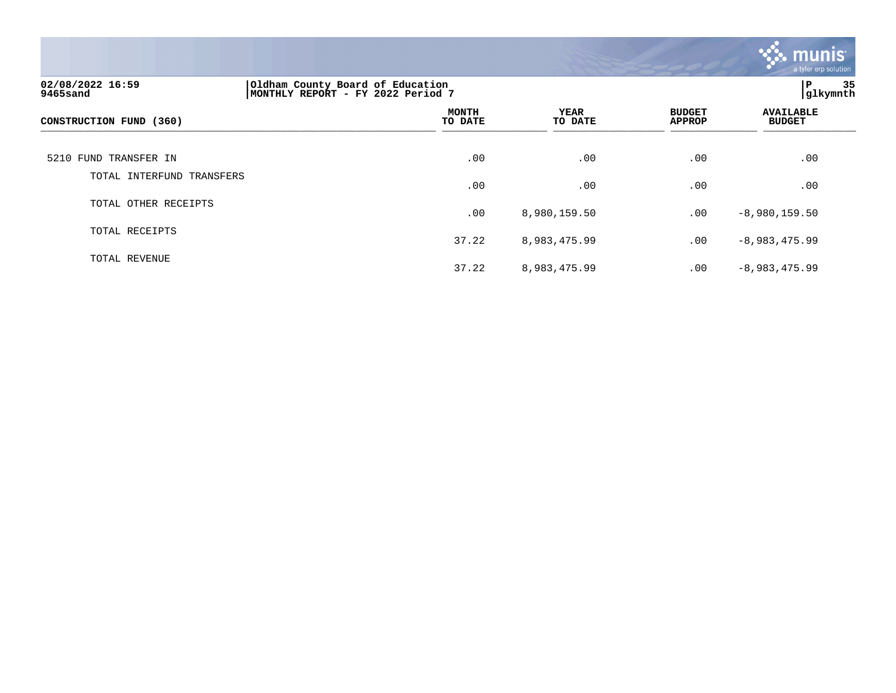

| 02/08/2022 16:59<br>9465sand | Oldham County Board of Education<br>MONTHLY REPORT - FY 2022 Period 7 |                        |                                | 35<br>$\, {\bf P}$<br>glkymnth    |
|------------------------------|-----------------------------------------------------------------------|------------------------|--------------------------------|-----------------------------------|
| CONSTRUCTION FUND (360)      | MONTH<br>TO DATE                                                      | <b>YEAR</b><br>TO DATE | <b>BUDGET</b><br><b>APPROP</b> | <b>AVAILABLE</b><br><b>BUDGET</b> |
| 5210 FUND TRANSFER IN        | .00                                                                   | .00                    | .00                            | .00                               |
| TOTAL INTERFUND TRANSFERS    | .00                                                                   | .00                    | .00                            | .00                               |
| TOTAL OTHER RECEIPTS         | .00                                                                   | 8,980,159.50           | .00                            | $-8,980,159.50$                   |
| TOTAL RECEIPTS               | 37.22                                                                 | 8,983,475.99           | .00                            | $-8,983,475.99$                   |
| TOTAL REVENUE                | 37.22                                                                 | 8,983,475.99           | .00                            | $-8,983,475.99$                   |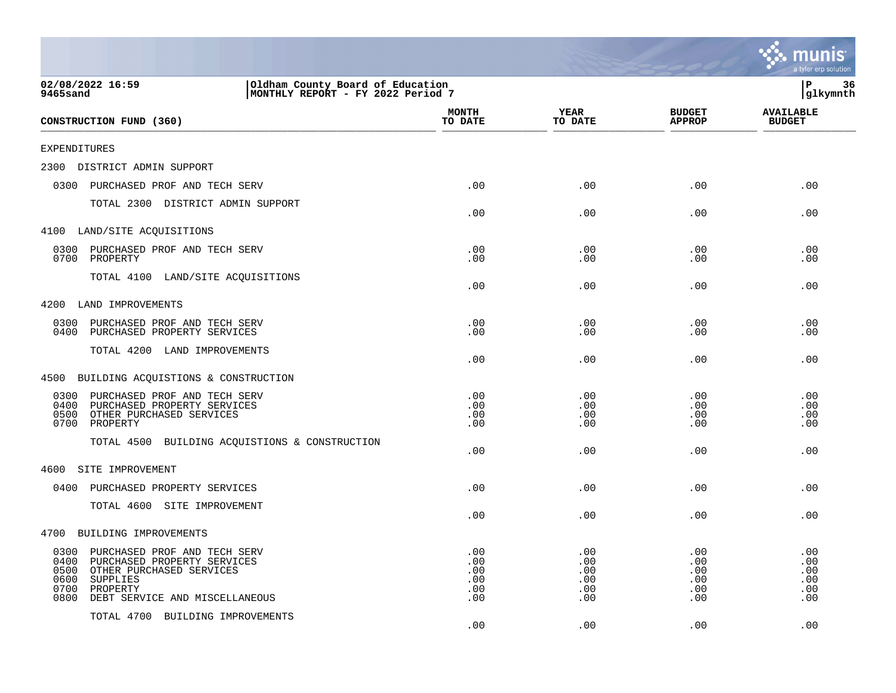|                                                                                                                                                                                                   |                                        |                                        |                                        | mu<br>a tyler erp solution             |
|---------------------------------------------------------------------------------------------------------------------------------------------------------------------------------------------------|----------------------------------------|----------------------------------------|----------------------------------------|----------------------------------------|
| 02/08/2022 16:59<br>Oldham County Board of Education<br>MONTHLY REPORT - FY 2022 Period 7<br>9465sand                                                                                             |                                        |                                        |                                        | ΙP<br>36<br>glkymnth                   |
| CONSTRUCTION FUND (360)                                                                                                                                                                           | <b>MONTH</b><br>TO DATE                | <b>YEAR</b><br>TO DATE                 | <b>BUDGET</b><br><b>APPROP</b>         | <b>AVAILABLE</b><br><b>BUDGET</b>      |
| <b>EXPENDITURES</b>                                                                                                                                                                               |                                        |                                        |                                        |                                        |
| 2300<br>DISTRICT ADMIN SUPPORT                                                                                                                                                                    |                                        |                                        |                                        |                                        |
| 0300<br>PURCHASED PROF AND TECH SERV                                                                                                                                                              | .00                                    | .00                                    | .00                                    | .00                                    |
| TOTAL 2300 DISTRICT ADMIN SUPPORT                                                                                                                                                                 | .00                                    | .00                                    | .00                                    | .00                                    |
| 4100 LAND/SITE ACQUISITIONS                                                                                                                                                                       |                                        |                                        |                                        |                                        |
| 0300<br>PURCHASED PROF AND TECH SERV<br>0700<br>PROPERTY                                                                                                                                          | .00<br>.00                             | .00<br>.00                             | .00<br>.00                             | .00<br>.00                             |
| TOTAL 4100 LAND/SITE ACQUISITIONS                                                                                                                                                                 | .00                                    | .00                                    | .00                                    | .00                                    |
| 4200<br>LAND IMPROVEMENTS                                                                                                                                                                         |                                        |                                        |                                        |                                        |
| 0300<br>PURCHASED PROF AND TECH SERV<br>0400<br>PURCHASED PROPERTY SERVICES                                                                                                                       | .00<br>.00                             | .00<br>.00                             | .00<br>.00                             | .00<br>.00                             |
| TOTAL 4200 LAND IMPROVEMENTS                                                                                                                                                                      | .00                                    | .00                                    | .00                                    | .00                                    |
| 4500<br>BUILDING ACQUISTIONS & CONSTRUCTION                                                                                                                                                       |                                        |                                        |                                        |                                        |
| 0300<br>PURCHASED PROF AND TECH SERV<br>0400<br>PURCHASED PROPERTY SERVICES<br>0500<br>OTHER PURCHASED SERVICES<br>0700<br>PROPERTY<br>TOTAL 4500<br>BUILDING ACQUISTIONS & CONSTRUCTION          | .00<br>.00<br>.00<br>.00<br>.00        | .00<br>.00<br>.00<br>.00<br>.00        | .00<br>.00<br>.00<br>.00<br>.00        | .00<br>.00<br>.00<br>.00<br>.00        |
| SITE IMPROVEMENT<br>4600                                                                                                                                                                          |                                        |                                        |                                        |                                        |
| 0400<br>PURCHASED PROPERTY SERVICES                                                                                                                                                               | .00                                    | .00                                    | .00                                    | .00                                    |
| TOTAL 4600 SITE IMPROVEMENT                                                                                                                                                                       | .00                                    | .00                                    | .00                                    | .00                                    |
| 4700<br>BUILDING IMPROVEMENTS                                                                                                                                                                     |                                        |                                        |                                        |                                        |
| 0300<br>PURCHASED PROF AND TECH SERV<br>0400<br>PURCHASED PROPERTY SERVICES<br>0500<br>OTHER PURCHASED SERVICES<br>0600<br>SUPPLIES<br>0700<br>PROPERTY<br>0800<br>DEBT SERVICE AND MISCELLANEOUS | .00<br>.00<br>.00<br>.00<br>.00<br>.00 | .00<br>.00<br>.00<br>.00<br>.00<br>.00 | .00<br>.00<br>.00<br>.00<br>.00<br>.00 | .00<br>.00<br>.00<br>.00<br>.00<br>.00 |
| TOTAL 4700 BUILDING IMPROVEMENTS                                                                                                                                                                  | .00                                    | .00                                    | .00                                    | .00                                    |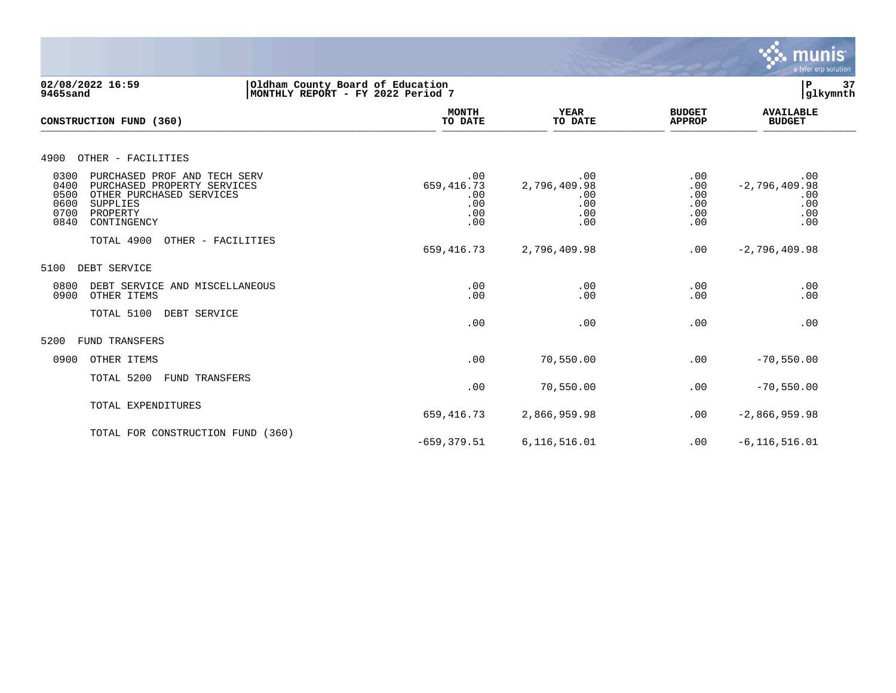

**02/08/2022 16:59 |Oldham County Board of Education |P 37 MONTHLY REPORT - FY 2022 Period 7 MONTH AVAILABLE YEAR BUDGET** AVAILABLE **CONSTRUCTION FUND (360) TO DATE TO DATE APPROP BUDGET**  \_\_\_\_\_\_\_\_\_\_\_\_\_\_\_\_\_\_\_\_\_\_\_\_\_\_\_\_\_\_\_\_\_\_\_\_\_\_\_\_\_\_\_\_\_\_\_\_\_\_\_\_\_\_\_\_\_\_\_\_\_\_\_\_ \_\_\_\_\_\_\_\_\_\_\_\_\_\_\_\_\_ \_\_\_\_\_\_\_\_\_\_\_\_\_\_\_\_\_\_ \_\_\_\_\_\_\_\_\_\_\_\_\_\_ \_\_\_\_\_\_\_\_\_\_\_\_\_\_\_ 4900 OTHER - FACILITIES 0300 PURCHASED PROF AND TECH SERV .00 .00 .00 .00 0400 PURCHASED PROPERTY SERVICES 659,416.73 2,796,409.98 .00 -2,796,409.98 0500 OTHER PURCHASED SERVICES .00 .00 .00 .00 0600 SUPPLIES .00 .00 .00 .00 0700 PROPERTY .00 .00 .00 .00 0840 CONTINGENCY .00 .00 .00 .00 TOTAL 4900 OTHER - FACILITIES 659,416.73 2,796,409.98 .00 -2,796,409.98 5100 DEBT SERVICE 0800 DEBT SERVICE AND MISCELLANEOUS .00 .00 .00 .00 0900 OTHER ITEMS TOTAL 5100 DEBT SERVICE .00 .00 .00 .00 5200 FUND TRANSFERS 0900 OTHER ITEMS .00 70,550.00 .00 -70,550.00 TOTAL 5200 FUND TRANSFERS  $.00$  70,550.00  $.00$   $-70,550.00$ TOTAL EXPENDITURES 659,416.73 2,866,959.98 .00 -2,866,959.98 TOTAL FOR CONSTRUCTION FUND (360)  $-659,379.51$  6,116,516.01 .00  $-6,116,516.01$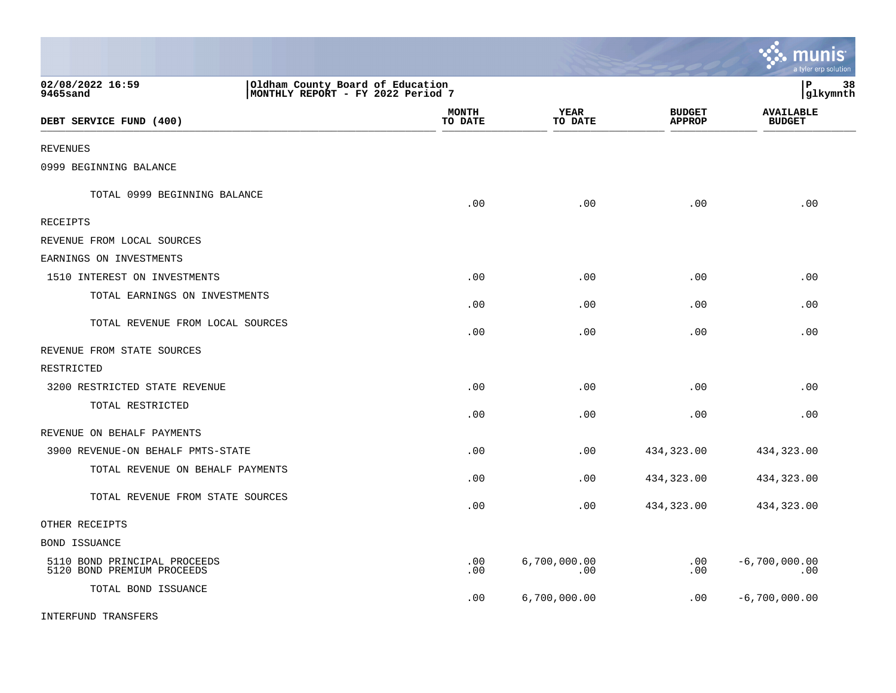|                                                            |                                                                       |                     |                                | munis<br>a tyler erp solution     |
|------------------------------------------------------------|-----------------------------------------------------------------------|---------------------|--------------------------------|-----------------------------------|
| 02/08/2022 16:59<br>9465sand                               | Oldham County Board of Education<br>MONTHLY REPORT - FY 2022 Period 7 |                     |                                | lР<br>38<br> glkymnth             |
| DEBT SERVICE FUND (400)                                    | <b>MONTH</b><br>TO DATE                                               | YEAR<br>TO DATE     | <b>BUDGET</b><br><b>APPROP</b> | <b>AVAILABLE</b><br><b>BUDGET</b> |
| <b>REVENUES</b>                                            |                                                                       |                     |                                |                                   |
| 0999 BEGINNING BALANCE                                     |                                                                       |                     |                                |                                   |
| TOTAL 0999 BEGINNING BALANCE                               | .00                                                                   | .00                 | .00                            | .00                               |
| RECEIPTS                                                   |                                                                       |                     |                                |                                   |
| REVENUE FROM LOCAL SOURCES                                 |                                                                       |                     |                                |                                   |
| EARNINGS ON INVESTMENTS                                    |                                                                       |                     |                                |                                   |
| 1510 INTEREST ON INVESTMENTS                               | .00                                                                   | .00                 | .00                            | .00                               |
| TOTAL EARNINGS ON INVESTMENTS                              | .00                                                                   | .00                 | .00                            | .00                               |
| TOTAL REVENUE FROM LOCAL SOURCES                           | .00                                                                   | .00                 | .00                            | .00                               |
| REVENUE FROM STATE SOURCES                                 |                                                                       |                     |                                |                                   |
| RESTRICTED                                                 |                                                                       |                     |                                |                                   |
| 3200 RESTRICTED STATE REVENUE                              | .00                                                                   | .00                 | .00                            | .00                               |
| TOTAL RESTRICTED                                           | .00                                                                   | .00                 | .00                            | .00                               |
| REVENUE ON BEHALF PAYMENTS                                 |                                                                       |                     |                                |                                   |
| 3900 REVENUE-ON BEHALF PMTS-STATE                          | .00                                                                   | .00                 | 434,323.00                     | 434,323.00                        |
| TOTAL REVENUE ON BEHALF PAYMENTS                           | .00                                                                   | .00                 | 434,323.00                     | 434,323.00                        |
| TOTAL REVENUE FROM STATE SOURCES                           | .00                                                                   | .00                 | 434,323.00                     | 434,323.00                        |
| OTHER RECEIPTS                                             |                                                                       |                     |                                |                                   |
| BOND ISSUANCE                                              |                                                                       |                     |                                |                                   |
| 5110 BOND PRINCIPAL PROCEEDS<br>5120 BOND PREMIUM PROCEEDS | .00<br>.00                                                            | 6,700,000.00<br>.00 | .00<br>.00                     | $-6,700,000.00$<br>.00            |
| TOTAL BOND ISSUANCE                                        | .00                                                                   | 6,700,000.00        | .00                            | $-6,700,000.00$                   |
| INTERFUND TRANSFERS                                        |                                                                       |                     |                                |                                   |

 $\mathcal{L}^{\bullet}$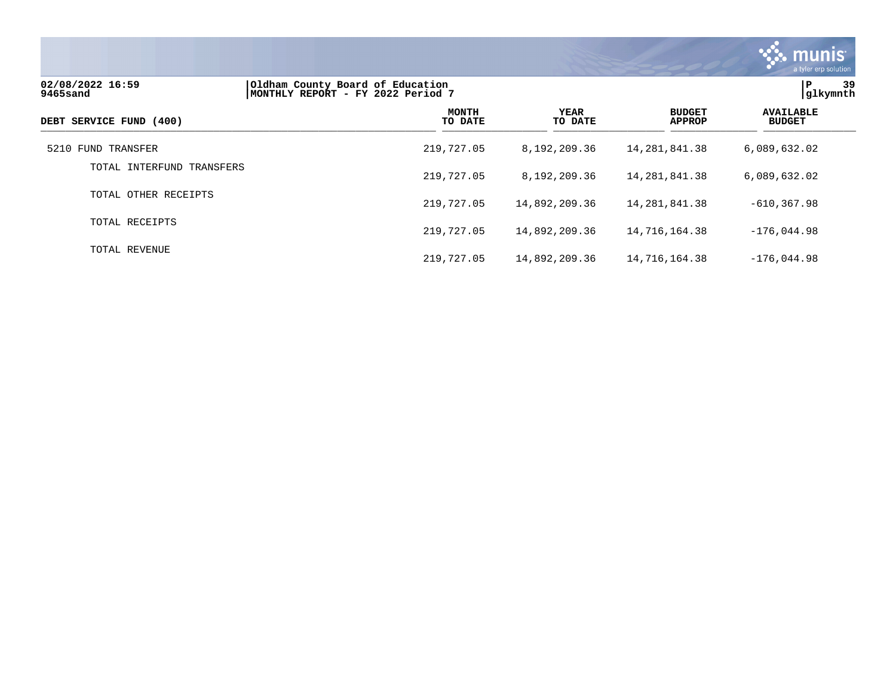

| 02/08/2022 16:59<br>9465sand | Oldham County Board of Education<br>MONTHLY REPORT - FY 2022 Period 7 | 39<br>ΙP<br>glkymnth   |                                |                                   |
|------------------------------|-----------------------------------------------------------------------|------------------------|--------------------------------|-----------------------------------|
| DEBT SERVICE FUND (400)      | <b>MONTH</b><br>TO DATE                                               | <b>YEAR</b><br>TO DATE | <b>BUDGET</b><br><b>APPROP</b> | <b>AVAILABLE</b><br><b>BUDGET</b> |
| 5210 FUND TRANSFER           | 219,727.05                                                            | 8,192,209.36           | 14, 281, 841. 38               | 6,089,632.02                      |
| TOTAL INTERFUND TRANSFERS    | 219,727.05                                                            | 8,192,209.36           | 14, 281, 841. 38               | 6,089,632.02                      |
| TOTAL OTHER RECEIPTS         | 219,727.05                                                            | 14,892,209.36          | 14, 281, 841. 38               | $-610, 367.98$                    |
| TOTAL RECEIPTS               | 219,727.05                                                            | 14,892,209.36          | 14,716,164.38                  | $-176,044.98$                     |
| TOTAL REVENUE                | 219,727.05                                                            | 14,892,209.36          | 14,716,164.38                  | $-176,044.98$                     |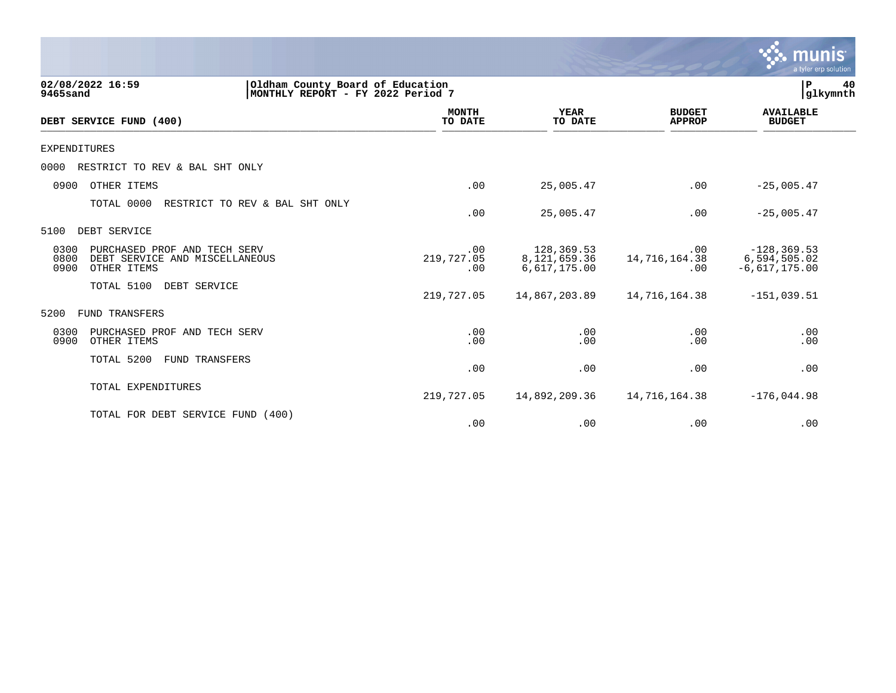|                                                                                                       |                                                                        |                                              |                                | munis <sup>.</sup><br>a tyler erp solution        |
|-------------------------------------------------------------------------------------------------------|------------------------------------------------------------------------|----------------------------------------------|--------------------------------|---------------------------------------------------|
| 02/08/2022 16:59<br>9465sand                                                                          | Oldham County Board of Education<br> MONTHLY REPORT - FY 2022 Period 7 |                                              |                                | 40<br>P<br>glkymnth                               |
| DEBT SERVICE FUND (400)                                                                               | <b>MONTH</b><br>TO DATE                                                | <b>YEAR</b><br>TO DATE                       | <b>BUDGET</b><br><b>APPROP</b> | <b>AVAILABLE</b><br><b>BUDGET</b>                 |
| <b>EXPENDITURES</b>                                                                                   |                                                                        |                                              |                                |                                                   |
| 0000<br>RESTRICT TO REV & BAL SHT ONLY                                                                |                                                                        |                                              |                                |                                                   |
| 0900<br>OTHER ITEMS                                                                                   | .00                                                                    | 25,005.47                                    | .00                            | $-25,005.47$                                      |
| TOTAL 0000<br>RESTRICT TO REV & BAL SHT ONLY                                                          | .00                                                                    | 25,005.47                                    | .00                            | $-25,005.47$                                      |
| DEBT SERVICE<br>5100                                                                                  |                                                                        |                                              |                                |                                                   |
| 0300<br>PURCHASED PROF AND TECH SERV<br>0800<br>DEBT SERVICE AND MISCELLANEOUS<br>0900<br>OTHER ITEMS | .00<br>219,727.05<br>.00                                               | 128,369.53<br>8, 121, 659.36<br>6,617,175.00 | .00<br>14,716,164.38<br>.00    | $-128, 369.53$<br>6,594,505.02<br>$-6,617,175.00$ |
| TOTAL 5100<br>DEBT SERVICE                                                                            | 219,727.05                                                             | 14,867,203.89                                | 14,716,164.38                  | $-151,039.51$                                     |
| FUND TRANSFERS<br>5200                                                                                |                                                                        |                                              |                                |                                                   |
| 0300<br>PURCHASED PROF AND TECH SERV<br>0900<br>OTHER ITEMS                                           | .00<br>.00                                                             | .00<br>.00                                   | .00<br>.00                     | .00<br>.00                                        |
| TOTAL 5200<br>FUND TRANSFERS                                                                          | .00                                                                    | .00                                          | .00                            | .00                                               |
| TOTAL EXPENDITURES                                                                                    | 219,727.05                                                             | 14,892,209.36                                | 14,716,164.38                  | $-176,044.98$                                     |
| TOTAL FOR DEBT SERVICE FUND (400)                                                                     | .00                                                                    | .00                                          | .00                            | .00                                               |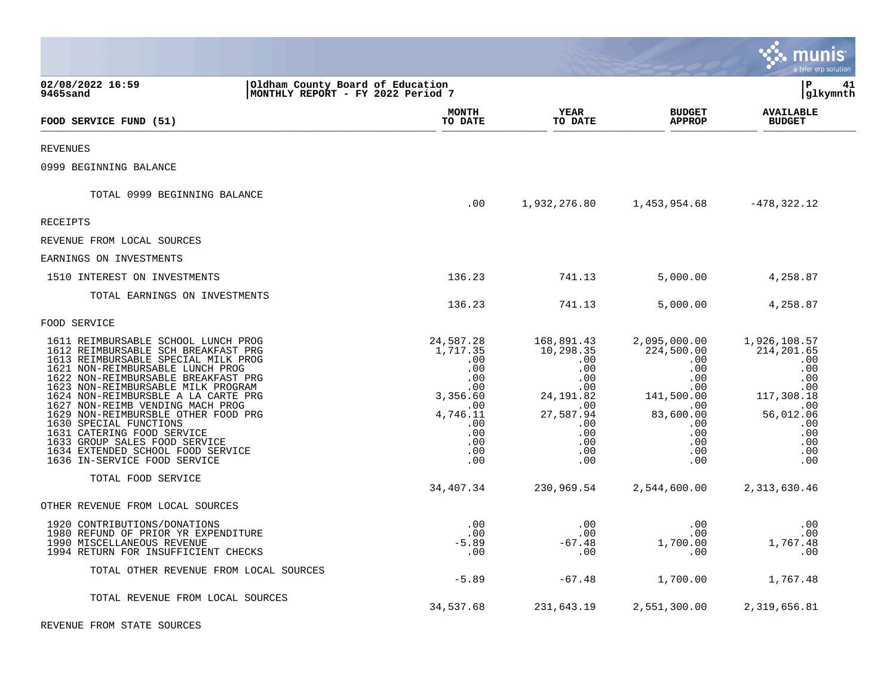|                                                                                                                                                                                                                                                                                                                                                                                                                                                                                                                    |                                                                                                                               |                                                                                                                              |                                                                                                                                                 | a tyler erp solution                                                                                                         |
|--------------------------------------------------------------------------------------------------------------------------------------------------------------------------------------------------------------------------------------------------------------------------------------------------------------------------------------------------------------------------------------------------------------------------------------------------------------------------------------------------------------------|-------------------------------------------------------------------------------------------------------------------------------|------------------------------------------------------------------------------------------------------------------------------|-------------------------------------------------------------------------------------------------------------------------------------------------|------------------------------------------------------------------------------------------------------------------------------|
| 02/08/2022 16:59<br>9465sand                                                                                                                                                                                                                                                                                                                                                                                                                                                                                       | Oldham County Board of Education<br>MONTHLY REPORT - FY 2022 Period 7                                                         |                                                                                                                              |                                                                                                                                                 | l P<br>41<br> glkymnth                                                                                                       |
| FOOD SERVICE FUND (51)                                                                                                                                                                                                                                                                                                                                                                                                                                                                                             | <b>MONTH</b><br>TO DATE                                                                                                       | <b>YEAR</b><br>TO DATE                                                                                                       | <b>BUDGET</b><br><b>APPROP</b>                                                                                                                  | <b>AVAILABLE</b><br><b>BUDGET</b>                                                                                            |
| <b>REVENUES</b>                                                                                                                                                                                                                                                                                                                                                                                                                                                                                                    |                                                                                                                               |                                                                                                                              |                                                                                                                                                 |                                                                                                                              |
| 0999 BEGINNING BALANCE                                                                                                                                                                                                                                                                                                                                                                                                                                                                                             |                                                                                                                               |                                                                                                                              |                                                                                                                                                 |                                                                                                                              |
| TOTAL 0999 BEGINNING BALANCE                                                                                                                                                                                                                                                                                                                                                                                                                                                                                       | .00                                                                                                                           |                                                                                                                              |                                                                                                                                                 | $-478, 322.12$                                                                                                               |
| <b>RECEIPTS</b>                                                                                                                                                                                                                                                                                                                                                                                                                                                                                                    |                                                                                                                               |                                                                                                                              |                                                                                                                                                 |                                                                                                                              |
| REVENUE FROM LOCAL SOURCES                                                                                                                                                                                                                                                                                                                                                                                                                                                                                         |                                                                                                                               |                                                                                                                              |                                                                                                                                                 |                                                                                                                              |
| EARNINGS ON INVESTMENTS                                                                                                                                                                                                                                                                                                                                                                                                                                                                                            |                                                                                                                               |                                                                                                                              |                                                                                                                                                 |                                                                                                                              |
| 1510 INTEREST ON INVESTMENTS                                                                                                                                                                                                                                                                                                                                                                                                                                                                                       | 136.23                                                                                                                        | 741.13                                                                                                                       | 5,000.00                                                                                                                                        | 4,258.87                                                                                                                     |
| TOTAL EARNINGS ON INVESTMENTS                                                                                                                                                                                                                                                                                                                                                                                                                                                                                      | 136.23                                                                                                                        | 741.13                                                                                                                       | 5,000.00                                                                                                                                        | 4,258.87                                                                                                                     |
| FOOD SERVICE                                                                                                                                                                                                                                                                                                                                                                                                                                                                                                       |                                                                                                                               |                                                                                                                              |                                                                                                                                                 |                                                                                                                              |
| 1611 REIMBURSABLE SCHOOL LUNCH PROG<br>1612 REIMBURSABLE SCH BREAKFAST PRG<br>1613 REIMBURSABLE SPECIAL MILK PROG<br>1621 NON-REIMBURSABLE LUNCH PROG<br>1622 NON-REIMBURSABLE BREAKFAST PRG<br>1623 NON-REIMBURSABLE MILK PROGRAM<br>1624 NON-REIMBURSBLE A LA CARTE PRG<br>1627 NON-REIMB VENDING MACH PROG<br>1629 NON-REIMBURSBLE OTHER FOOD PRG<br>1630 SPECIAL FUNCTIONS<br>1631 CATERING FOOD SERVICE<br>1633 GROUP SALES FOOD SERVICE<br>1634 EXTENDED SCHOOL FOOD SERVICE<br>1636 IN-SERVICE FOOD SERVICE | 24,587.28<br>1,717.35<br>$.00 \,$<br>.00<br>.00<br>.00<br>3,356.60<br>$.00 \,$<br>4,746.11<br>.00<br>.00<br>.00<br>.00<br>.00 | 168,891.43<br>10,298.35<br>.00<br>.00<br>$.00 \,$<br>.00<br>24,191.82<br>.00<br>27,587.94<br>.00<br>.00<br>.00<br>.00<br>.00 | 2,095,000.00<br>224,500.00<br>$.00 \,$<br>.00<br>.00<br>.00<br>141,500.00<br>$.00 \,$<br>83,600.00<br>.00<br>.00<br>.00<br>$.00 \,$<br>$.00 \,$ | 1,926,108.57<br>214, 201.65<br>.00<br>.00<br>.00<br>.00<br>117,308.18<br>.00<br>56,012.06<br>.00<br>.00<br>.00<br>.00<br>.00 |
| TOTAL FOOD SERVICE                                                                                                                                                                                                                                                                                                                                                                                                                                                                                                 | 34,407.34                                                                                                                     | 230,969.54                                                                                                                   | 2,544,600.00                                                                                                                                    | 2,313,630.46                                                                                                                 |
| OTHER REVENUE FROM LOCAL SOURCES                                                                                                                                                                                                                                                                                                                                                                                                                                                                                   |                                                                                                                               |                                                                                                                              |                                                                                                                                                 |                                                                                                                              |
| 1920 CONTRIBUTIONS/DONATIONS<br>1980 REFUND OF PRIOR YR EXPENDITURE<br>1990 MISCELLANEOUS REVENUE<br>1994 RETURN FOR INSUFFICIENT CHECKS                                                                                                                                                                                                                                                                                                                                                                           | .00<br>.00<br>$-5.89$<br>.00                                                                                                  | .00<br>.00<br>$-67.48$<br>.00                                                                                                | .00<br>$.00 \,$<br>1,700.00<br>.00                                                                                                              | .00<br>.00<br>1,767.48<br>.00                                                                                                |
| TOTAL OTHER REVENUE FROM LOCAL SOURCES                                                                                                                                                                                                                                                                                                                                                                                                                                                                             | $-5.89$                                                                                                                       | $-67.48$                                                                                                                     | 1,700.00                                                                                                                                        | 1,767.48                                                                                                                     |
| TOTAL REVENUE FROM LOCAL SOURCES                                                                                                                                                                                                                                                                                                                                                                                                                                                                                   | 34,537.68                                                                                                                     | 231,643.19                                                                                                                   | 2,551,300.00                                                                                                                                    | 2,319,656.81                                                                                                                 |
| REVENUE FROM STATE SOURCES                                                                                                                                                                                                                                                                                                                                                                                                                                                                                         |                                                                                                                               |                                                                                                                              |                                                                                                                                                 |                                                                                                                              |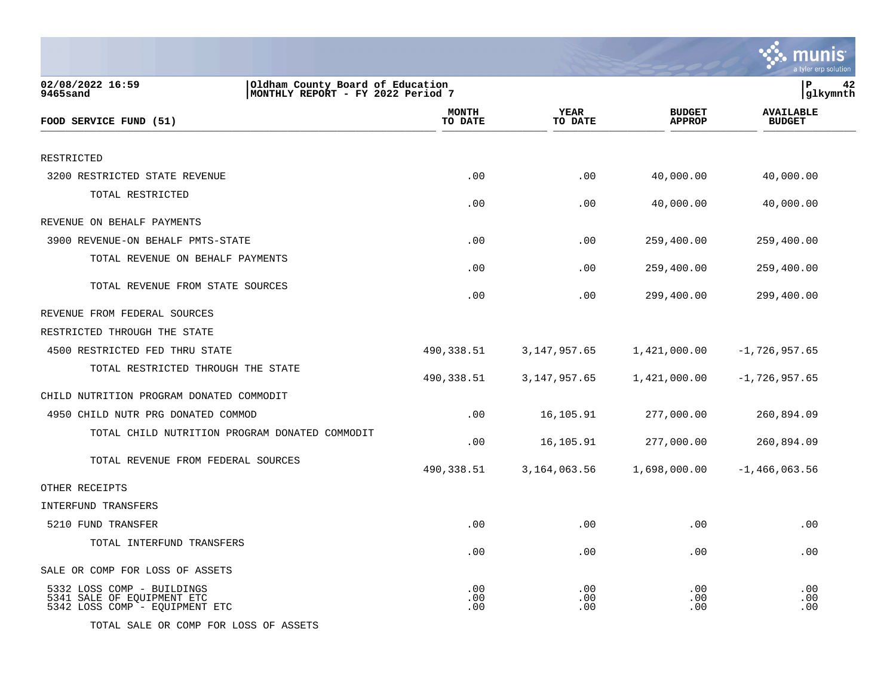|                                                                                            |                                                                       |                        |                                | a tyler erp solutior              |
|--------------------------------------------------------------------------------------------|-----------------------------------------------------------------------|------------------------|--------------------------------|-----------------------------------|
| 02/08/2022 16:59<br>9465sand                                                               | Oldham County Board of Education<br>MONTHLY REPORT - FY 2022 Period 7 |                        |                                | P<br>42<br> glkymnth              |
| FOOD SERVICE FUND (51)                                                                     | <b>MONTH</b><br>TO DATE                                               | <b>YEAR</b><br>TO DATE | <b>BUDGET</b><br><b>APPROP</b> | <b>AVAILABLE</b><br><b>BUDGET</b> |
| RESTRICTED                                                                                 |                                                                       |                        |                                |                                   |
| 3200 RESTRICTED STATE REVENUE                                                              | .00                                                                   | .00                    | 40,000.00                      | 40,000.00                         |
| TOTAL RESTRICTED                                                                           | .00                                                                   | .00                    | 40,000.00                      | 40,000.00                         |
| REVENUE ON BEHALF PAYMENTS                                                                 |                                                                       |                        |                                |                                   |
| 3900 REVENUE-ON BEHALF PMTS-STATE                                                          | .00                                                                   | .00                    | 259,400.00                     | 259,400.00                        |
| TOTAL REVENUE ON BEHALF PAYMENTS                                                           | .00                                                                   | .00                    | 259,400.00                     | 259,400.00                        |
| TOTAL REVENUE FROM STATE SOURCES                                                           | .00                                                                   | .00                    | 299,400.00                     | 299,400.00                        |
| REVENUE FROM FEDERAL SOURCES                                                               |                                                                       |                        |                                |                                   |
| RESTRICTED THROUGH THE STATE                                                               |                                                                       |                        |                                |                                   |
| 4500 RESTRICTED FED THRU STATE                                                             | 490,338.51                                                            | 3, 147, 957.65         | 1,421,000.00                   | $-1,726,957.65$                   |
| TOTAL RESTRICTED THROUGH THE STATE                                                         | 490,338.51                                                            | 3, 147, 957.65         | 1,421,000.00                   | $-1,726,957.65$                   |
| CHILD NUTRITION PROGRAM DONATED COMMODIT                                                   |                                                                       |                        |                                |                                   |
| 4950 CHILD NUTR PRG DONATED COMMOD                                                         | .00                                                                   | 16,105.91              | 277,000.00                     | 260,894.09                        |
| TOTAL CHILD NUTRITION PROGRAM DONATED COMMODIT                                             | .00                                                                   | 16,105.91              | 277,000.00                     | 260,894.09                        |
| TOTAL REVENUE FROM FEDERAL SOURCES                                                         | 490,338.51                                                            | 3,164,063.56           | 1,698,000.00                   | $-1,466,063.56$                   |
| OTHER RECEIPTS                                                                             |                                                                       |                        |                                |                                   |
| INTERFUND TRANSFERS                                                                        |                                                                       |                        |                                |                                   |
| 5210 FUND TRANSFER                                                                         | .00                                                                   | .00                    | .00                            | .00                               |
| TOTAL INTERFUND TRANSFERS                                                                  | .00                                                                   | .00                    | .00                            | .00                               |
| SALE OR COMP FOR LOSS OF ASSETS                                                            |                                                                       |                        |                                |                                   |
| 5332 LOSS COMP - BUILDINGS<br>5341 SALE OF EQUIPMENT ETC<br>5342 LOSS COMP - EQUIPMENT ETC | .00<br>.00<br>.00                                                     | .00<br>.00<br>.00      | .00<br>.00<br>.00              | .00<br>.00<br>.00                 |

TOTAL SALE OR COMP FOR LOSS OF ASSETS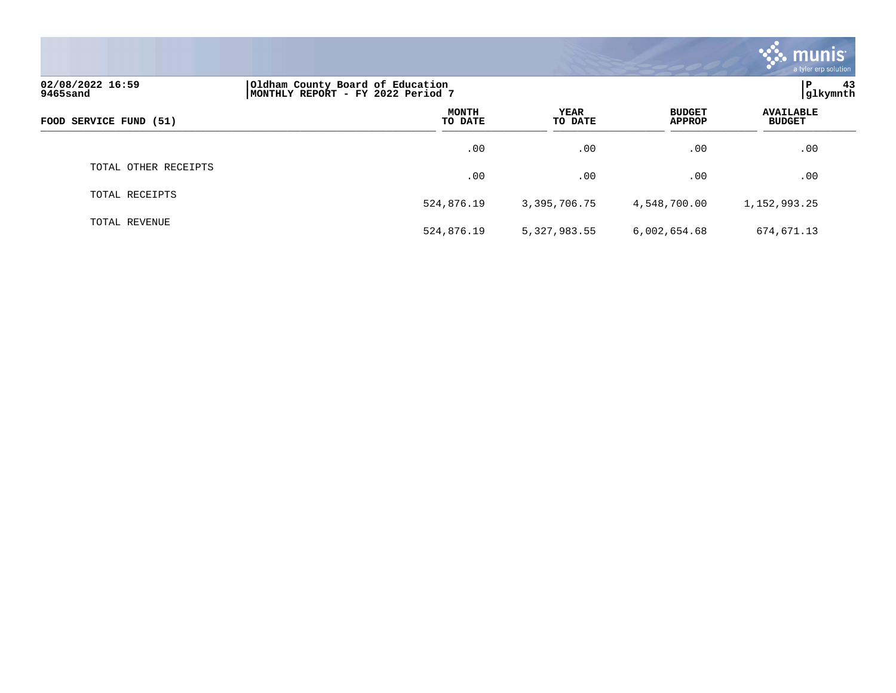|                                                                                                       |                  |                        |                                | <b>as munis</b><br>a tyler erp solution |
|-------------------------------------------------------------------------------------------------------|------------------|------------------------|--------------------------------|-----------------------------------------|
| 02/08/2022 16:59<br>Oldham County Board of Education<br>MONTHLY REPORT - FY 2022 Period 7<br>9465sand |                  |                        |                                |                                         |
| FOOD SERVICE FUND (51)                                                                                | MONTH<br>TO DATE | <b>YEAR</b><br>TO DATE | <b>BUDGET</b><br><b>APPROP</b> | <b>AVAILABLE</b><br><b>BUDGET</b>       |
|                                                                                                       | .00              | .00                    | .00                            | .00                                     |
| TOTAL OTHER RECEIPTS                                                                                  | .00              | .00                    | .00                            | .00                                     |
| TOTAL RECEIPTS                                                                                        | 524,876.19       | 3,395,706.75           | 4,548,700.00                   | 1,152,993.25                            |
| TOTAL REVENUE                                                                                         | 524,876.19       | 5,327,983.55           | 6,002,654.68                   | 674,671.13                              |

 $\sim$   $\sim$   $\sim$   $\sim$   $\sim$   $\sim$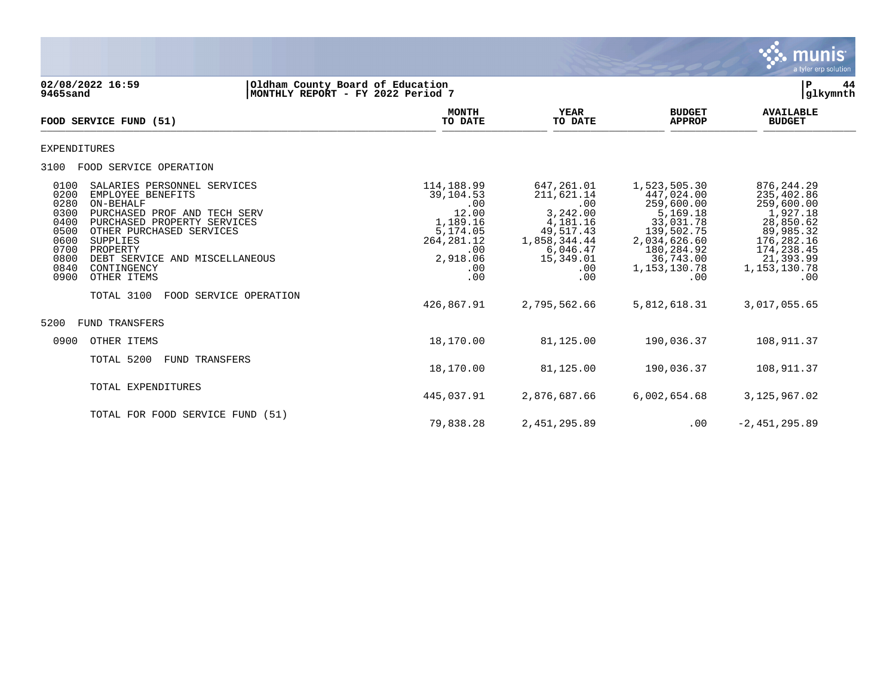

**02/08/2022 16:59 |Oldham County Board of Education |P 44 MONTHLY REPORT - FY 2022 Period 7 MONTH AVAILABLE YEAR BUDGET** AVAILABLE **FOOD SERVICE FUND (51) TO DATE TO DATE APPROP BUDGET**   $\frac{10 \text{ BFR}}{10 \text{ BFR}}$ EXPENDITURES 3100 FOOD SERVICE OPERATION 0100 SALARIES PERSONNEL SERVICES (114,188.99 647,261.01 1,523,505.30 876,244.29 1,020 1,523,505.30 876,244.29 1,523,505.30 876,244.29 (1280) 0200 EMPLOYEE BENEFITS 39,104.53 211,621.14 447,024.00 235,402.86 0280 ON-BEHALF .00 .00 259,600.00 259,600.00 0300 PURCHASED PROF AND TECH SERV 12.00 3,242.00 5,169.18 1,927.18<br>0400 PURCHASED PROPERTY SERVICES 1,189.16 4,181.16 33,031.78 28,850.62<br>0500 OTHER PURCHASED SERVICES 5,174.05 49,517.43 139,502.75 89,985.32 0400 PURCHASED PROPERTY SERVICES 1,189.16 1,189.16 4,181.16<br>1,189.16 4,181.16 33,031.43 0500 OTHER PURCHASED SERVICES 69, 100 176, 202.75 5,174.05 49,517.43 139,502.75 89,985.32<br>1,858,344.44 2,034,626.60 176,282.16 0600 SUPPLIES 264,281.12 1,858,344.44 2,034,626.60 176,282.16 0700 PROPERTY .00 6,046.47 180,284.92 174,238.45 0700 PROPERTY 180,284.92 174,238.45<br>0800 DEBT SERVICE AND MISCELLANEOUS 2,918.06 15,349.01 15,349.01 36,743.00 21,393.99<br>0840 CONTINGENCY 1,153,130.78 1,153,130.78 0840 CONTINGENCY .00 .00 1,153,130.78 1,153,130.78 0900 OTHER ITEMS TOTAL 3100 FOOD SERVICE OPERATION 426,867.91 2,795,562.66 5,812,618.31 3,017,055.65 5200 FUND TRANSFERS 0900 OTHER ITEMS 18,170.00 81,125.00 190,036.37 108,911.37 TOTAL 5200 FUND TRANSFERS 18,170.00 81,125.00 190,036.37 108,911.37 TOTAL EXPENDITURES 445,037.91 2,876,687.66 6,002,654.68 3,125,967.02 TOTAL FOR FOOD SERVICE FUND (51)

79,838.28 2,451,295.89 .00 -2,451,295.89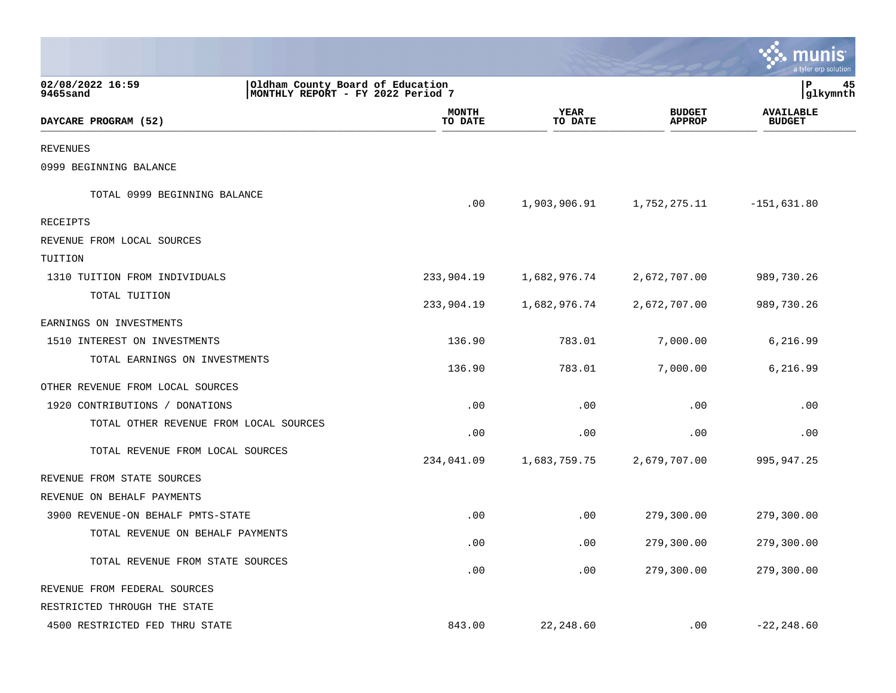|                                        |                                                                        |                         |                        |                                | nıs<br>a tyler erp solution       |    |
|----------------------------------------|------------------------------------------------------------------------|-------------------------|------------------------|--------------------------------|-----------------------------------|----|
| 02/08/2022 16:59<br>9465sand           | Oldham County Board of Education<br> MONTHLY REPORT - FY 2022 Period 7 |                         |                        |                                | ΙP<br> glkymnth                   | 45 |
| DAYCARE PROGRAM (52)                   |                                                                        | <b>MONTH</b><br>TO DATE | <b>YEAR</b><br>TO DATE | <b>BUDGET</b><br><b>APPROP</b> | <b>AVAILABLE</b><br><b>BUDGET</b> |    |
| <b>REVENUES</b>                        |                                                                        |                         |                        |                                |                                   |    |
| 0999 BEGINNING BALANCE                 |                                                                        |                         |                        |                                |                                   |    |
| TOTAL 0999 BEGINNING BALANCE           |                                                                        | .00                     | 1,903,906.91           | 1,752,275.11                   | $-151,631.80$                     |    |
| RECEIPTS                               |                                                                        |                         |                        |                                |                                   |    |
| REVENUE FROM LOCAL SOURCES             |                                                                        |                         |                        |                                |                                   |    |
| TUITION                                |                                                                        |                         |                        |                                |                                   |    |
| 1310 TUITION FROM INDIVIDUALS          |                                                                        | 233,904.19              | 1,682,976.74           | 2,672,707.00                   | 989,730.26                        |    |
| TOTAL TUITION                          |                                                                        | 233,904.19              | 1,682,976.74           | 2,672,707.00                   | 989,730.26                        |    |
| EARNINGS ON INVESTMENTS                |                                                                        |                         |                        |                                |                                   |    |
| 1510 INTEREST ON INVESTMENTS           |                                                                        | 136.90                  | 783.01                 | 7,000.00                       | 6,216.99                          |    |
| TOTAL EARNINGS ON INVESTMENTS          |                                                                        | 136.90                  | 783.01                 | 7,000.00                       | 6,216.99                          |    |
| OTHER REVENUE FROM LOCAL SOURCES       |                                                                        |                         |                        |                                |                                   |    |
| 1920 CONTRIBUTIONS / DONATIONS         |                                                                        | .00                     | .00                    | .00                            | .00                               |    |
| TOTAL OTHER REVENUE FROM LOCAL SOURCES |                                                                        | .00                     | .00                    | .00                            | .00                               |    |
| TOTAL REVENUE FROM LOCAL SOURCES       |                                                                        | 234,041.09              | 1,683,759.75           | 2,679,707.00                   | 995, 947.25                       |    |
| REVENUE FROM STATE SOURCES             |                                                                        |                         |                        |                                |                                   |    |
| REVENUE ON BEHALF PAYMENTS             |                                                                        |                         |                        |                                |                                   |    |
| 3900 REVENUE-ON BEHALF PMTS-STATE      |                                                                        | .00                     | .00                    | 279,300.00                     | 279,300.00                        |    |
| TOTAL REVENUE ON BEHALF PAYMENTS       |                                                                        | .00                     | .00                    | 279,300.00                     | 279,300.00                        |    |
| TOTAL REVENUE FROM STATE SOURCES       |                                                                        | .00                     | .00                    | 279,300.00                     | 279,300.00                        |    |
| REVENUE FROM FEDERAL SOURCES           |                                                                        |                         |                        |                                |                                   |    |
| RESTRICTED THROUGH THE STATE           |                                                                        |                         |                        |                                |                                   |    |
| 4500 RESTRICTED FED THRU STATE         |                                                                        | 843.00                  | 22,248.60              | .00                            | $-22, 248.60$                     |    |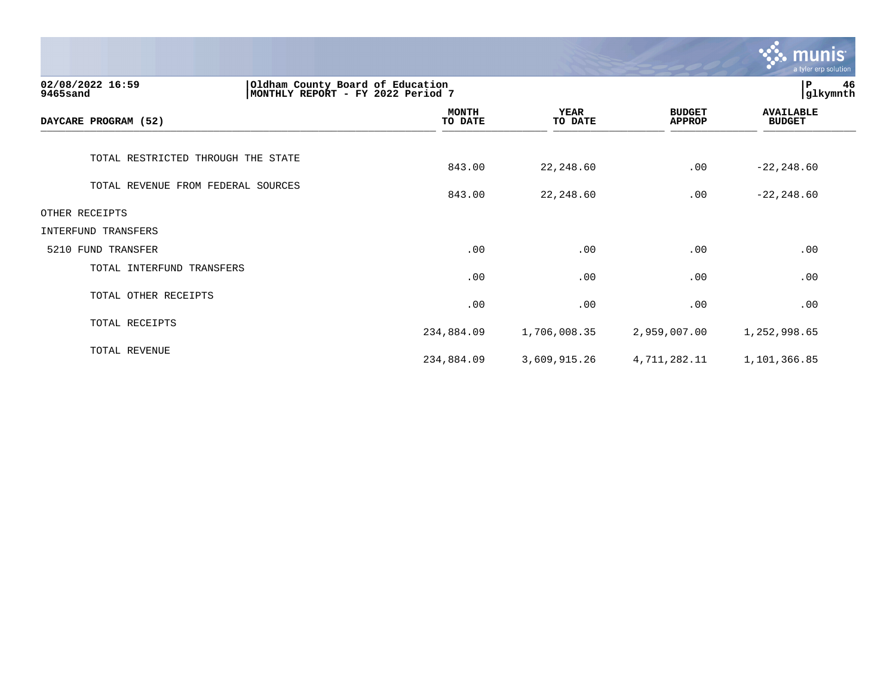|                                                                                                        |                         |                        |                                | munis <sup>.</sup><br>a tyler erp solution |
|--------------------------------------------------------------------------------------------------------|-------------------------|------------------------|--------------------------------|--------------------------------------------|
| 02/08/2022 16:59<br>Oldham County Board of Education<br> MONTHLY REPORT - FY 2022 Period 7<br>9465sand |                         |                        |                                | $\mathbf P$<br>46<br>glkymnth              |
| DAYCARE PROGRAM (52)                                                                                   | <b>MONTH</b><br>TO DATE | <b>YEAR</b><br>TO DATE | <b>BUDGET</b><br><b>APPROP</b> | <b>AVAILABLE</b><br><b>BUDGET</b>          |
| TOTAL RESTRICTED THROUGH THE STATE                                                                     | 843.00                  | 22,248.60              | .00                            | $-22, 248.60$                              |
| TOTAL REVENUE FROM FEDERAL SOURCES                                                                     | 843.00                  | 22,248.60              | .00                            | $-22, 248.60$                              |
| OTHER RECEIPTS                                                                                         |                         |                        |                                |                                            |
| INTERFUND TRANSFERS                                                                                    |                         |                        |                                |                                            |
| 5210 FUND TRANSFER                                                                                     | .00                     | .00                    | .00                            | .00                                        |
| TOTAL INTERFUND TRANSFERS                                                                              | .00                     | .00                    | .00                            | .00                                        |
| TOTAL OTHER RECEIPTS                                                                                   | .00                     | .00                    | .00                            | .00                                        |
| TOTAL RECEIPTS                                                                                         | 234,884.09              | 1,706,008.35           | 2,959,007.00                   | 1,252,998.65                               |
| TOTAL REVENUE                                                                                          | 234,884.09              | 3,609,915.26           | 4,711,282.11                   | 1,101,366.85                               |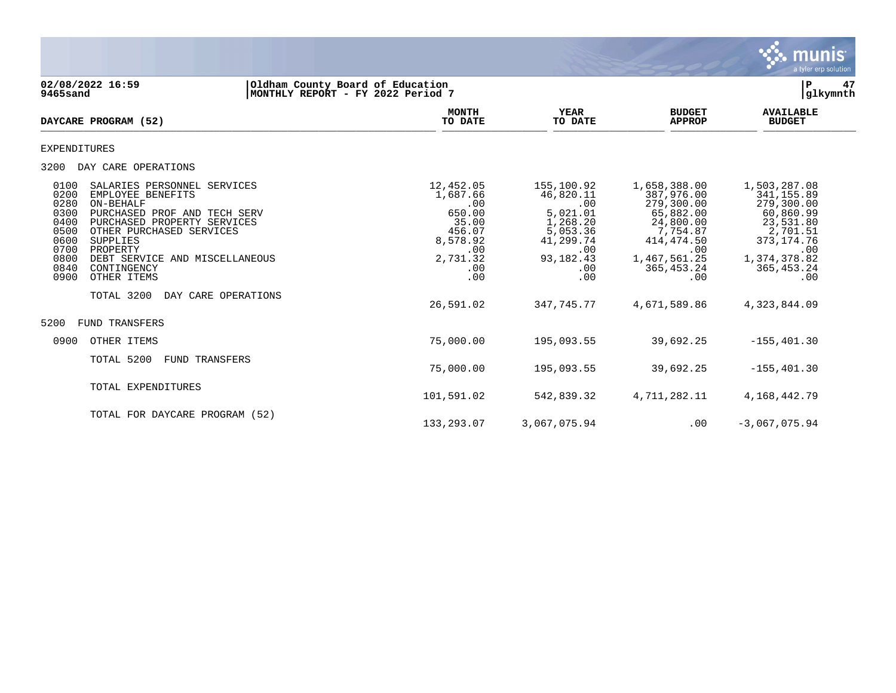

**02/08/2022 16:59 |Oldham County Board of Education |P 47 MONTHLY REPORT - FY 2022 Period 7 MONTH AVAILABLE YEAR BUDGET** AVAILABLE **DAYCARE PROGRAM (52) TO DATE TO DATE APPROP BUDGET** DAILARE FROGRAM (32) EXPENDITURES 3200 DAY CARE OPERATIONS 0100 SALARIES PERSONNEL SERVICES 12,452.05 155,100.92 1,658,388.00 1,503,287.08 0200 EMPLOYEE BENEFITS 1,687.66 46,820.11 387,976.00 341,155.89 0280 ON-BEHALF .00 .00 279,300.00 279,300.00 0300 PURCHASED PROF AND TECH SERV 650.00 650.00 650.00 65,021.01 65,882.00 60,860.99<br>0400 PURCHASED PROPERTY SERVICES 60 60.00 55.00 60.00 60.00 60.00 60.8531.80 0400 PURCHASED PROPERTY SERVICES 35.00 1,268.20 24,800.00 23,531.80 0500 OTHER PURCHASED SERVICES (2,701.51 ) 456.07 (456.07 ) 456.07 (456.07 ) 456.07 (41,299.74 ) 414,474.50 (42,701.51 ) 4660 (42,701.51 ) 456.07 (41,299.74 ) 414,474.50 (41,299.74 ) 414,474.50 (41,299.74 ) 414,474.50 (42,4 0600 SUPPLIES 8,578.92 41,299.74 414,474.50 373,174.76 0700 PROPERTY .00 .00 .00 .00 0700 PROPERTY 100 100<br>0800 DEBT SERVICE AND MISCELLANEOUS 2,731.32 93,182.43 1,467,561.25 1,374,378.82<br>0840 CONTINGENCY 1.00 365,453.24 365,453.24 0840 CONTINGENCY .00 .00 365,453.24 365,453.24 0900 OTHER ITEMS TOTAL 3200 DAY CARE OPERATIONS 26,591.02 347,745.77 4,671,589.86 4,323,844.09 5200 FUND TRANSFERS 0900 OTHER ITEMS 75,000.00 195,093.55 39,692.25 -155,401.30 TOTAL 5200 FUND TRANSFERS 75,000.00 195,093.55 39,692.25 -155,401.30 TOTAL EXPENDITURES 101,591.02 542,839.32 4,711,282.11 4,168,442.79 TOTAL FOR DAYCARE PROGRAM (52)

133,293.07 3,067.075.94 .00 -3,067.075.94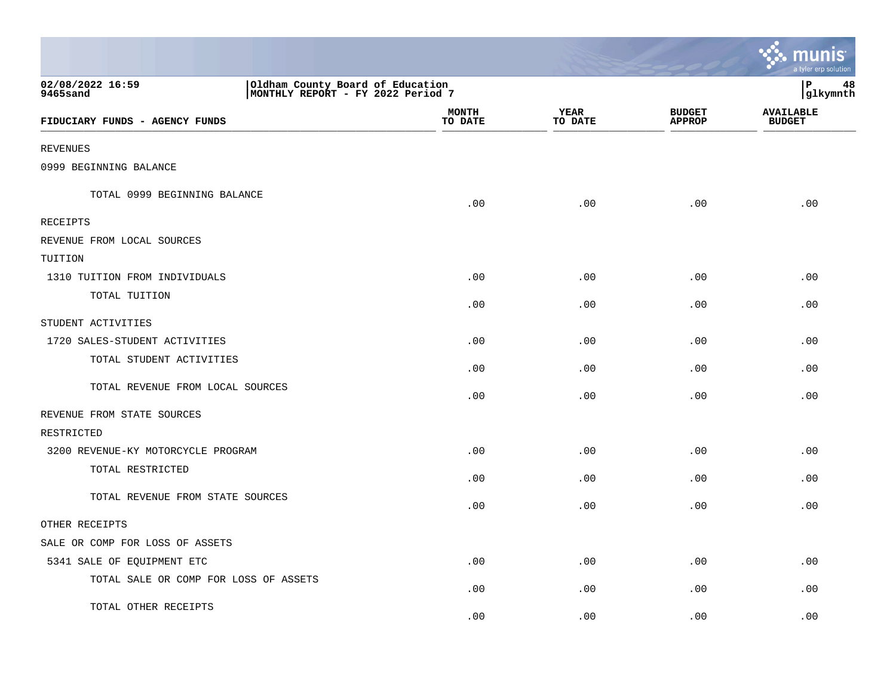|                                       |                                                                       |                         |                 |                                | munis<br>a tyler erp solution     |
|---------------------------------------|-----------------------------------------------------------------------|-------------------------|-----------------|--------------------------------|-----------------------------------|
| 02/08/2022 16:59<br>9465sand          | Oldham County Board of Education<br>MONTHLY REPORT - FY 2022 Period 7 |                         |                 |                                | P<br>48<br> glkymnth              |
| FIDUCIARY FUNDS - AGENCY FUNDS        |                                                                       | <b>MONTH</b><br>TO DATE | YEAR<br>TO DATE | <b>BUDGET</b><br><b>APPROP</b> | <b>AVAILABLE</b><br><b>BUDGET</b> |
| <b>REVENUES</b>                       |                                                                       |                         |                 |                                |                                   |
| 0999 BEGINNING BALANCE                |                                                                       |                         |                 |                                |                                   |
| TOTAL 0999 BEGINNING BALANCE          |                                                                       | .00                     | .00             | .00                            | .00                               |
| RECEIPTS                              |                                                                       |                         |                 |                                |                                   |
| REVENUE FROM LOCAL SOURCES            |                                                                       |                         |                 |                                |                                   |
| TUITION                               |                                                                       |                         |                 |                                |                                   |
| 1310 TUITION FROM INDIVIDUALS         |                                                                       | .00                     | .00             | .00                            | .00                               |
| TOTAL TUITION                         |                                                                       | .00                     | .00             | .00                            | .00                               |
| STUDENT ACTIVITIES                    |                                                                       |                         |                 |                                |                                   |
| 1720 SALES-STUDENT ACTIVITIES         |                                                                       | .00                     | .00             | .00                            | .00                               |
| TOTAL STUDENT ACTIVITIES              |                                                                       | .00                     | .00             | .00                            | .00                               |
| TOTAL REVENUE FROM LOCAL SOURCES      |                                                                       | .00                     | .00             | .00                            | .00                               |
| REVENUE FROM STATE SOURCES            |                                                                       |                         |                 |                                |                                   |
| RESTRICTED                            |                                                                       |                         |                 |                                |                                   |
| 3200 REVENUE-KY MOTORCYCLE PROGRAM    |                                                                       | .00                     | .00             | .00                            | .00                               |
| TOTAL RESTRICTED                      |                                                                       | .00                     | .00             | .00                            | .00                               |
| TOTAL REVENUE FROM STATE SOURCES      |                                                                       | .00                     | .00             | .00                            | .00                               |
| OTHER RECEIPTS                        |                                                                       |                         |                 |                                |                                   |
| SALE OR COMP FOR LOSS OF ASSETS       |                                                                       |                         |                 |                                |                                   |
| 5341 SALE OF EQUIPMENT ETC            |                                                                       | .00                     | .00             | .00                            | .00                               |
| TOTAL SALE OR COMP FOR LOSS OF ASSETS |                                                                       | .00                     | .00             | .00                            | .00                               |
| TOTAL OTHER RECEIPTS                  |                                                                       | .00                     | .00             | .00                            | .00                               |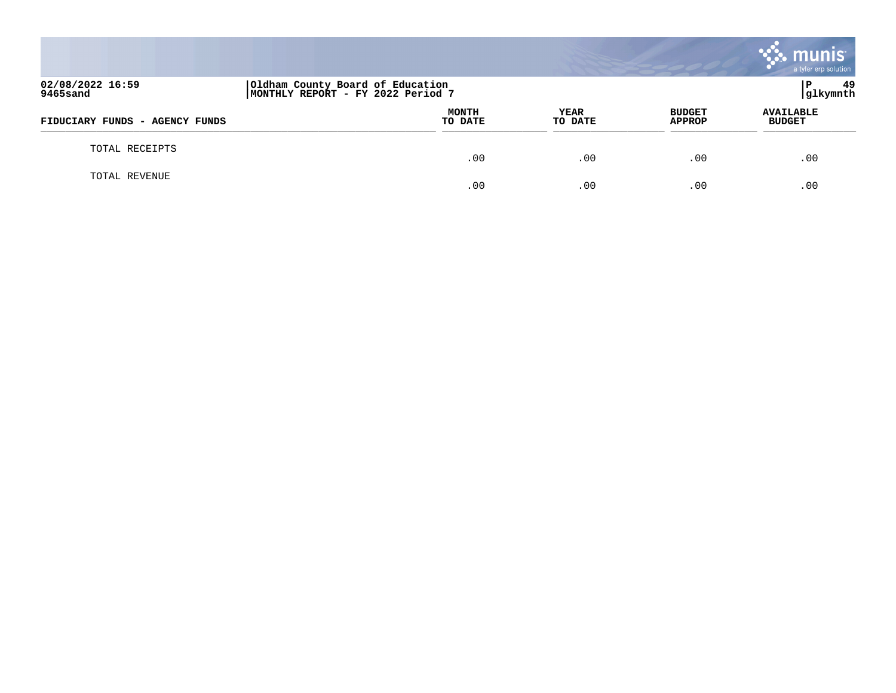|                                |                                                                       |                 |                                | munis<br>a tyler erp solution     |
|--------------------------------|-----------------------------------------------------------------------|-----------------|--------------------------------|-----------------------------------|
| 02/08/2022 16:59<br>9465sand   | Oldham County Board of Education<br>MONTHLY REPORT - FY 2022 Period 7 |                 |                                | -49<br>l P<br>glkymnth            |
| FIDUCIARY FUNDS - AGENCY FUNDS | <b>MONTH</b><br>TO DATE                                               | YEAR<br>TO DATE | <b>BUDGET</b><br><b>APPROP</b> | <b>AVAILABLE</b><br><b>BUDGET</b> |
| TOTAL RECEIPTS                 | .00                                                                   | .00             | .00                            | .00                               |
| TOTAL REVENUE                  | .00                                                                   | .00             | .00                            | .00                               |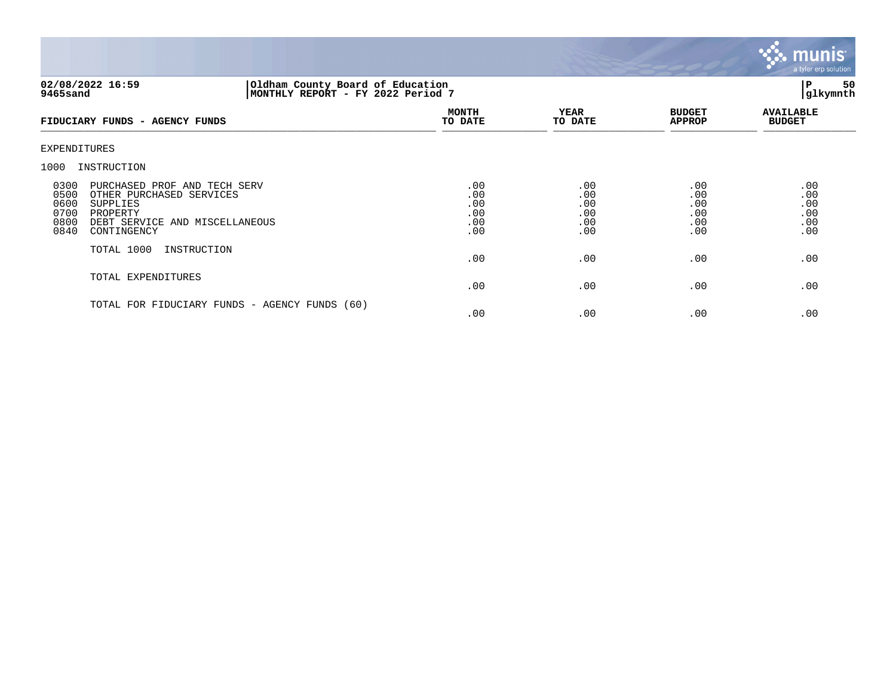

# **02/08/2022 16:59 |Oldham County Board of Education |P 50 9465sand |MONTHLY REPORT - FY 2022 Period 7 |glkymnth**

| FIDUCIARY FUNDS - AGENCY FUNDS                                                                                                                                                    | <b>MONTH</b><br>TO DATE                | <b>YEAR</b><br>TO DATE                 | <b>BUDGET</b><br><b>APPROP</b>         | <b>AVAILABLE</b><br><b>BUDGET</b>      |
|-----------------------------------------------------------------------------------------------------------------------------------------------------------------------------------|----------------------------------------|----------------------------------------|----------------------------------------|----------------------------------------|
| EXPENDITURES                                                                                                                                                                      |                                        |                                        |                                        |                                        |
| INSTRUCTION<br>1000                                                                                                                                                               |                                        |                                        |                                        |                                        |
| 0300<br>PURCHASED PROF AND TECH SERV<br>0500<br>OTHER PURCHASED SERVICES<br>0600<br>SUPPLIES<br>0700<br>PROPERTY<br>0800<br>DEBT SERVICE AND MISCELLANEOUS<br>0840<br>CONTINGENCY | .00<br>.00<br>.00<br>.00<br>.00<br>.00 | .00<br>.00<br>.00<br>.00<br>.00<br>.00 | .00<br>.00<br>.00<br>.00<br>.00<br>.00 | .00<br>.00<br>.00<br>.00<br>.00<br>.00 |
| TOTAL 1000<br>INSTRUCTION                                                                                                                                                         | .00                                    | .00                                    | .00                                    | .00                                    |
| TOTAL EXPENDITURES                                                                                                                                                                | .00                                    | .00                                    | .00                                    | .00                                    |
| TOTAL FOR FIDUCIARY FUNDS - AGENCY FUNDS (60)                                                                                                                                     | .00                                    | .00                                    | .00                                    | .00                                    |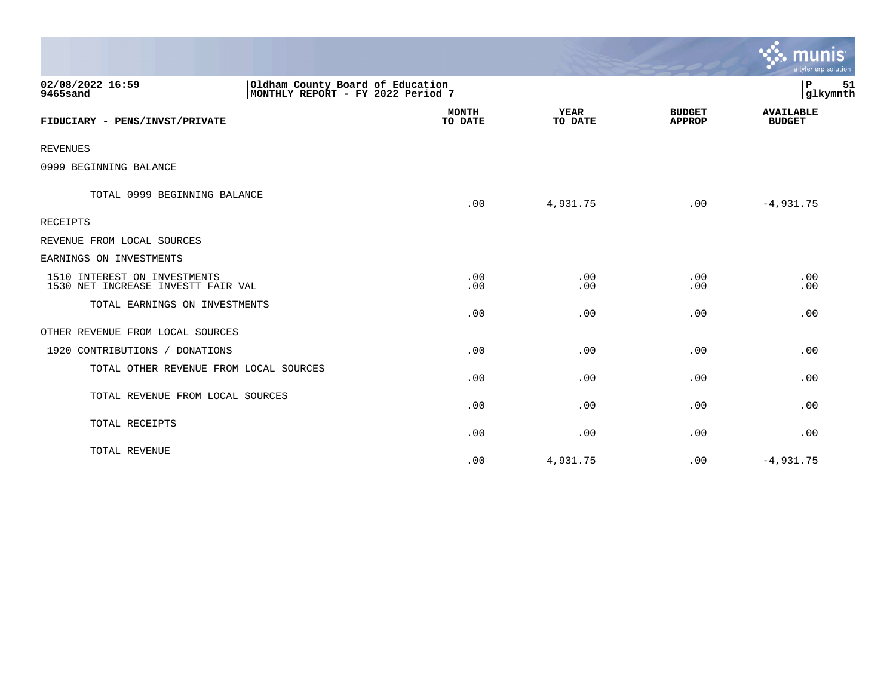|                                                                    |                                                                       |                        |                                | $\mathbf{\mathcal{S}}$ . munis<br>a tyler erp solution |
|--------------------------------------------------------------------|-----------------------------------------------------------------------|------------------------|--------------------------------|--------------------------------------------------------|
| 02/08/2022 16:59<br>9465sand                                       | Oldham County Board of Education<br>MONTHLY REPORT - FY 2022 Period 7 |                        |                                |                                                        |
| FIDUCIARY - PENS/INVST/PRIVATE                                     | <b>MONTH</b><br>TO DATE                                               | <b>YEAR</b><br>TO DATE | <b>BUDGET</b><br><b>APPROP</b> | <b>AVAILABLE</b><br><b>BUDGET</b>                      |
| <b>REVENUES</b>                                                    |                                                                       |                        |                                |                                                        |
| 0999 BEGINNING BALANCE                                             |                                                                       |                        |                                |                                                        |
| TOTAL 0999 BEGINNING BALANCE                                       | .00                                                                   | 4,931.75               | .00                            | $-4,931.75$                                            |
| <b>RECEIPTS</b>                                                    |                                                                       |                        |                                |                                                        |
| REVENUE FROM LOCAL SOURCES                                         |                                                                       |                        |                                |                                                        |
| EARNINGS ON INVESTMENTS                                            |                                                                       |                        |                                |                                                        |
| 1510 INTEREST ON INVESTMENTS<br>1530 NET INCREASE INVESTT FAIR VAL | .00<br>.00                                                            | .00<br>.00             | .00<br>.00                     | .00<br>.00                                             |
| TOTAL EARNINGS ON INVESTMENTS                                      | .00                                                                   | .00                    | .00                            | .00                                                    |
| OTHER REVENUE FROM LOCAL SOURCES                                   |                                                                       |                        |                                |                                                        |
| 1920 CONTRIBUTIONS / DONATIONS                                     | .00                                                                   | .00                    | .00                            | .00                                                    |
| TOTAL OTHER REVENUE FROM LOCAL SOURCES                             | .00                                                                   | .00                    | .00                            | .00                                                    |
| TOTAL REVENUE FROM LOCAL SOURCES                                   | .00                                                                   | .00                    | .00                            | .00                                                    |
| TOTAL RECEIPTS                                                     | .00                                                                   | .00                    | .00                            | .00                                                    |
| TOTAL REVENUE                                                      | .00                                                                   | 4,931.75               | .00                            | $-4,931.75$                                            |

the contract of the contract of the contract of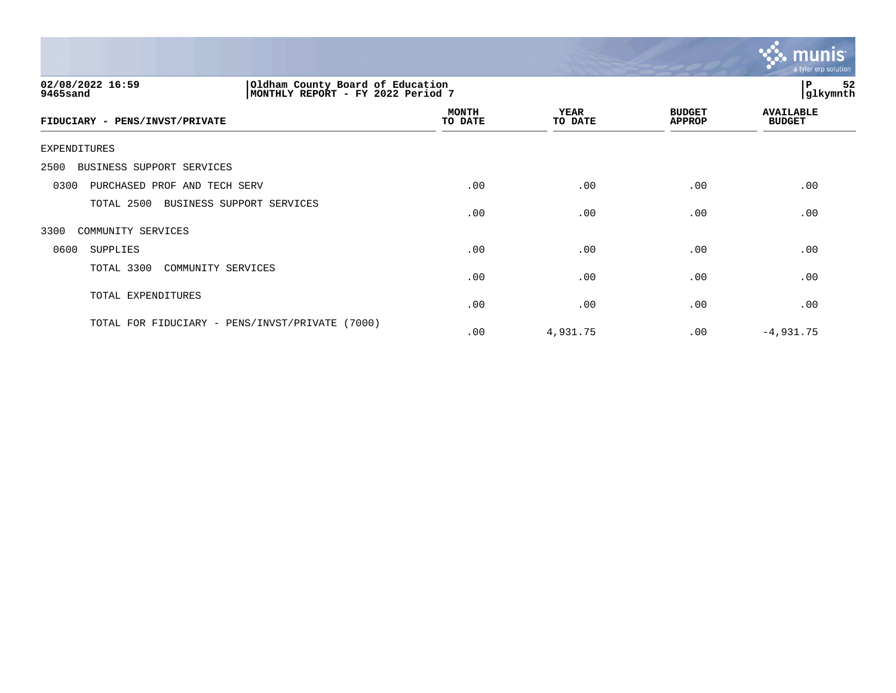

| 02/08/2022 16:59<br>Oldham County Board of Education<br>MONTHLY REPORT - FY 2022 Period 7<br>9465sand |                         |                        |                                | 52<br>P<br>glkymnth               |
|-------------------------------------------------------------------------------------------------------|-------------------------|------------------------|--------------------------------|-----------------------------------|
| FIDUCIARY - PENS/INVST/PRIVATE                                                                        | <b>MONTH</b><br>TO DATE | <b>YEAR</b><br>TO DATE | <b>BUDGET</b><br><b>APPROP</b> | <b>AVAILABLE</b><br><b>BUDGET</b> |
| EXPENDITURES                                                                                          |                         |                        |                                |                                   |
| BUSINESS SUPPORT SERVICES<br>2500                                                                     |                         |                        |                                |                                   |
| PURCHASED PROF AND TECH SERV<br>0300                                                                  | .00                     | .00                    | .00                            | .00                               |
| TOTAL 2500<br>BUSINESS SUPPORT SERVICES                                                               | .00                     | .00                    | .00                            | .00                               |
| 3300<br>COMMUNITY SERVICES                                                                            |                         |                        |                                |                                   |
| 0600<br>SUPPLIES                                                                                      | .00                     | .00                    | .00                            | .00                               |
| TOTAL 3300<br>COMMUNITY SERVICES                                                                      | .00                     | .00                    | .00                            | .00                               |
| TOTAL EXPENDITURES                                                                                    | .00                     | .00                    | .00                            | .00                               |
| TOTAL FOR FIDUCIARY - PENS/INVST/PRIVATE<br>(7000)                                                    | .00                     | 4,931.75               | .00                            | $-4,931.75$                       |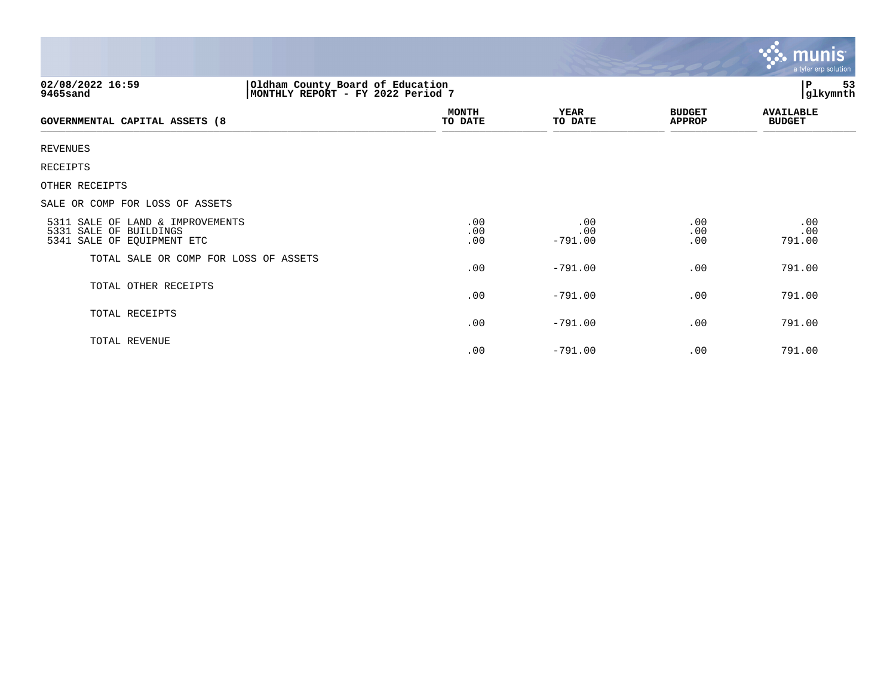|                                                                                                        |                         |                         |                                | <b>munis</b><br>a tyler erp solution |  |
|--------------------------------------------------------------------------------------------------------|-------------------------|-------------------------|--------------------------------|--------------------------------------|--|
| 02/08/2022 16:59<br>Oldham County Board of Education<br> MONTHLY REPORT - FY 2022 Period 7<br>9465sand |                         |                         |                                | 53<br>P<br>glkymnth                  |  |
| GOVERNMENTAL CAPITAL ASSETS (8                                                                         | <b>MONTH</b><br>TO DATE | <b>YEAR</b><br>TO DATE  | <b>BUDGET</b><br><b>APPROP</b> | <b>AVAILABLE</b><br><b>BUDGET</b>    |  |
| <b>REVENUES</b>                                                                                        |                         |                         |                                |                                      |  |
| <b>RECEIPTS</b>                                                                                        |                         |                         |                                |                                      |  |
| OTHER RECEIPTS                                                                                         |                         |                         |                                |                                      |  |
| SALE OR COMP FOR LOSS OF ASSETS                                                                        |                         |                         |                                |                                      |  |
| 5311 SALE OF LAND & IMPROVEMENTS<br>5331 SALE OF BUILDINGS<br>5341 SALE OF EQUIPMENT ETC               | .00<br>.00<br>.00       | .00<br>.00<br>$-791.00$ | .00<br>.00<br>.00              | .00<br>.00<br>791.00                 |  |
| TOTAL SALE OR COMP FOR LOSS OF ASSETS                                                                  | .00                     | $-791.00$               | .00                            | 791.00                               |  |
| TOTAL OTHER RECEIPTS                                                                                   | .00                     | $-791.00$               | .00                            | 791.00                               |  |
| TOTAL RECEIPTS                                                                                         | .00                     | $-791.00$               | .00                            | 791.00                               |  |
| TOTAL REVENUE                                                                                          | .00                     | $-791.00$               | .00                            | 791.00                               |  |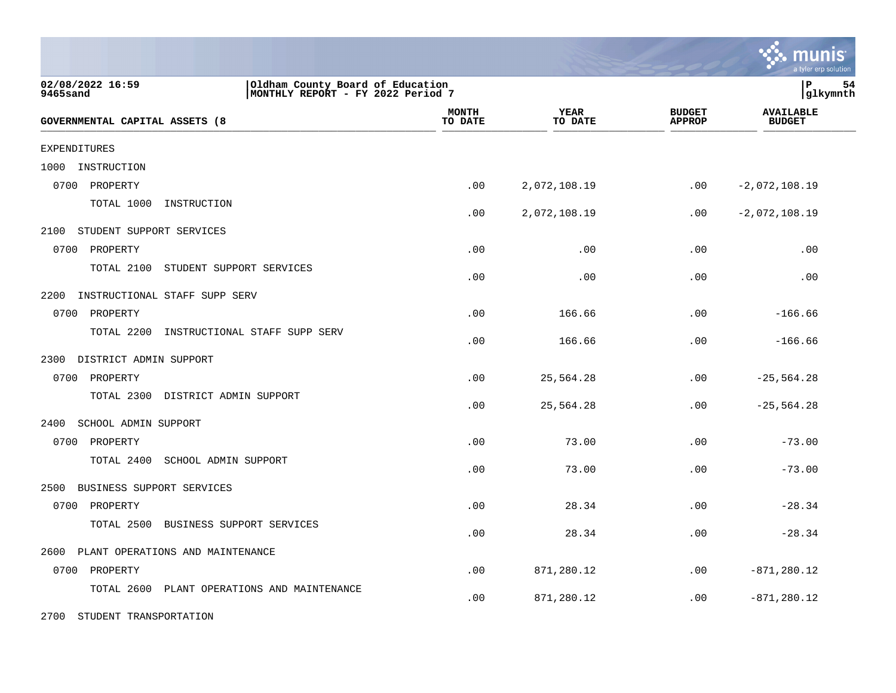|                                             |                                                                       |                         |                        |                                | munis<br>a tyler erp solution     |
|---------------------------------------------|-----------------------------------------------------------------------|-------------------------|------------------------|--------------------------------|-----------------------------------|
| 02/08/2022 16:59<br>9465sand                | Oldham County Board of Education<br>MONTHLY REPORT - FY 2022 Period 7 |                         |                        |                                | lР<br>54<br> glkymnth             |
| <b>GOVERNMENTAL CAPITAL ASSETS (8</b>       |                                                                       | <b>MONTH</b><br>TO DATE | <b>YEAR</b><br>TO DATE | <b>BUDGET</b><br><b>APPROP</b> | <b>AVAILABLE</b><br><b>BUDGET</b> |
| <b>EXPENDITURES</b>                         |                                                                       |                         |                        |                                |                                   |
| 1000<br>INSTRUCTION                         |                                                                       |                         |                        |                                |                                   |
| 0700<br>PROPERTY                            |                                                                       | .00                     | 2,072,108.19           | .00                            | $-2,072,108.19$                   |
| TOTAL 1000<br>INSTRUCTION                   |                                                                       | .00                     | 2,072,108.19           | .00                            | $-2,072,108.19$                   |
| 2100<br>STUDENT SUPPORT SERVICES            |                                                                       |                         |                        |                                |                                   |
| 0700<br>PROPERTY                            |                                                                       | .00                     | .00                    | .00                            | .00                               |
| TOTAL 2100<br>STUDENT SUPPORT SERVICES      |                                                                       | .00                     | .00                    | .00                            | .00                               |
| 2200<br>INSTRUCTIONAL STAFF SUPP SERV       |                                                                       |                         |                        |                                |                                   |
| 0700<br>PROPERTY                            |                                                                       | .00                     | 166.66                 | .00                            | $-166.66$                         |
| TOTAL 2200<br>INSTRUCTIONAL STAFF SUPP SERV |                                                                       | .00                     | 166.66                 | .00                            | $-166.66$                         |
| 2300<br>DISTRICT ADMIN SUPPORT              |                                                                       |                         |                        |                                |                                   |
| 0700<br>PROPERTY                            |                                                                       | .00                     | 25,564.28              | .00                            | $-25,564.28$                      |
| DISTRICT ADMIN SUPPORT<br>TOTAL 2300        |                                                                       | .00                     | 25,564.28              | .00                            | $-25, 564.28$                     |
| 2400<br>SCHOOL ADMIN SUPPORT                |                                                                       |                         |                        |                                |                                   |
| 0700<br>PROPERTY                            |                                                                       | .00                     | 73.00                  | .00                            | $-73.00$                          |
| TOTAL 2400<br>SCHOOL ADMIN SUPPORT          |                                                                       | .00                     | 73.00                  | .00                            | $-73.00$                          |
| 2500<br>BUSINESS SUPPORT SERVICES           |                                                                       |                         |                        |                                |                                   |
| 0700<br>PROPERTY                            |                                                                       | .00                     | 28.34                  | .00                            | $-28.34$                          |
| TOTAL 2500<br>BUSINESS SUPPORT SERVICES     |                                                                       | .00                     | 28.34                  | .00                            | $-28.34$                          |
| PLANT OPERATIONS AND MAINTENANCE<br>2600    |                                                                       |                         |                        |                                |                                   |
| 0700<br>PROPERTY                            |                                                                       | .00                     | 871,280.12             | .00                            | $-871, 280.12$                    |
| TOTAL 2600                                  | PLANT OPERATIONS AND MAINTENANCE                                      | .00                     | 871,280.12             | .00                            | $-871, 280.12$                    |

2700 STUDENT TRANSPORTATION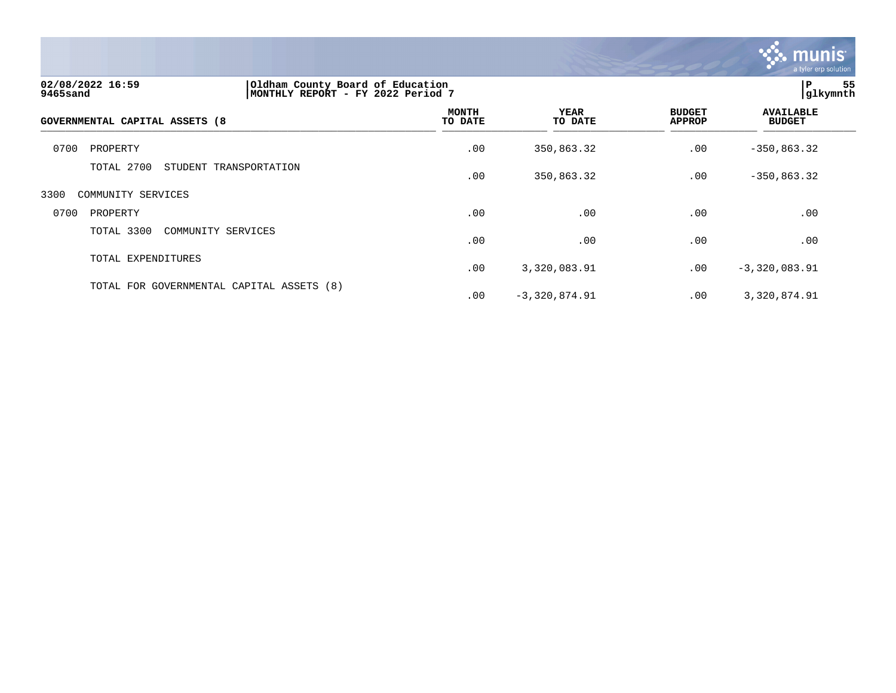

| 02/08/2022 16:59<br>Oldham County Board of Education<br>MONTHLY REPORT - FY 2022 Period 7<br>9465sand |                                           |                         |                 |                                | I P<br>55<br> glkymnth            |  |
|-------------------------------------------------------------------------------------------------------|-------------------------------------------|-------------------------|-----------------|--------------------------------|-----------------------------------|--|
| GOVERNMENTAL CAPITAL ASSETS (8                                                                        |                                           | <b>MONTH</b><br>TO DATE | YEAR<br>TO DATE | <b>BUDGET</b><br><b>APPROP</b> | <b>AVAILABLE</b><br><b>BUDGET</b> |  |
| 0700<br>PROPERTY                                                                                      |                                           | .00                     | 350,863.32      | .00                            | $-350, 863.32$                    |  |
| TOTAL 2700                                                                                            | STUDENT TRANSPORTATION                    | .00                     | 350,863.32      | .00                            | $-350, 863.32$                    |  |
| 3300<br>COMMUNITY SERVICES                                                                            |                                           |                         |                 |                                |                                   |  |
| 0700<br>PROPERTY                                                                                      |                                           | .00                     | .00             | .00                            | .00                               |  |
| TOTAL 3300                                                                                            | COMMUNITY SERVICES                        | .00                     | .00             | .00                            | .00                               |  |
| TOTAL EXPENDITURES                                                                                    |                                           | .00                     | 3,320,083.91    | .00                            | $-3,320,083.91$                   |  |
|                                                                                                       | TOTAL FOR GOVERNMENTAL CAPITAL ASSETS (8) | .00                     | $-3,320,874.91$ | .00                            | 3,320,874.91                      |  |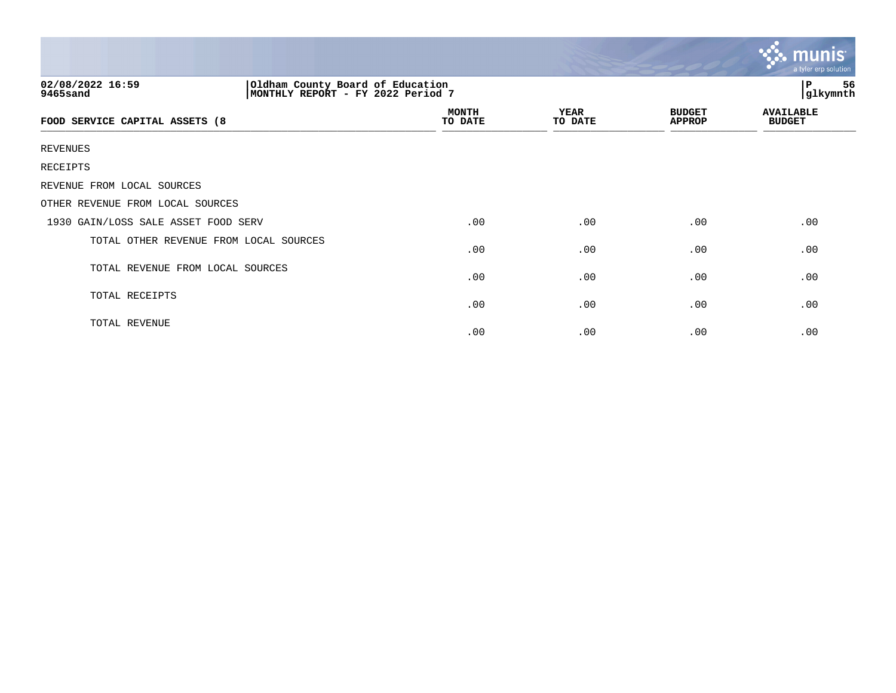|                                                                                                       |                         |                 |                                | $\ddotsc$ munis<br>a tyler erp solution |  |
|-------------------------------------------------------------------------------------------------------|-------------------------|-----------------|--------------------------------|-----------------------------------------|--|
| Oldham County Board of Education<br>02/08/2022 16:59<br>MONTHLY REPORT - FY 2022 Period 7<br>9465sand |                         |                 |                                | P<br>56<br>glkymnth                     |  |
| FOOD SERVICE CAPITAL ASSETS (8                                                                        | <b>MONTH</b><br>TO DATE | YEAR<br>TO DATE | <b>BUDGET</b><br><b>APPROP</b> | <b>AVAILABLE</b><br><b>BUDGET</b>       |  |
| <b>REVENUES</b>                                                                                       |                         |                 |                                |                                         |  |
| RECEIPTS                                                                                              |                         |                 |                                |                                         |  |
| REVENUE FROM LOCAL SOURCES                                                                            |                         |                 |                                |                                         |  |
| OTHER REVENUE FROM LOCAL SOURCES                                                                      |                         |                 |                                |                                         |  |
| 1930 GAIN/LOSS SALE ASSET FOOD SERV                                                                   | .00                     | .00             | .00                            | .00                                     |  |
| TOTAL OTHER REVENUE FROM LOCAL SOURCES                                                                | .00                     | .00             | .00                            | .00                                     |  |
| TOTAL REVENUE FROM LOCAL SOURCES                                                                      | .00                     | .00             | .00                            | .00                                     |  |
| TOTAL RECEIPTS                                                                                        | .00                     | .00             | .00                            | .00                                     |  |
| TOTAL REVENUE                                                                                         | .00                     | .00             | .00                            | .00                                     |  |

the contract of the contract of the contract of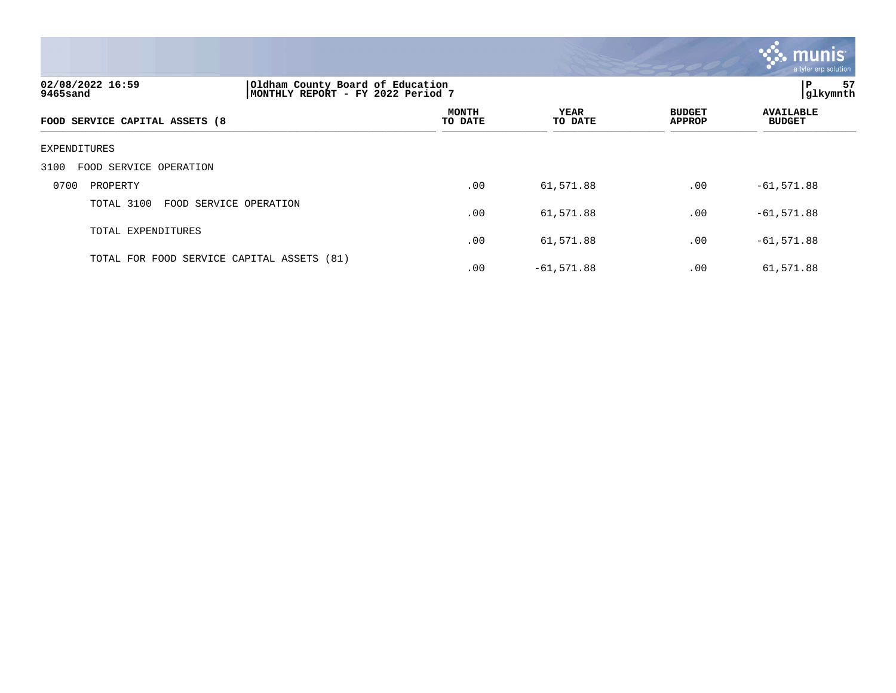

| 02/08/2022 16:59<br>9465sand               |                        | Oldham County Board of Education<br>MONTHLY REPORT - FY 2022 Period 7 |                        |                                |                                   |
|--------------------------------------------|------------------------|-----------------------------------------------------------------------|------------------------|--------------------------------|-----------------------------------|
| FOOD SERVICE CAPITAL ASSETS (8             |                        | MONTH<br>TO DATE                                                      | <b>YEAR</b><br>TO DATE | <b>BUDGET</b><br><b>APPROP</b> | <b>AVAILABLE</b><br><b>BUDGET</b> |
| EXPENDITURES                               |                        |                                                                       |                        |                                |                                   |
| 3100<br>FOOD SERVICE OPERATION             |                        |                                                                       |                        |                                |                                   |
| 0700<br>PROPERTY                           |                        | .00                                                                   | 61,571.88              | .00                            | $-61,571.88$                      |
| TOTAL 3100                                 | FOOD SERVICE OPERATION | .00                                                                   | 61,571.88              | .00                            | $-61, 571.88$                     |
| TOTAL EXPENDITURES                         |                        | .00                                                                   | 61,571.88              | .00                            | $-61, 571.88$                     |
| TOTAL FOR FOOD SERVICE CAPITAL ASSETS (81) |                        | .00                                                                   | $-61,571.88$           | .00                            | 61,571.88                         |